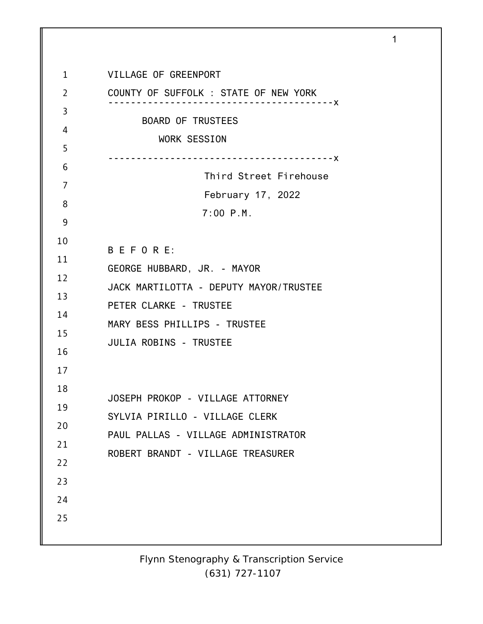1 2 3 4 5 6 7 8 9 10 11 12 13 14 15 16 17 18 19 20 21 22 23 24 25 VILLAGE OF GREENPORT COUNTY OF SUFFOLK : STATE OF NEW YORK ----------------------------------------x BOARD OF TRUSTEES WORK SESSION ----------------------------------------x Third Street Firehouse February 17, 2022 7:00 P.M. B E F O R E: GEORGE HUBBARD, JR. - MAYOR JACK MARTILOTTA - DEPUTY MAYOR/TRUSTEE PETER CLARKE - TRUSTEE MARY BESS PHILLIPS - TRUSTEE JULIA ROBINS - TRUSTEE JOSEPH PROKOP - VILLAGE ATTORNEY SYLVIA PIRILLO - VILLAGE CLERK PAUL PALLAS - VILLAGE ADMINISTRATOR ROBERT BRANDT - VILLAGE TREASURER

1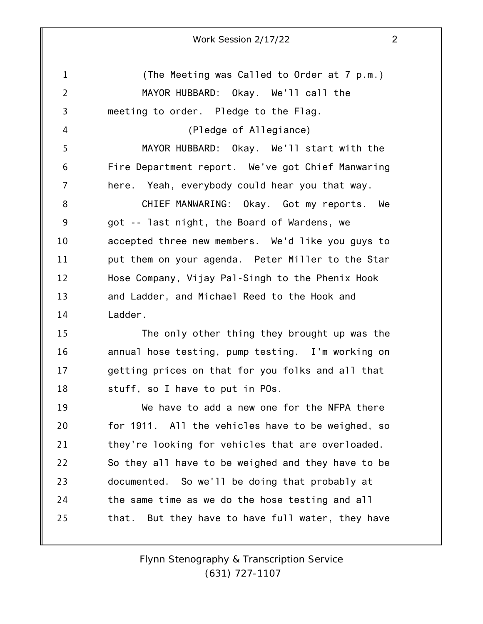| Work Session 2/17/22 |  |
|----------------------|--|
|----------------------|--|

1 2 3 4 5 6 7 8 9 10 11 12 13 14 15 16 17 18 19 20 21 22 23 24 25 (The Meeting was Called to Order at 7 p.m.) MAYOR HUBBARD: Okay. We'll call the meeting to order. Pledge to the Flag. (Pledge of Allegiance) MAYOR HUBBARD: Okay. We'll start with the Fire Department report. We've got Chief Manwaring here. Yeah, everybody could hear you that way. CHIEF MANWARING: Okay. Got my reports. We got -- last night, the Board of Wardens, we accepted three new members. We'd like you guys to put them on your agenda. Peter Miller to the Star Hose Company, Vijay Pal-Singh to the Phenix Hook and Ladder, and Michael Reed to the Hook and Ladder. The only other thing they brought up was the annual hose testing, pump testing. I'm working on getting prices on that for you folks and all that stuff, so I have to put in POs. We have to add a new one for the NFPA there for 1911. All the vehicles have to be weighed, so they're looking for vehicles that are overloaded. So they all have to be weighed and they have to be documented. So we'll be doing that probably at the same time as we do the hose testing and all that. But they have to have full water, they have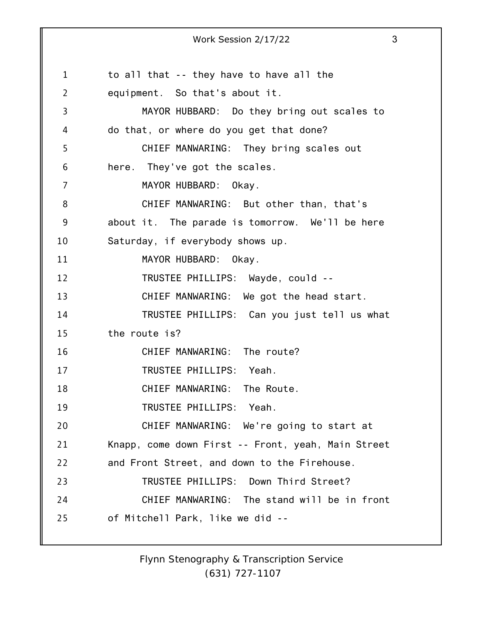1 2 3 4 5 6 7 8 9 10 11 12 13 14 15 16 17 18 19 20 21 22 23 24 25 Work Session 2/17/22 3 to all that -- they have to have all the equipment. So that's about it. MAYOR HUBBARD: Do they bring out scales to do that, or where do you get that done? CHIEF MANWARING: They bring scales out here. They've got the scales. MAYOR HUBBARD: Okay. CHIEF MANWARING: But other than, that's about it. The parade is tomorrow. We'll be here Saturday, if everybody shows up. MAYOR HUBBARD: Okay. TRUSTEE PHILLIPS: Wayde, could -- CHIEF MANWARING: We got the head start. TRUSTEE PHILLIPS: Can you just tell us what the route is? CHIEF MANWARING: The route? TRUSTEE PHILLIPS: Yeah. CHIEF MANWARING: The Route. TRUSTEE PHILLIPS: Yeah. CHIEF MANWARING: We're going to start at Knapp, come down First -- Front, yeah, Main Street and Front Street, and down to the Firehouse. TRUSTEE PHILLIPS: Down Third Street? CHIEF MANWARING: The stand will be in front of Mitchell Park, like we did --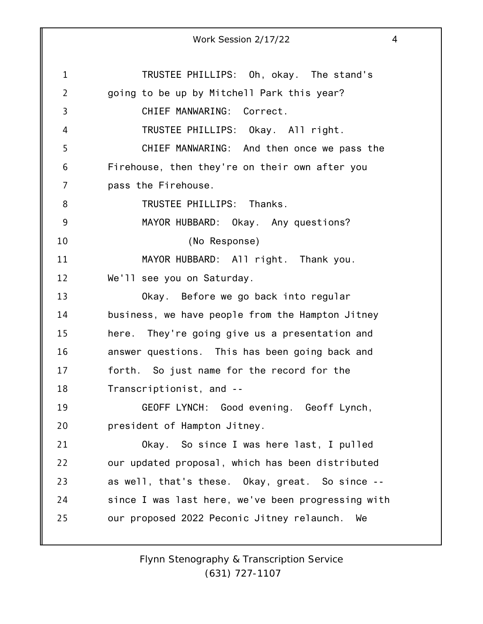|                | Work Session 2/17/22                               | $\overline{4}$ |
|----------------|----------------------------------------------------|----------------|
|                |                                                    |                |
| 1              | TRUSTEE PHILLIPS: Oh, okay. The stand's            |                |
| $\overline{2}$ | going to be up by Mitchell Park this year?         |                |
| 3              | CHIEF MANWARING: Correct.                          |                |
| 4              | TRUSTEE PHILLIPS: Okay. All right.                 |                |
| 5              | CHIEF MANWARING: And then once we pass the         |                |
| 6              | Firehouse, then they're on their own after you     |                |
| 7              | pass the Firehouse.                                |                |
| 8              | TRUSTEE PHILLIPS: Thanks.                          |                |
| 9              | MAYOR HUBBARD: Okay. Any questions?                |                |
| 10             | (No Response)                                      |                |
| 11             | MAYOR HUBBARD: All right. Thank you.               |                |
| 12             | We'll see you on Saturday.                         |                |
| 13             | Okay. Before we go back into regular               |                |
| 14             | business, we have people from the Hampton Jitney   |                |
| 15             | They're going give us a presentation and<br>here.  |                |
| 16             | answer questions. This has been going back and     |                |
| 17             | forth. So just name for the record for the         |                |
| 18             | Transcriptionist, and --                           |                |
| 19             | GEOFF LYNCH: Good evening. Geoff Lynch,            |                |
| 20             | president of Hampton Jitney.                       |                |
| 21             | Okay. So since I was here last, I pulled           |                |
| 22             | our updated proposal, which has been distributed   |                |
| 23             | as well, that's these. Okay, great. So since --    |                |
| 24             | since I was last here, we've been progressing with |                |
| 25             | our proposed 2022 Peconic Jitney relaunch.<br>We   |                |
|                |                                                    |                |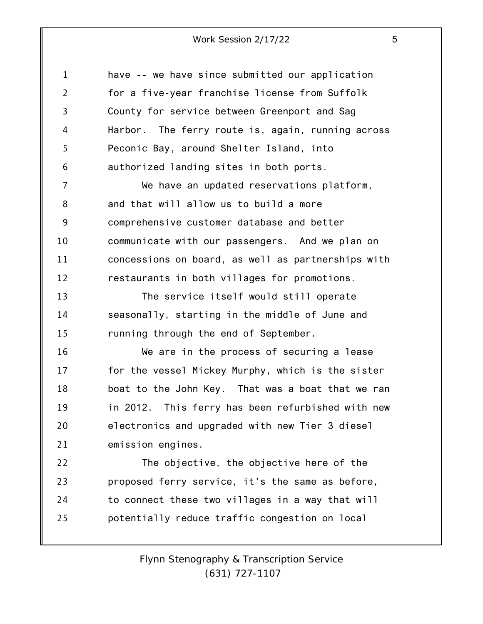| $\mathbf{1}$   | have -- we have since submitted our application    |
|----------------|----------------------------------------------------|
| $\overline{2}$ | for a five-year franchise license from Suffolk     |
| 3              | County for service between Greenport and Sag       |
| 4              | Harbor. The ferry route is, again, running across  |
| 5              | Peconic Bay, around Shelter Island, into           |
| 6              | authorized landing sites in both ports.            |
| 7              | We have an updated reservations platform,          |
| 8              | and that will allow us to build a more             |
| 9              | comprehensive customer database and better         |
| 10             | communicate with our passengers. And we plan on    |
| 11             | concessions on board, as well as partnerships with |
| 12             | restaurants in both villages for promotions.       |
| 13             | The service itself would still operate             |
| 14             | seasonally, starting in the middle of June and     |
| 15             | running through the end of September.              |
| 16             | We are in the process of securing a lease          |
| 17             | for the vessel Mickey Murphy, which is the sister  |
| 18             | boat to the John Key. That was a boat that we ran  |
| 19             | in 2012. This ferry has been refurbished with new  |
| 20             | electronics and upgraded with new Tier 3 diesel    |
| 21             | emission engines.                                  |
| 22             | The objective, the objective here of the           |
| 23             | proposed ferry service, it's the same as before,   |
| 24             | to connect these two villages in a way that will   |
| 25             | potentially reduce traffic congestion on local     |
|                |                                                    |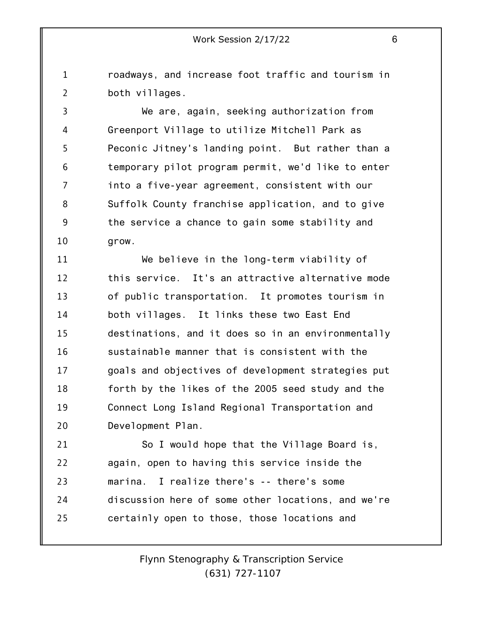1 2 roadways, and increase foot traffic and tourism in both villages.

3 4 5 6 7 8 9 10 We are, again, seeking authorization from Greenport Village to utilize Mitchell Park as Peconic Jitney's landing point. But rather than a temporary pilot program permit, we'd like to enter into a five-year agreement, consistent with our Suffolk County franchise application, and to give the service a chance to gain some stability and grow.

11 12 13 14 15 16 17 18 19 20 We believe in the long-term viability of this service. It's an attractive alternative mode of public transportation. It promotes tourism in both villages. It links these two East End destinations, and it does so in an environmentally sustainable manner that is consistent with the goals and objectives of development strategies put forth by the likes of the 2005 seed study and the Connect Long Island Regional Transportation and Development Plan.

21 22 23 24 25 So I would hope that the Village Board is, again, open to having this service inside the marina. I realize there's -- there's some discussion here of some other locations, and we're certainly open to those, those locations and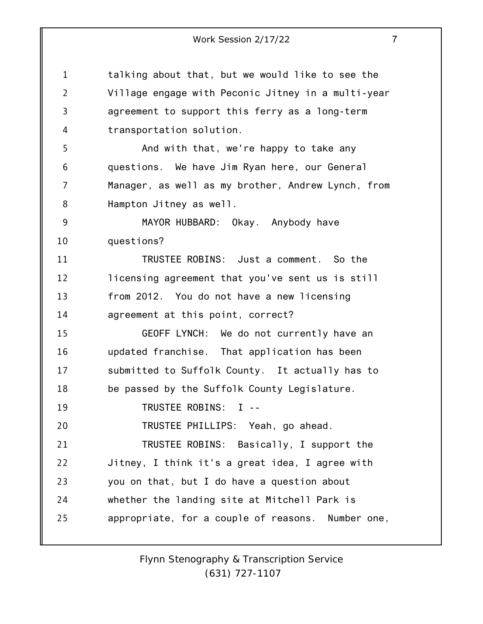1 2 3 4 5 6 7 8 9 10 11 12 13 14 15 16 17 18 19 20 21 22 23 24 25 talking about that, but we would like to see the Village engage with Peconic Jitney in a multi-year agreement to support this ferry as a long-term transportation solution. And with that, we're happy to take any questions. We have Jim Ryan here, our General Manager, as well as my brother, Andrew Lynch, from Hampton Jitney as well. MAYOR HUBBARD: Okay. Anybody have questions? TRUSTEE ROBINS: Just a comment. So the licensing agreement that you've sent us is still from 2012. You do not have a new licensing agreement at this point, correct? GEOFF LYNCH: We do not currently have an updated franchise. That application has been submitted to Suffolk County. It actually has to be passed by the Suffolk County Legislature. TRUSTEE ROBINS: I -- TRUSTEE PHILLIPS: Yeah, go ahead. TRUSTEE ROBINS: Basically, I support the Jitney, I think it's a great idea, I agree with you on that, but I do have a question about whether the landing site at Mitchell Park is appropriate, for a couple of reasons. Number one,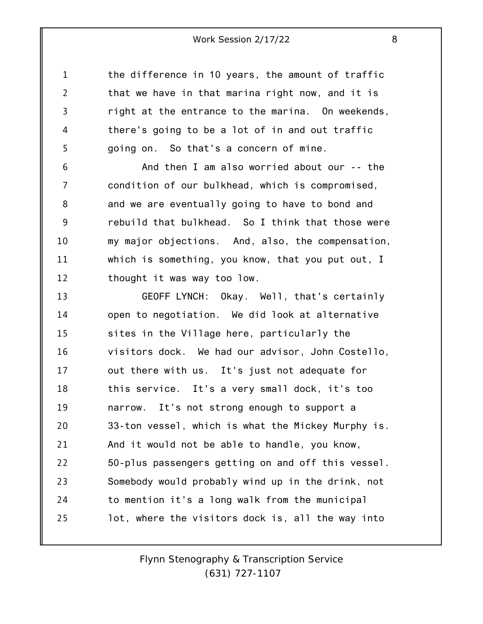1 2 3 4 5 the difference in 10 years, the amount of traffic that we have in that marina right now, and it is right at the entrance to the marina. On weekends, there's going to be a lot of in and out traffic going on. So that's a concern of mine.

6 7 8 9 10 11 12 And then I am also worried about our -- the condition of our bulkhead, which is compromised, and we are eventually going to have to bond and rebuild that bulkhead. So I think that those were my major objections. And, also, the compensation, which is something, you know, that you put out, I thought it was way too low.

13 14 15 16 17 18 19 20 21 22 23 24 25 GEOFF LYNCH: Okay. Well, that's certainly open to negotiation. We did look at alternative sites in the Village here, particularly the visitors dock. We had our advisor, John Costello, out there with us. It's just not adequate for this service. It's a very small dock, it's too narrow. It's not strong enough to support a 33-ton vessel, which is what the Mickey Murphy is. And it would not be able to handle, you know, 50-plus passengers getting on and off this vessel. Somebody would probably wind up in the drink, not to mention it's a long walk from the municipal lot, where the visitors dock is, all the way into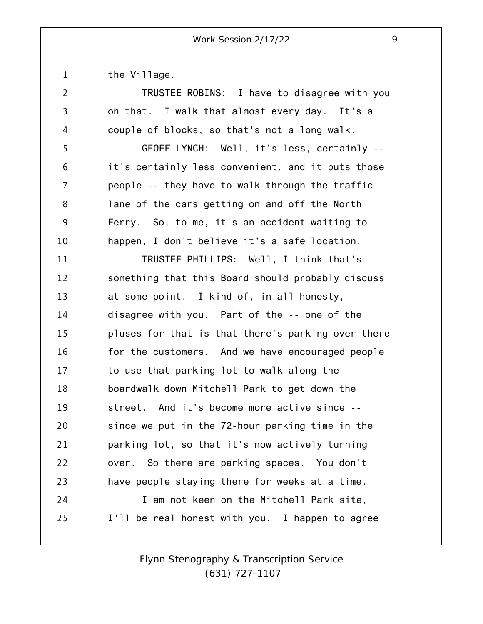1 the Village.

| 2  | TRUSTEE ROBINS: I have to disagree with you        |
|----|----------------------------------------------------|
| 3  | on that. I walk that almost every day. It's a      |
| 4  | couple of blocks, so that's not a long walk.       |
| 5  | GEOFF LYNCH: Well, it's less, certainly --         |
| 6  | it's certainly less convenient, and it puts those  |
| 7  | people -- they have to walk through the traffic    |
| 8  | lane of the cars getting on and off the North      |
| 9  | Ferry. So, to me, it's an accident waiting to      |
| 10 | happen, I don't believe it's a safe location.      |
| 11 | TRUSTEE PHILLIPS: Well, I think that's             |
| 12 | something that this Board should probably discuss  |
| 13 | at some point. I kind of, in all honesty,          |
| 14 | disagree with you. Part of the -- one of the       |
| 15 | pluses for that is that there's parking over there |
| 16 | for the customers. And we have encouraged people   |
| 17 | to use that parking lot to walk along the          |
| 18 | boardwalk down Mitchell Park to get down the       |
| 19 | street. And it's become more active since --       |
| 20 | since we put in the 72-hour parking time in the    |
| 21 | parking lot, so that it's now actively turning     |
| 22 | over. So there are parking spaces. You don't       |
| 23 | have people staying there for weeks at a time.     |
| 24 | I am not keen on the Mitchell Park site,           |
| 25 | I'll be real honest with you. I happen to agree    |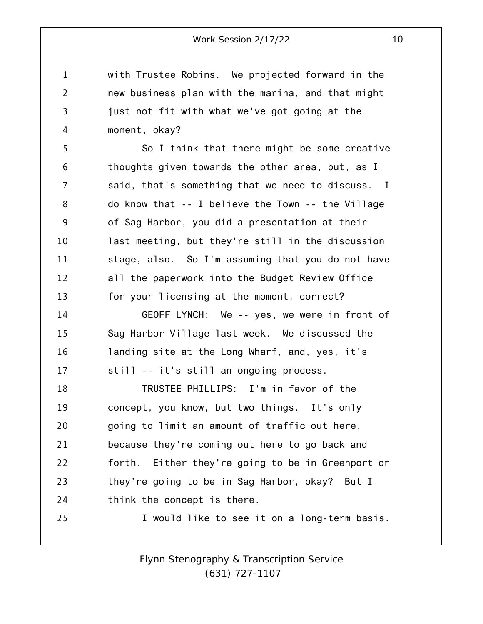with Trustee Robins. We projected forward in the new business plan with the marina, and that might just not fit with what we've got going at the moment, okay?

1

2

3

4

5 6 7 8 9 10 11 12 13 So I think that there might be some creative thoughts given towards the other area, but, as I said, that's something that we need to discuss. I do know that -- I believe the Town -- the Village of Sag Harbor, you did a presentation at their last meeting, but they're still in the discussion stage, also. So I'm assuming that you do not have all the paperwork into the Budget Review Office for your licensing at the moment, correct?

14 15 16 17 GEOFF LYNCH: We -- yes, we were in front of Sag Harbor Village last week. We discussed the landing site at the Long Wharf, and, yes, it's still -- it's still an ongoing process.

18 19 20 21 22 23 24 25 TRUSTEE PHILLIPS: I'm in favor of the concept, you know, but two things. It's only going to limit an amount of traffic out here, because they're coming out here to go back and forth. Either they're going to be in Greenport or they're going to be in Sag Harbor, okay? But I think the concept is there. I would like to see it on a long-term basis.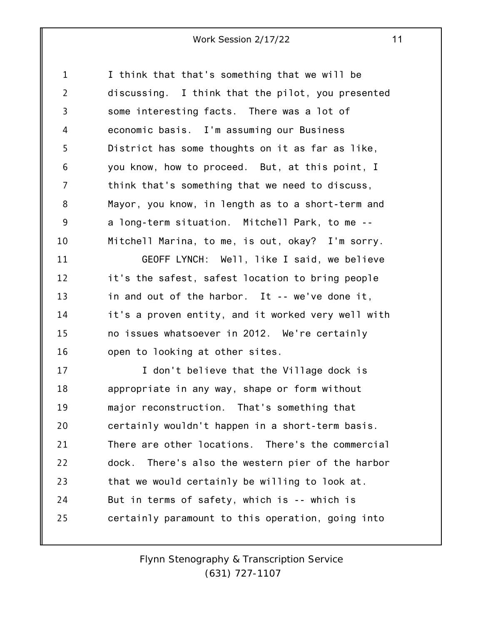1 2 3 4 5 6 7 8 9 10 I think that that's something that we will be discussing. I think that the pilot, you presented some interesting facts. There was a lot of economic basis. I'm assuming our Business District has some thoughts on it as far as like, you know, how to proceed. But, at this point, I think that's something that we need to discuss, Mayor, you know, in length as to a short-term and a long-term situation. Mitchell Park, to me -- Mitchell Marina, to me, is out, okay? I'm sorry.

11 12 13 14 15 16 GEOFF LYNCH: Well, like I said, we believe it's the safest, safest location to bring people in and out of the harbor. It -- we've done it, it's a proven entity, and it worked very well with no issues whatsoever in 2012. We're certainly open to looking at other sites.

17 18 19 20 21 22 23 24 25 I don't believe that the Village dock is appropriate in any way, shape or form without major reconstruction. That's something that certainly wouldn't happen in a short-term basis. There are other locations. There's the commercial dock. There's also the western pier of the harbor that we would certainly be willing to look at. But in terms of safety, which is -- which is certainly paramount to this operation, going into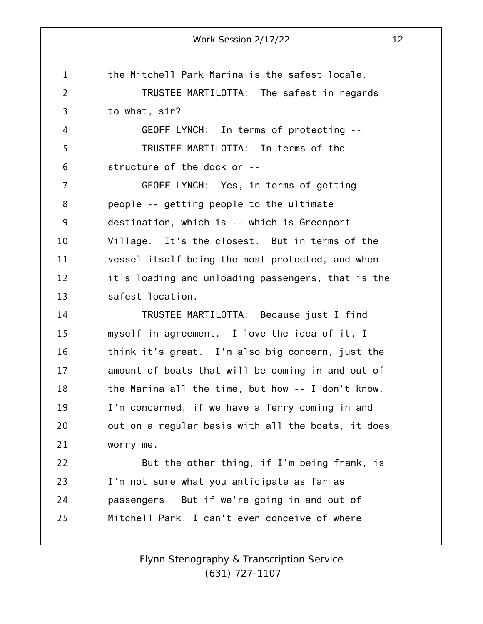1 2 3 4 5 6 7 8 9 10 11 12 13 14 15 16 17 18 19 20 21 22 23 24 25 Work Session 2/17/22 12 the Mitchell Park Marina is the safest locale. TRUSTEE MARTILOTTA: The safest in regards to what, sir? GEOFF LYNCH: In terms of protecting -- TRUSTEE MARTILOTTA: In terms of the structure of the dock or -- GEOFF LYNCH: Yes, in terms of getting people -- getting people to the ultimate destination, which is -- which is Greenport Village. It's the closest. But in terms of the vessel itself being the most protected, and when it's loading and unloading passengers, that is the safest location. TRUSTEE MARTILOTTA: Because just I find myself in agreement. I love the idea of it, I think it's great. I'm also big concern, just the amount of boats that will be coming in and out of the Marina all the time, but how -- I don't know. I'm concerned, if we have a ferry coming in and out on a regular basis with all the boats, it does worry me. But the other thing, if I'm being frank, is I'm not sure what you anticipate as far as passengers. But if we're going in and out of Mitchell Park, I can't even conceive of where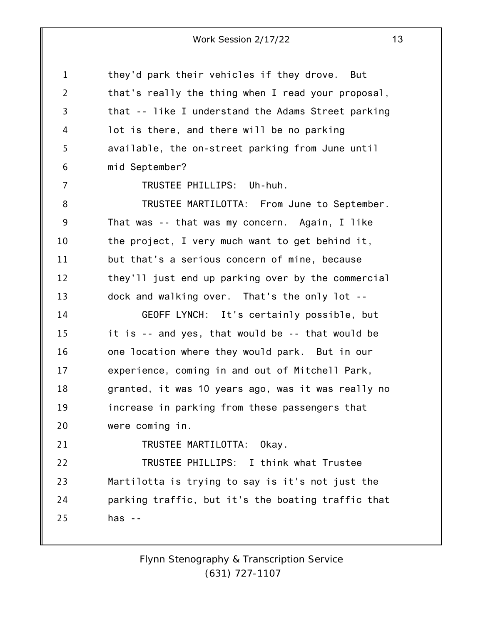1 2 3 4 5 6 7 8 9 10 11 12 13 14 15 16 17 18 19 20 21 22 23 24 25 they'd park their vehicles if they drove. But that's really the thing when I read your proposal, that -- like I understand the Adams Street parking lot is there, and there will be no parking available, the on-street parking from June until mid September? TRUSTEE PHILLIPS: Uh-huh. TRUSTEE MARTILOTTA: From June to September. That was -- that was my concern. Again, I like the project, I very much want to get behind it, but that's a serious concern of mine, because they'll just end up parking over by the commercial dock and walking over. That's the only lot -- GEOFF LYNCH: It's certainly possible, but it is -- and yes, that would be -- that would be one location where they would park. But in our experience, coming in and out of Mitchell Park, granted, it was 10 years ago, was it was really no increase in parking from these passengers that were coming in. TRUSTEE MARTILOTTA: Okay. TRUSTEE PHILLIPS: I think what Trustee Martilotta is trying to say is it's not just the parking traffic, but it's the boating traffic that has  $-$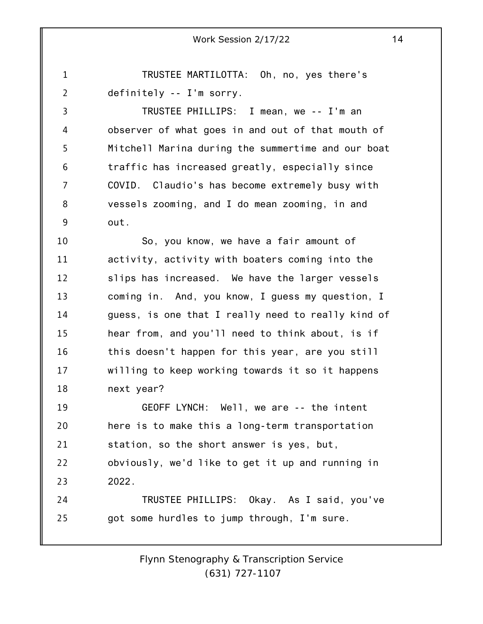1 2 TRUSTEE MARTILOTTA: Oh, no, yes there's definitely -- I'm sorry.

3 4 5 6 7 8 9 TRUSTEE PHILLIPS: I mean, we -- I'm an observer of what goes in and out of that mouth of Mitchell Marina during the summertime and our boat traffic has increased greatly, especially since COVID. Claudio's has become extremely busy with vessels zooming, and I do mean zooming, in and out.

10 11 12 13 14 15 16 17 18 So, you know, we have a fair amount of activity, activity with boaters coming into the slips has increased. We have the larger vessels coming in. And, you know, I guess my question, I guess, is one that I really need to really kind of hear from, and you'll need to think about, is if this doesn't happen for this year, are you still willing to keep working towards it so it happens next year?

19 20 21 22 23 GEOFF LYNCH: Well, we are -- the intent here is to make this a long-term transportation station, so the short answer is yes, but, obviously, we'd like to get it up and running in 2022.

24 25 TRUSTEE PHILLIPS: Okay. As I said, you've got some hurdles to jump through, I'm sure.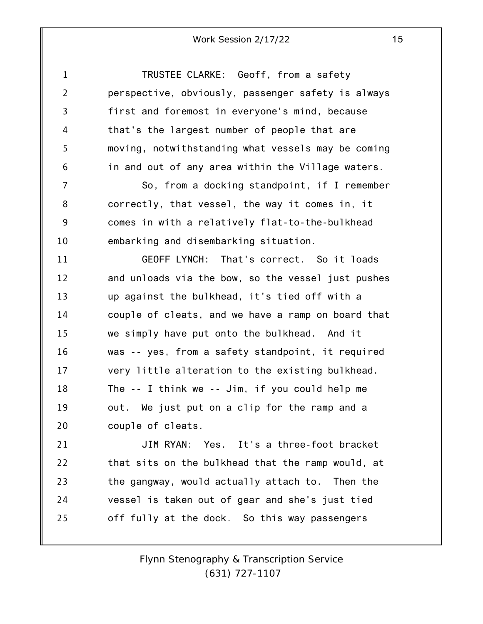| $\mathbf 1$    | TRUSTEE CLARKE: Geoff, from a safety               |
|----------------|----------------------------------------------------|
| $\overline{2}$ | perspective, obviously, passenger safety is always |
| 3              | first and foremost in everyone's mind, because     |
| 4              | that's the largest number of people that are       |
| 5              | moving, notwithstanding what vessels may be coming |
| 6              | in and out of any area within the Village waters.  |
| 7              | So, from a docking standpoint, if I remember       |
| 8              | correctly, that vessel, the way it comes in, it    |
| 9              | comes in with a relatively flat-to-the-bulkhead    |
| 10             | embarking and disembarking situation.              |
| 11             | GEOFF LYNCH: That's correct. So it loads           |
| 12             | and unloads via the bow, so the vessel just pushes |
| 13             | up against the bulkhead, it's tied off with a      |
| 14             | couple of cleats, and we have a ramp on board that |
| 15             | we simply have put onto the bulkhead. And it       |
| 16             | was -- yes, from a safety standpoint, it required  |
| 17             | very little alteration to the existing bulkhead.   |
| 18             | The $-$ I think we $-$ Jim, if you could help me   |
| 19             | out. We just put on a clip for the ramp and a      |
| 20             | couple of cleats.                                  |
| 21             | JIM RYAN: Yes. It's a three-foot bracket           |
| 22             | that sits on the bulkhead that the ramp would, at  |
| 23             | the gangway, would actually attach to. Then the    |
| 24             | vessel is taken out of gear and she's just tied    |
| 25             | off fully at the dock. So this way passengers      |
|                |                                                    |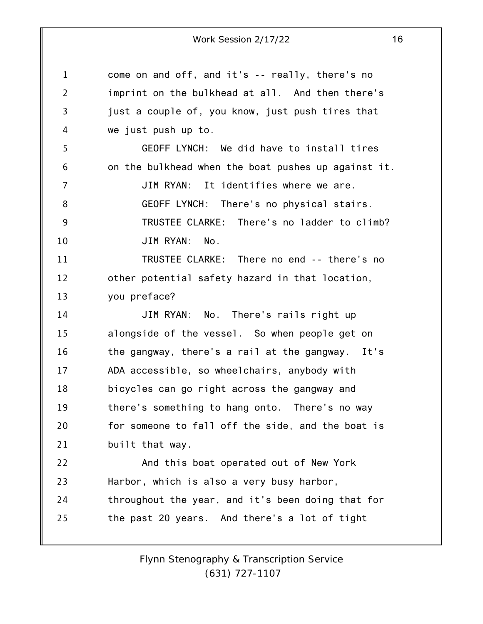1 2 3 4 5 6 7 8 9 10 11 12 13 14 15 16 17 18 19 20 21 22 23 24 25 come on and off, and it's -- really, there's no imprint on the bulkhead at all. And then there's just a couple of, you know, just push tires that we just push up to. GEOFF LYNCH: We did have to install tires on the bulkhead when the boat pushes up against it. JIM RYAN: It identifies where we are. GEOFF LYNCH: There's no physical stairs. TRUSTEE CLARKE: There's no ladder to climb? JIM RYAN: No. TRUSTEE CLARKE: There no end -- there's no other potential safety hazard in that location, you preface? JIM RYAN: No. There's rails right up alongside of the vessel. So when people get on the gangway, there's a rail at the gangway. It's ADA accessible, so wheelchairs, anybody with bicycles can go right across the gangway and there's something to hang onto. There's no way for someone to fall off the side, and the boat is built that way. And this boat operated out of New York Harbor, which is also a very busy harbor, throughout the year, and it's been doing that for the past 20 years. And there's a lot of tight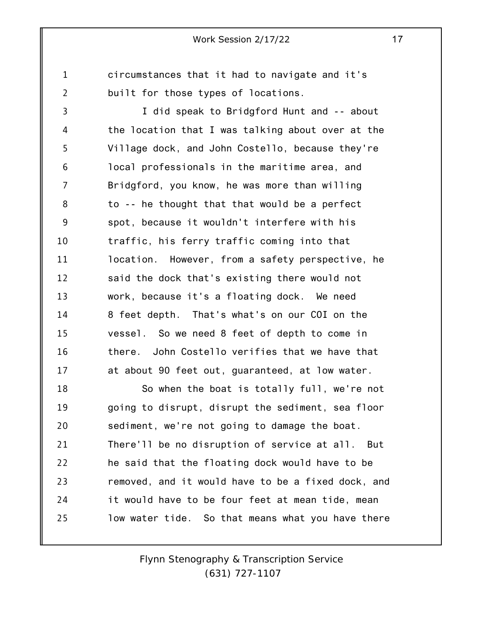circumstances that it had to navigate and it's built for those types of locations.

1

2

3 4 5 6 7 8 9 10 11 12 13 14 15 16 17 I did speak to Bridgford Hunt and -- about the location that I was talking about over at the Village dock, and John Costello, because they're local professionals in the maritime area, and Bridgford, you know, he was more than willing to -- he thought that that would be a perfect spot, because it wouldn't interfere with his traffic, his ferry traffic coming into that location. However, from a safety perspective, he said the dock that's existing there would not work, because it's a floating dock. We need 8 feet depth. That's what's on our COI on the vessel. So we need 8 feet of depth to come in there. John Costello verifies that we have that at about 90 feet out, guaranteed, at low water.

18 19 20 21 22 23 24 25 So when the boat is totally full, we're not going to disrupt, disrupt the sediment, sea floor sediment, we're not going to damage the boat. There'll be no disruption of service at all. But he said that the floating dock would have to be removed, and it would have to be a fixed dock, and it would have to be four feet at mean tide, mean low water tide. So that means what you have there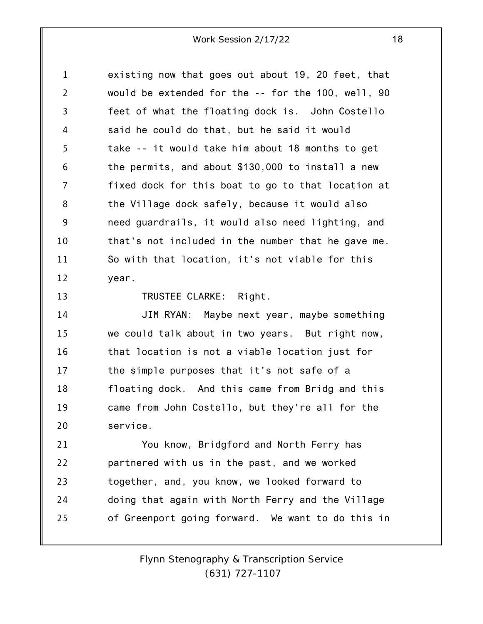1 2 3 4 5 6 7 8 9 10 11 12 existing now that goes out about 19, 20 feet, that would be extended for the -- for the 100, well, 90 feet of what the floating dock is. John Costello said he could do that, but he said it would take -- it would take him about 18 months to get the permits, and about \$130,000 to install a new fixed dock for this boat to go to that location at the Village dock safely, because it would also need guardrails, it would also need lighting, and that's not included in the number that he gave me. So with that location, it's not viable for this year.

13

TRUSTEE CLARKE: Right.

14 15 16 17 18 19 20 JIM RYAN: Maybe next year, maybe something we could talk about in two years. But right now, that location is not a viable location just for the simple purposes that it's not safe of a floating dock. And this came from Bridg and this came from John Costello, but they're all for the service.

21 22 23 24 25 You know, Bridgford and North Ferry has partnered with us in the past, and we worked together, and, you know, we looked forward to doing that again with North Ferry and the Village of Greenport going forward. We want to do this in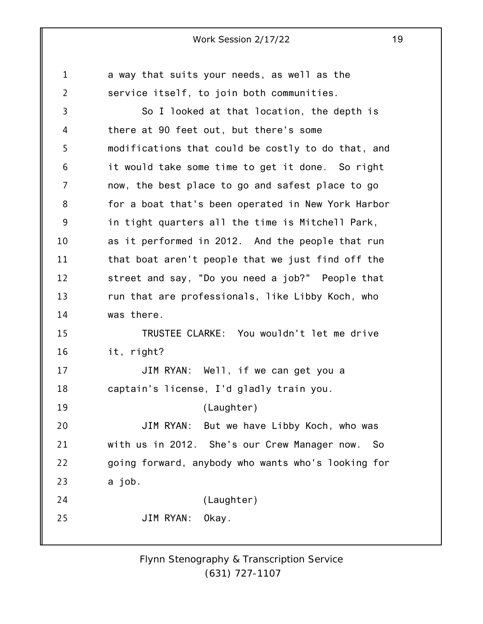1 2 3 4 5 6 7 8 9 10 11 12 13 14 15 16 17 18 19 20 21 22 23 24 25 a way that suits your needs, as well as the service itself, to join both communities. So I looked at that location, the depth is there at 90 feet out, but there's some modifications that could be costly to do that, and it would take some time to get it done. So right now, the best place to go and safest place to go for a boat that's been operated in New York Harbor in tight quarters all the time is Mitchell Park, as it performed in 2012. And the people that run that boat aren't people that we just find off the street and say, "Do you need a job?" People that run that are professionals, like Libby Koch, who was there. TRUSTEE CLARKE: You wouldn't let me drive it, right? JIM RYAN: Well, if we can get you a captain's license, I'd gladly train you. (Laughter) JIM RYAN: But we have Libby Koch, who was with us in 2012. She's our Crew Manager now. So going forward, anybody who wants who's looking for a job. (Laughter) JIM RYAN: Okay.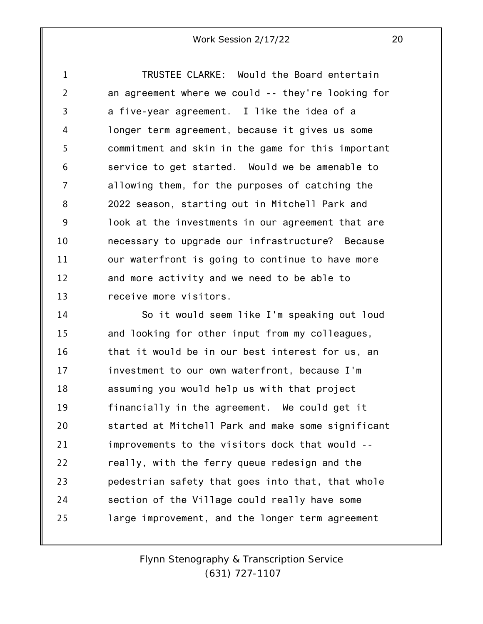1 2 3 4 5 6 7 8 9 10 11 12 13 TRUSTEE CLARKE: Would the Board entertain an agreement where we could -- they're looking for a five-year agreement. I like the idea of a longer term agreement, because it gives us some commitment and skin in the game for this important service to get started. Would we be amenable to allowing them, for the purposes of catching the 2022 season, starting out in Mitchell Park and look at the investments in our agreement that are necessary to upgrade our infrastructure? Because our waterfront is going to continue to have more and more activity and we need to be able to receive more visitors.

14 15 16 17 18 19 20 21 22 23 24 25 So it would seem like I'm speaking out loud and looking for other input from my colleagues, that it would be in our best interest for us, an investment to our own waterfront, because I'm assuming you would help us with that project financially in the agreement. We could get it started at Mitchell Park and make some significant improvements to the visitors dock that would - really, with the ferry queue redesign and the pedestrian safety that goes into that, that whole section of the Village could really have some large improvement, and the longer term agreement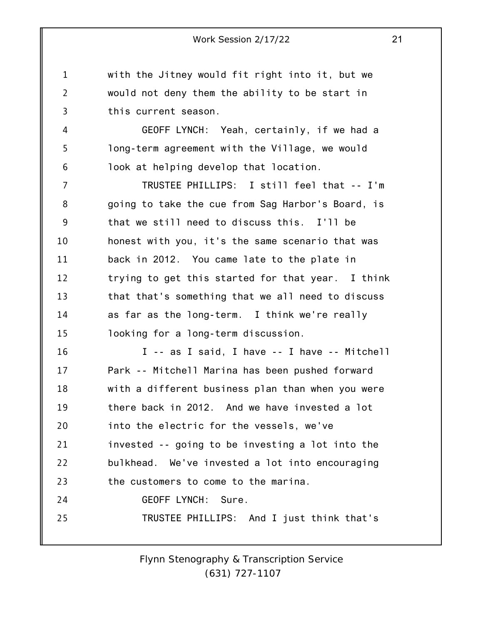1 2 3 with the Jitney would fit right into it, but we would not deny them the ability to be start in this current season.

4

5

6

GEOFF LYNCH: Yeah, certainly, if we had a long-term agreement with the Village, we would look at helping develop that location.

7 8 9 10 11 12 13 14 15 TRUSTEE PHILLIPS: I still feel that -- I'm going to take the cue from Sag Harbor's Board, is that we still need to discuss this. I'll be honest with you, it's the same scenario that was back in 2012. You came late to the plate in trying to get this started for that year. I think that that's something that we all need to discuss as far as the long-term. I think we're really looking for a long-term discussion.

16 17 18 19 20 21 22 23 24 25 I -- as I said, I have -- I have -- Mitchell Park -- Mitchell Marina has been pushed forward with a different business plan than when you were there back in 2012. And we have invested a lot into the electric for the vessels, we've invested -- going to be investing a lot into the bulkhead. We've invested a lot into encouraging the customers to come to the marina. GEOFF LYNCH: Sure. TRUSTEE PHILLIPS: And I just think that's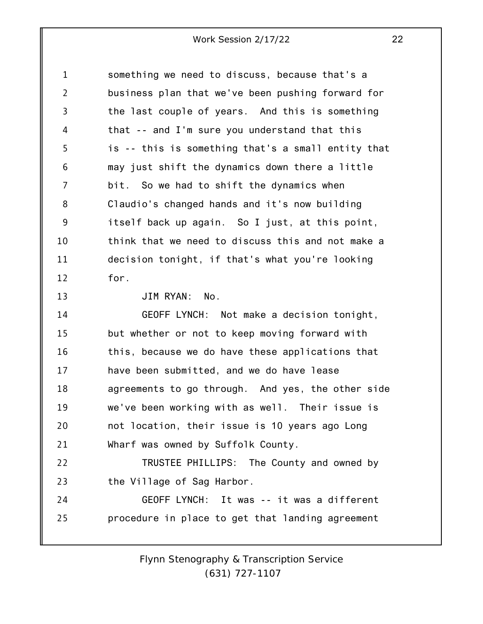1 2 3 4 5 6 7 8 9 10 11 12 13 14 15 16 17 18 19 20 21 22 23 24 25 something we need to discuss, because that's a business plan that we've been pushing forward for the last couple of years. And this is something that -- and I'm sure you understand that this is -- this is something that's a small entity that may just shift the dynamics down there a little bit. So we had to shift the dynamics when Claudio's changed hands and it's now building itself back up again. So I just, at this point, think that we need to discuss this and not make a decision tonight, if that's what you're looking for. JIM RYAN: No. GEOFF LYNCH: Not make a decision tonight, but whether or not to keep moving forward with this, because we do have these applications that have been submitted, and we do have lease agreements to go through. And yes, the other side we've been working with as well. Their issue is not location, their issue is 10 years ago Long Wharf was owned by Suffolk County. TRUSTEE PHILLIPS: The County and owned by the Village of Sag Harbor. GEOFF LYNCH: It was -- it was a different procedure in place to get that landing agreement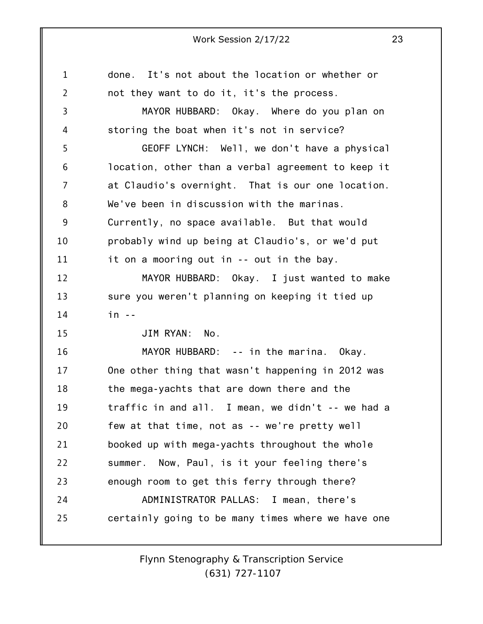| 1              | done. It's not about the location or whether or    |
|----------------|----------------------------------------------------|
| $\overline{2}$ | not they want to do it, it's the process.          |
| 3              | MAYOR HUBBARD: Okay. Where do you plan on          |
| 4              | storing the boat when it's not in service?         |
| 5              | GEOFF LYNCH: Well, we don't have a physical        |
| 6              | location, other than a verbal agreement to keep it |
| 7              | at Claudio's overnight. That is our one location.  |
| 8              | We've been in discussion with the marinas.         |
| 9              | Currently, no space available. But that would      |
| 10             | probably wind up being at Claudio's, or we'd put   |
| 11             | it on a mooring out in -- out in the bay.          |
| 12             | MAYOR HUBBARD: Okay. I just wanted to make         |
| 13             | sure you weren't planning on keeping it tied up    |
| 14             | $in -$                                             |
| 15             | JIM RYAN:<br>No.                                   |
| 16             | MAYOR HUBBARD: -- in the marina. Okay.             |
| 17             | One other thing that wasn't happening in 2012 was  |
| 18             | the mega-yachts that are down there and the        |
| 19             | traffic in and all. I mean, we didn't -- we had a  |
| 20             | few at that time, not as -- we're pretty well      |
| 21             | booked up with mega-yachts throughout the whole    |
| 22             | summer. Now, Paul, is it your feeling there's      |
| 23             | enough room to get this ferry through there?       |
| 24             | ADMINISTRATOR PALLAS: I mean, there's              |
| 25             | certainly going to be many times where we have one |
|                |                                                    |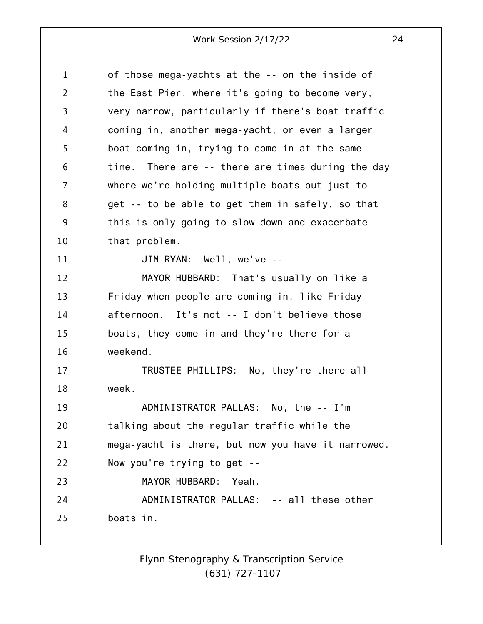| 1  | of those mega-yachts at the -- on the inside of    |
|----|----------------------------------------------------|
| 2  | the East Pier, where it's going to become very,    |
| 3  | very narrow, particularly if there's boat traffic  |
| 4  | coming in, another mega-yacht, or even a larger    |
| 5  | boat coming in, trying to come in at the same      |
| 6  | time. There are -- there are times during the day  |
| 7  | where we're holding multiple boats out just to     |
| 8  | get -- to be able to get them in safely, so that   |
| 9  | this is only going to slow down and exacerbate     |
| 10 | that problem.                                      |
| 11 | JIM RYAN: Well, we've --                           |
| 12 | MAYOR HUBBARD: That's usually on like a            |
| 13 | Friday when people are coming in, like Friday      |
| 14 | afternoon. It's not -- I don't believe those       |
| 15 | boats, they come in and they're there for a        |
| 16 | weekend.                                           |
| 17 | TRUSTEE PHILLIPS: No, they're there all            |
| 18 | week.                                              |
| 19 | ADMINISTRATOR PALLAS: No, the -- I'm               |
| 20 | talking about the regular traffic while the        |
| 21 | mega-yacht is there, but now you have it narrowed. |
| 22 | Now you're trying to get --                        |
| 23 | MAYOR HUBBARD:<br>Yeah.                            |
| 24 | ADMINISTRATOR PALLAS: -- all these other           |
| 25 | boats in.                                          |
|    |                                                    |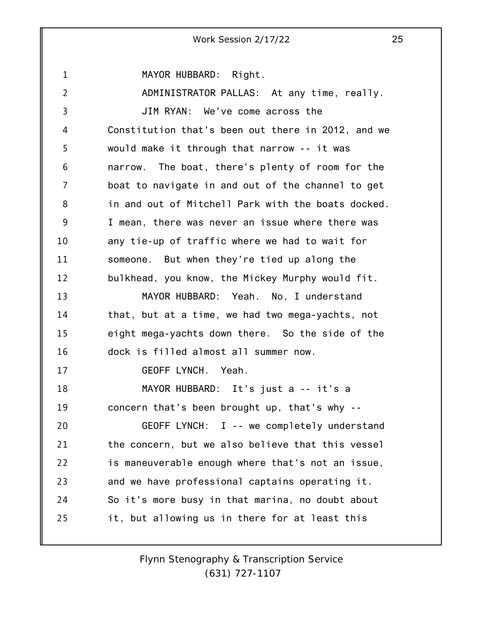1 2 3 4 5 6 7 8 9 10 11 12 13 14 15 16 17 18 19 20 21 22 23 24 25 Work Session 2/17/22 25 MAYOR HUBBARD: Right. ADMINISTRATOR PALLAS: At any time, really. JIM RYAN: We've come across the Constitution that's been out there in 2012, and we would make it through that narrow -- it was narrow. The boat, there's plenty of room for the boat to navigate in and out of the channel to get in and out of Mitchell Park with the boats docked. I mean, there was never an issue where there was any tie-up of traffic where we had to wait for someone. But when they're tied up along the bulkhead, you know, the Mickey Murphy would fit. MAYOR HUBBARD: Yeah. No, I understand that, but at a time, we had two mega-yachts, not eight mega-yachts down there. So the side of the dock is filled almost all summer now. GEOFF LYNCH. Yeah. MAYOR HUBBARD: It's just a -- it's a concern that's been brought up, that's why -- GEOFF LYNCH: I -- we completely understand the concern, but we also believe that this vessel is maneuverable enough where that's not an issue, and we have professional captains operating it. So it's more busy in that marina, no doubt about it, but allowing us in there for at least this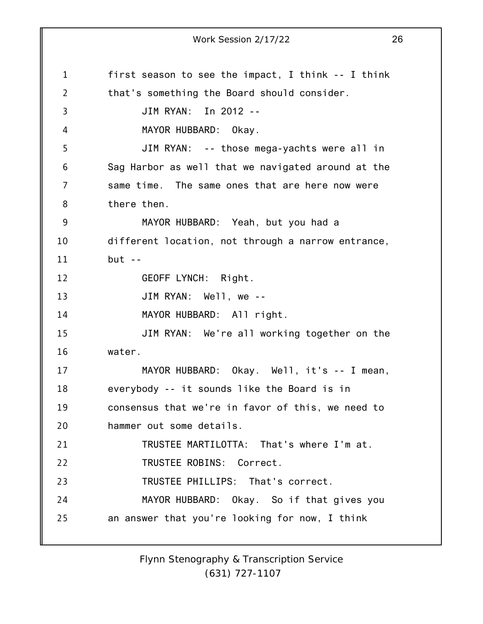1 2 3 4 5 6 7 8 9 10 11 12 13 14 15 16 17 18 19 20 21 22 23 24 25 Work Session 2/17/22 26 first season to see the impact, I think -- I think that's something the Board should consider. JIM RYAN: In 2012 -- MAYOR HUBBARD: Okay. JIM RYAN: -- those mega-yachts were all in Sag Harbor as well that we navigated around at the same time. The same ones that are here now were there then. MAYOR HUBBARD: Yeah, but you had a different location, not through a narrow entrance,  $but --$ GEOFF LYNCH: Right. JIM RYAN: Well, we -- MAYOR HUBBARD: All right. JIM RYAN: We're all working together on the water. MAYOR HUBBARD: Okay. Well, it's -- I mean, everybody -- it sounds like the Board is in consensus that we're in favor of this, we need to hammer out some details. TRUSTEE MARTILOTTA: That's where I'm at. TRUSTEE ROBINS: Correct. TRUSTEE PHILLIPS: That's correct. MAYOR HUBBARD: Okay. So if that gives you an answer that you're looking for now, I think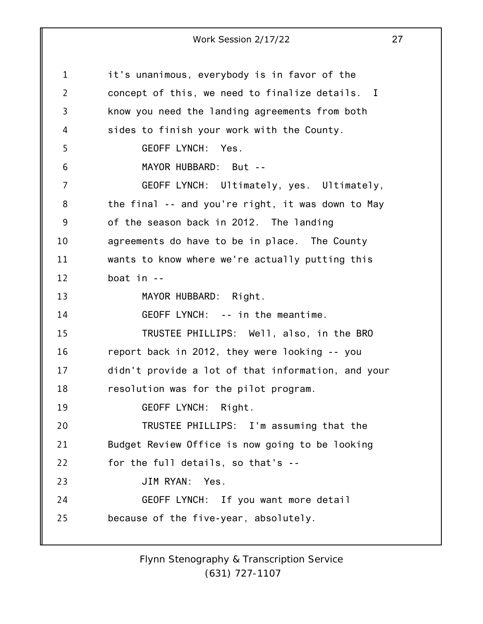1 2 3 4 5 6 7 8 9 10 11 12 13 14 15 16 17 18 19 20 21 22 23 24 25 Work Session 2/17/22 27 it's unanimous, everybody is in favor of the concept of this, we need to finalize details. I know you need the landing agreements from both sides to finish your work with the County. GEOFF LYNCH: Yes. MAYOR HUBBARD: But -- GEOFF LYNCH: Ultimately, yes. Ultimately, the final -- and you're right, it was down to May of the season back in 2012. The landing agreements do have to be in place. The County wants to know where we're actually putting this boat in -- MAYOR HUBBARD: Right. GEOFF LYNCH: -- in the meantime. TRUSTEE PHILLIPS: Well, also, in the BRO report back in 2012, they were looking -- you didn't provide a lot of that information, and your resolution was for the pilot program. GEOFF LYNCH: Right. TRUSTEE PHILLIPS: I'm assuming that the Budget Review Office is now going to be looking for the full details, so that's -- JIM RYAN: Yes. GEOFF LYNCH: If you want more detail because of the five-year, absolutely.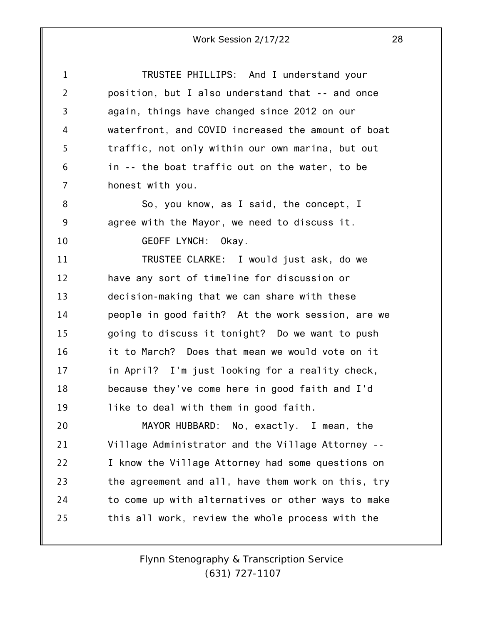| $\mathbf{1}$   | TRUSTEE PHILLIPS: And I understand your            |
|----------------|----------------------------------------------------|
| $\overline{2}$ | position, but I also understand that -- and once   |
| 3              | again, things have changed since 2012 on our       |
| 4              | waterfront, and COVID increased the amount of boat |
| 5              | traffic, not only within our own marina, but out   |
| 6              | in -- the boat traffic out on the water, to be     |
| 7              | honest with you.                                   |
| 8              | So, you know, as I said, the concept, I            |
| 9              | agree with the Mayor, we need to discuss it.       |
| 10             | GEOFF LYNCH: Okay.                                 |
| 11             | TRUSTEE CLARKE: I would just ask, do we            |
| 12             | have any sort of timeline for discussion or        |
| 13             | decision-making that we can share with these       |
| 14             | people in good faith? At the work session, are we  |
| 15             | going to discuss it tonight? Do we want to push    |
| 16             | it to March? Does that mean we would vote on it    |
| 17             | in April? I'm just looking for a reality check,    |
| 18             | because they've come here in good faith and I'd    |
| 19             | like to deal with them in good faith.              |
| 20             | MAYOR HUBBARD: No, exactly. I mean, the            |
| 21             | Village Administrator and the Village Attorney --  |
| 22             | I know the Village Attorney had some questions on  |
| 23             | the agreement and all, have them work on this, try |
| 24             | to come up with alternatives or other ways to make |
| 25             | this all work, review the whole process with the   |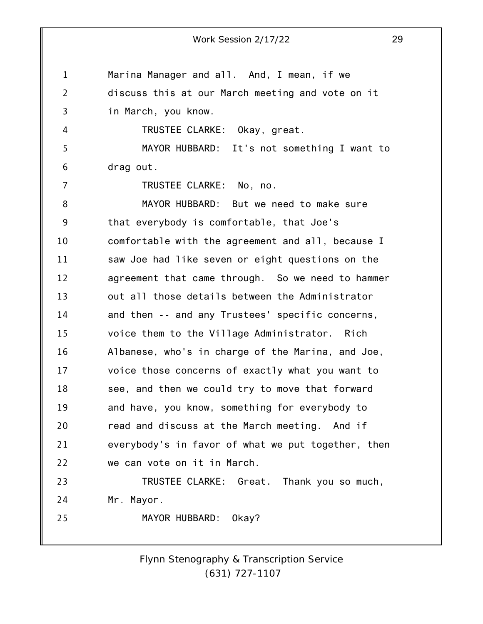1 2 3 4 5 6 7 8 9 10 11 12 13 14 15 16 17 18 19 20 21 22 23 24 25 Work Session 2/17/22 29 Marina Manager and all. And, I mean, if we discuss this at our March meeting and vote on it in March, you know. TRUSTEE CLARKE: Okay, great. MAYOR HUBBARD: It's not something I want to drag out. TRUSTEE CLARKE: No, no. MAYOR HUBBARD: But we need to make sure that everybody is comfortable, that Joe's comfortable with the agreement and all, because I saw Joe had like seven or eight questions on the agreement that came through. So we need to hammer out all those details between the Administrator and then -- and any Trustees' specific concerns, voice them to the Village Administrator. Rich Albanese, who's in charge of the Marina, and Joe, voice those concerns of exactly what you want to see, and then we could try to move that forward and have, you know, something for everybody to read and discuss at the March meeting. And if everybody's in favor of what we put together, then we can vote on it in March. TRUSTEE CLARKE: Great. Thank you so much, Mr. Mayor. MAYOR HUBBARD: Okay?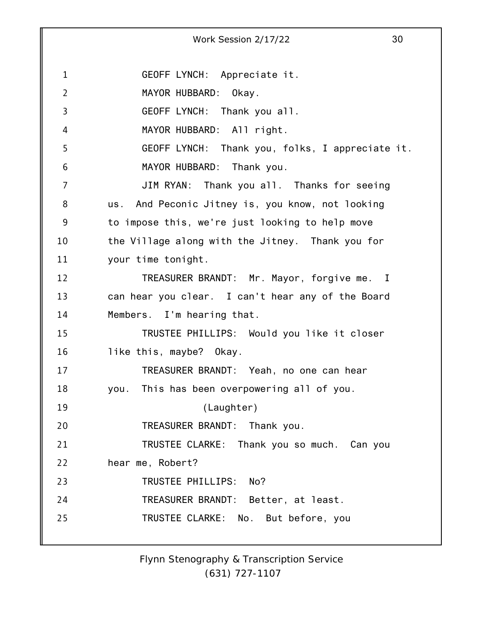1 2 3 4 5 6 7 8 9 10 11 12 13 14 15 16 17 18 19 20 21 22 23 24 25 Work Session 2/17/22 30 GEOFF LYNCH: Appreciate it. MAYOR HUBBARD: Okay. GEOFF LYNCH: Thank you all. MAYOR HUBBARD: All right. GEOFF LYNCH: Thank you, folks, I appreciate it. MAYOR HUBBARD: Thank you. JIM RYAN: Thank you all. Thanks for seeing us. And Peconic Jitney is, you know, not looking to impose this, we're just looking to help move the Village along with the Jitney. Thank you for your time tonight. TREASURER BRANDT: Mr. Mayor, forgive me. I can hear you clear. I can't hear any of the Board Members. I'm hearing that. TRUSTEE PHILLIPS: Would you like it closer like this, maybe? Okay. TREASURER BRANDT: Yeah, no one can hear you. This has been overpowering all of you. (Laughter) TREASURER BRANDT: Thank you. TRUSTEE CLARKE: Thank you so much. Can you hear me, Robert? TRUSTEE PHILLIPS: No? TREASURER BRANDT: Better, at least. TRUSTEE CLARKE: No. But before, you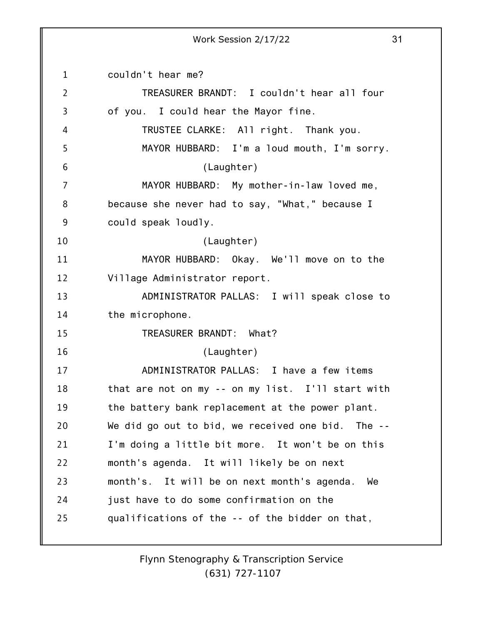1 2 3 4 5 6 7 8 9 10 11 12 13 14 15 16 17 18 19 20 21 22 23 24 25 couldn't hear me? TREASURER BRANDT: I couldn't hear all four of you. I could hear the Mayor fine. TRUSTEE CLARKE: All right. Thank you. MAYOR HUBBARD: I'm a loud mouth, I'm sorry. (Laughter) MAYOR HUBBARD: My mother-in-law loved me, because she never had to say, "What," because I could speak loudly. (Laughter) MAYOR HUBBARD: Okay. We'll move on to the Village Administrator report. ADMINISTRATOR PALLAS: I will speak close to the microphone. TREASURER BRANDT: What? (Laughter) ADMINISTRATOR PALLAS: I have a few items that are not on my -- on my list. I'll start with the battery bank replacement at the power plant. We did go out to bid, we received one bid. The --I'm doing a little bit more. It won't be on this month's agenda. It will likely be on next month's. It will be on next month's agenda. We just have to do some confirmation on the qualifications of the -- of the bidder on that,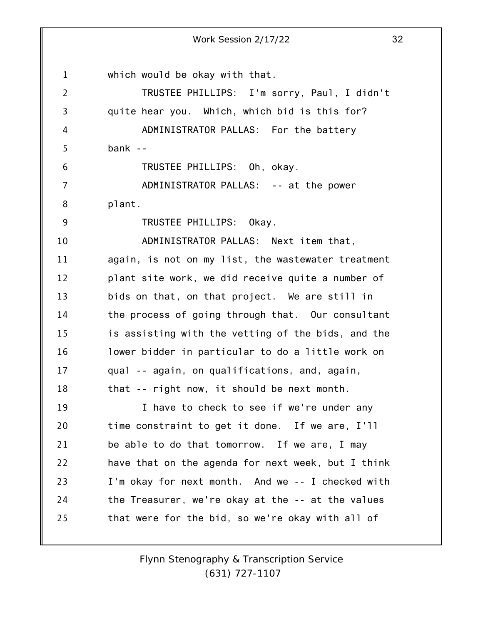1 2 3 4 5 6 7 8 9 10 11 12 13 14 15 16 17 18 19 20 21 22 23 24 25 Work Session 2/17/22 32 which would be okay with that. TRUSTEE PHILLIPS: I'm sorry, Paul, I didn't quite hear you. Which, which bid is this for? ADMINISTRATOR PALLAS: For the battery bank -- TRUSTEE PHILLIPS: Oh, okay. ADMINISTRATOR PALLAS: -- at the power plant. TRUSTEE PHILLIPS: Okay. ADMINISTRATOR PALLAS: Next item that, again, is not on my list, the wastewater treatment plant site work, we did receive quite a number of bids on that, on that project. We are still in the process of going through that. Our consultant is assisting with the vetting of the bids, and the lower bidder in particular to do a little work on qual -- again, on qualifications, and, again, that -- right now, it should be next month. I have to check to see if we're under any time constraint to get it done. If we are, I'll be able to do that tomorrow. If we are, I may have that on the agenda for next week, but I think I'm okay for next month. And we -- I checked with the Treasurer, we're okay at the -- at the values that were for the bid, so we're okay with all of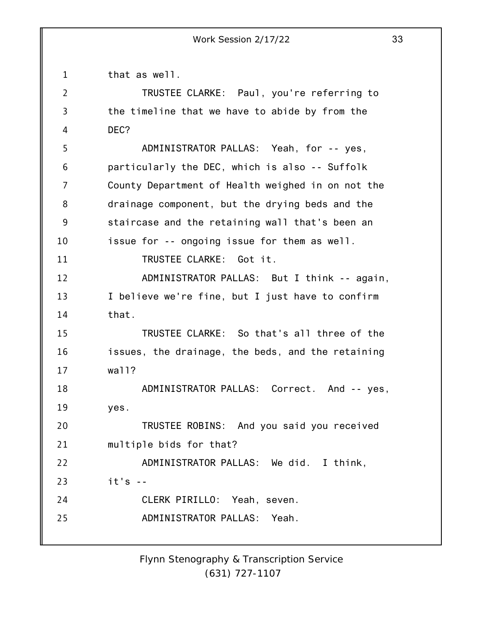1 that as well.

| $\overline{2}$ | TRUSTEE CLARKE: Paul, you're referring to         |
|----------------|---------------------------------------------------|
| 3              | the timeline that we have to abide by from the    |
| 4              | DEC?                                              |
| 5              | ADMINISTRATOR PALLAS: Yeah, for -- yes,           |
| 6              | particularly the DEC, which is also -- Suffolk    |
| 7              | County Department of Health weighed in on not the |
| 8              | drainage component, but the drying beds and the   |
| 9              | staircase and the retaining wall that's been an   |
| 10             | issue for -- ongoing issue for them as well.      |
| 11             | TRUSTEE CLARKE: Got it.                           |
| 12             | ADMINISTRATOR PALLAS: But I think -- again,       |
| 13             | I believe we're fine, but I just have to confirm  |
| 14             | that.                                             |
| 15             | TRUSTEE CLARKE: So that's all three of the        |
| 16             | issues, the drainage, the beds, and the retaining |
| 17             | wall?                                             |
| 18             | ADMINISTRATOR PALLAS: Correct. And -- yes,        |
| 19             | yes.                                              |
| 20             | TRUSTEE ROBINS: And you said you received         |
| 21             | multiple bids for that?                           |
| 22             | ADMINISTRATOR PALLAS: We did. I think,            |
| 23             | $it's -$                                          |
| 24             | CLERK PIRILLO: Yeah, seven.                       |
| 25             | ADMINISTRATOR PALLAS: Yeah.                       |
|                |                                                   |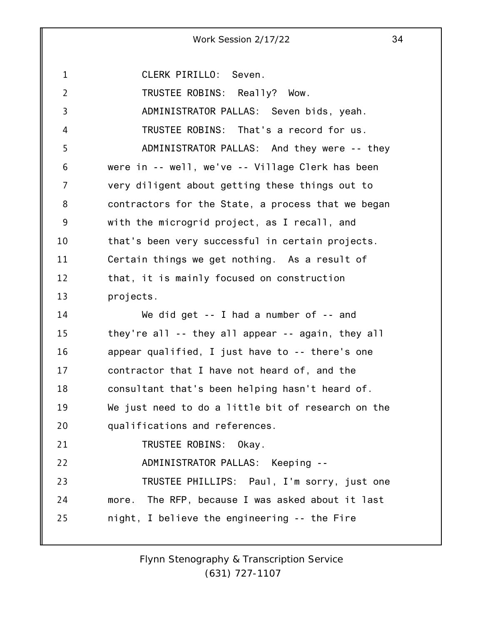1 2 3 4 5 6 7 8 9 10 11 12 13 14 15 16 17 18 19 20 21 22 23 24 25 CLERK PIRILLO: Seven. TRUSTEE ROBINS: Really? Wow. ADMINISTRATOR PALLAS: Seven bids, yeah. TRUSTEE ROBINS: That's a record for us. ADMINISTRATOR PALLAS: And they were -- they were in -- well, we've -- Village Clerk has been very diligent about getting these things out to contractors for the State, a process that we began with the microgrid project, as I recall, and that's been very successful in certain projects. Certain things we get nothing. As a result of that, it is mainly focused on construction projects. We did get -- I had a number of -- and they're all -- they all appear -- again, they all appear qualified, I just have to -- there's one contractor that I have not heard of, and the consultant that's been helping hasn't heard of. We just need to do a little bit of research on the qualifications and references. TRUSTEE ROBINS: Okay. ADMINISTRATOR PALLAS: Keeping -- TRUSTEE PHILLIPS: Paul, I'm sorry, just one more. The RFP, because I was asked about it last night, I believe the engineering -- the Fire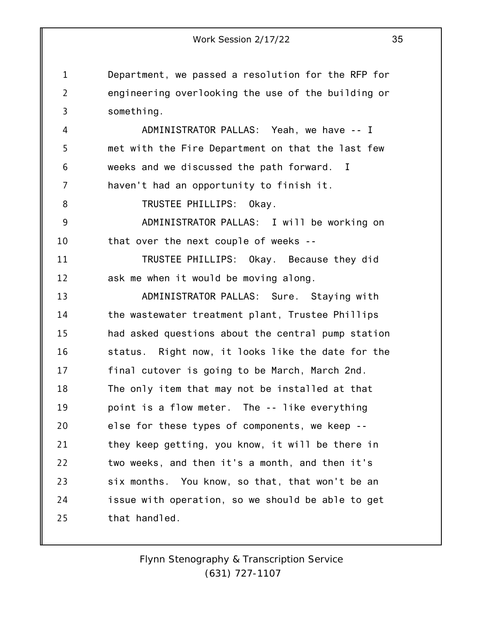1 2 3 Department, we passed a resolution for the RFP for engineering overlooking the use of the building or something.

4 5 6 7 ADMINISTRATOR PALLAS: Yeah, we have -- I met with the Fire Department on that the last few weeks and we discussed the path forward. I haven't had an opportunity to finish it.

TRUSTEE PHILLIPS: Okay.

8

9 10 ADMINISTRATOR PALLAS: I will be working on that over the next couple of weeks --

11 12 TRUSTEE PHILLIPS: Okay. Because they did ask me when it would be moving along.

13 14 15 16 17 18 19 20 21 22 23 24 25 ADMINISTRATOR PALLAS: Sure. Staying with the wastewater treatment plant, Trustee Phillips had asked questions about the central pump station status. Right now, it looks like the date for the final cutover is going to be March, March 2nd. The only item that may not be installed at that point is a flow meter. The -- like everything else for these types of components, we keep - they keep getting, you know, it will be there in two weeks, and then it's a month, and then it's six months. You know, so that, that won't be an issue with operation, so we should be able to get that handled.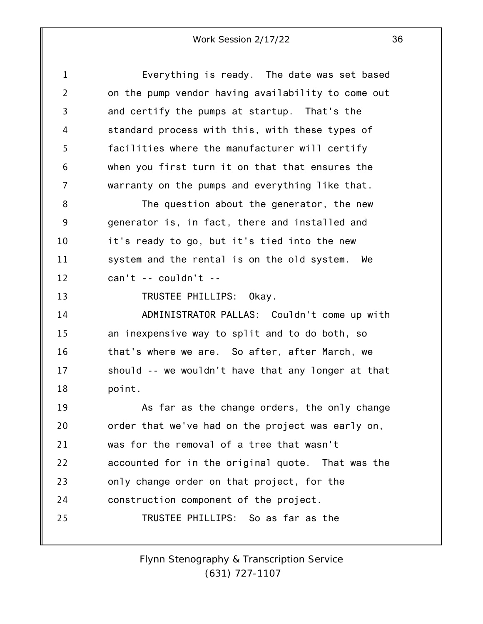| 1  | Everything is ready. The date was set based        |
|----|----------------------------------------------------|
| 2  | on the pump vendor having availability to come out |
| 3  | and certify the pumps at startup. That's the       |
| 4  | standard process with this, with these types of    |
| 5  | facilities where the manufacturer will certify     |
| 6  | when you first turn it on that that ensures the    |
| 7  | warranty on the pumps and everything like that.    |
| 8  | The question about the generator, the new          |
| 9  | generator is, in fact, there and installed and     |
| 10 | it's ready to go, but it's tied into the new       |
| 11 | system and the rental is on the old system. We     |
| 12 | $can't -- couldn't --$                             |
| 13 | TRUSTEE PHILLIPS: Okay.                            |
| 14 | ADMINISTRATOR PALLAS: Couldn't come up with        |
| 15 | an inexpensive way to split and to do both, so     |
| 16 | that's where we are. So after, after March, we     |
| 17 | should -- we wouldn't have that any longer at that |
| 18 | point.                                             |
| 19 | As far as the change orders, the only change       |
| 20 | order that we've had on the project was early on,  |
| 21 | was for the removal of a tree that wasn't          |
| 22 | accounted for in the original quote. That was the  |
| 23 | only change order on that project, for the         |
| 24 | construction component of the project.             |
| 25 | TRUSTEE PHILLIPS: So as far as the                 |
|    |                                                    |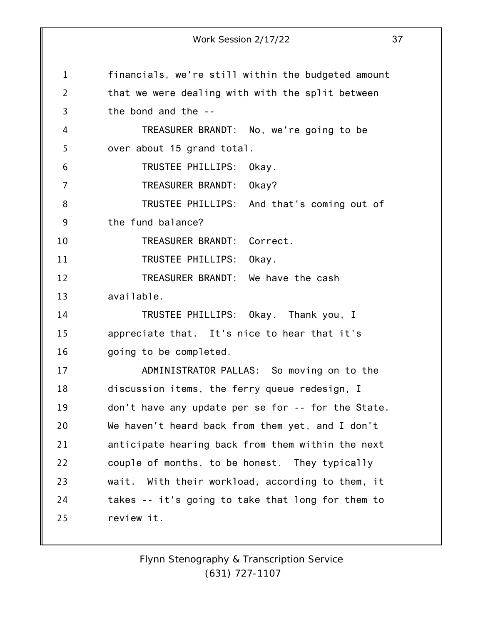|                | Work Session 2/17/22<br>37                         |
|----------------|----------------------------------------------------|
|                |                                                    |
| $\mathbf{1}$   | financials, we're still within the budgeted amount |
| $\overline{2}$ | that we were dealing with with the split between   |
| 3              | the bond and the --                                |
| 4              | TREASURER BRANDT: No, we're going to be            |
| 5              | over about 15 grand total.                         |
| 6              | TRUSTEE PHILLIPS:<br>Okay.                         |
| 7              | TREASURER BRANDT: 0kay?                            |
| 8              | TRUSTEE PHILLIPS: And that's coming out of         |
| 9              | the fund balance?                                  |
| 10             | TREASURER BRANDT:<br>Correct.                      |
| 11             | TRUSTEE PHILLIPS:<br>Okay.                         |
| 12             | TREASURER BRANDT: We have the cash                 |
| 13             | available.                                         |
| 14             | TRUSTEE PHILLIPS: Okay. Thank you, I               |
| 15             | appreciate that. It's nice to hear that it's       |
| 16             | going to be completed.                             |
| 17             | ADMINISTRATOR PALLAS: So moving on to the          |
| 18             | discussion items, the ferry queue redesign, I      |
| 19             | don't have any update per se for -- for the State. |
| 20             | We haven't heard back from them yet, and I don't   |
| 21             | anticipate hearing back from them within the next  |
| 22             | couple of months, to be honest. They typically     |
| 23             | wait. With their workload, according to them, it   |
| 24             | takes -- it's going to take that long for them to  |
| 25             | review it.                                         |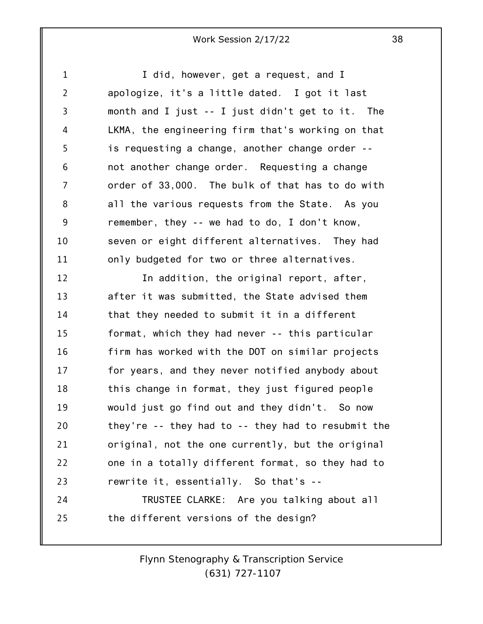I did, however, get a request, and I apologize, it's a little dated. I got it last month and I just -- I just didn't get to it. The LKMA, the engineering firm that's working on that is requesting a change, another change order - not another change order. Requesting a change order of 33,000. The bulk of that has to do with all the various requests from the State. As you

1

2

3

4

5

6

7

8

9 10 11 remember, they -- we had to do, I don't know, seven or eight different alternatives. They had only budgeted for two or three alternatives.

12 13 14 15 16 17 18 19 20 21 22 23 24 In addition, the original report, after, after it was submitted, the State advised them that they needed to submit it in a different format, which they had never -- this particular firm has worked with the DOT on similar projects for years, and they never notified anybody about this change in format, they just figured people would just go find out and they didn't. So now they're -- they had to -- they had to resubmit the original, not the one currently, but the original one in a totally different format, so they had to rewrite it, essentially. So that's -- TRUSTEE CLARKE: Are you talking about all

25 the different versions of the design?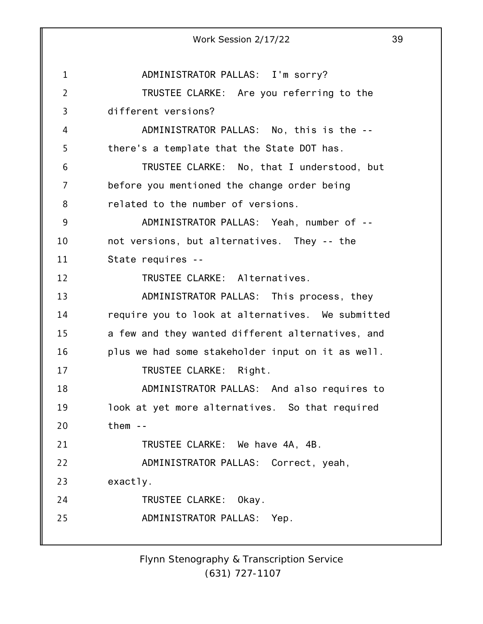|                | 39<br>Work Session 2/17/22                        |
|----------------|---------------------------------------------------|
|                |                                                   |
| $\mathbf{1}$   | ADMINISTRATOR PALLAS: I'm sorry?                  |
| $\overline{2}$ | TRUSTEE CLARKE: Are you referring to the          |
| 3              | different versions?                               |
| 4              | ADMINISTRATOR PALLAS: No, this is the --          |
| 5              | there's a template that the State DOT has.        |
| 6              | TRUSTEE CLARKE: No, that I understood, but        |
| 7              | before you mentioned the change order being       |
| 8              | related to the number of versions.                |
| 9              | ADMINISTRATOR PALLAS: Yeah, number of --          |
| 10             | not versions, but alternatives. They -- the       |
| 11             | State requires --                                 |
| 12             | TRUSTEE CLARKE: Alternatives.                     |
| 13             | ADMINISTRATOR PALLAS: This process, they          |
| 14             | require you to look at alternatives. We submitted |
| 15             | a few and they wanted different alternatives, and |
| 16             | plus we had some stakeholder input on it as well. |
| 17             | TRUSTEE CLARKE: Right.                            |
| 18             | ADMINISTRATOR PALLAS: And also requires to        |
| 19             | look at yet more alternatives. So that required   |
| 20             | them $-$                                          |
| 21             | TRUSTEE CLARKE: We have 4A, 4B.                   |
| 22             | ADMINISTRATOR PALLAS: Correct, yeah,              |
| 23             | exactly.                                          |
| 24             | TRUSTEE CLARKE: Okay.                             |
| 25             | ADMINISTRATOR PALLAS: Yep.                        |
|                |                                                   |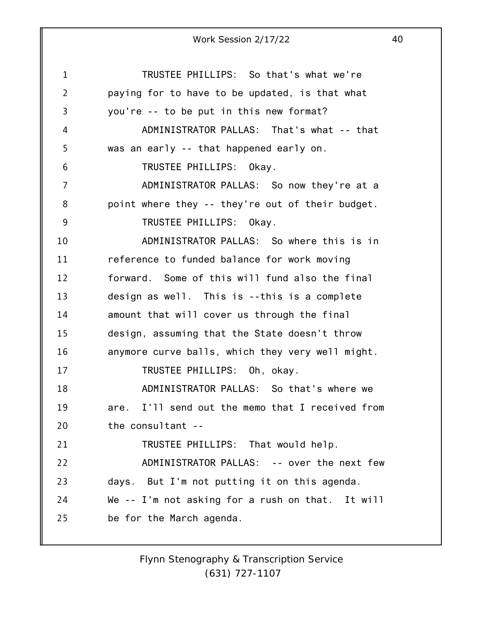1 2 3 4 5 6 7 8 9 10 11 12 13 14 15 16 17 18 19 20 21 22 23 24 25 Work Session 2/17/22 40 TRUSTEE PHILLIPS: So that's what we're paying for to have to be updated, is that what you're -- to be put in this new format? ADMINISTRATOR PALLAS: That's what -- that was an early -- that happened early on. TRUSTEE PHILLIPS: Okay. ADMINISTRATOR PALLAS: So now they're at a point where they -- they're out of their budget. TRUSTEE PHILLIPS: Okay. ADMINISTRATOR PALLAS: So where this is in reference to funded balance for work moving forward. Some of this will fund also the final design as well. This is --this is a complete amount that will cover us through the final design, assuming that the State doesn't throw anymore curve balls, which they very well might. TRUSTEE PHILLIPS: Oh, okay. ADMINISTRATOR PALLAS: So that's where we are. I'll send out the memo that I received from the consultant -- TRUSTEE PHILLIPS: That would help. ADMINISTRATOR PALLAS: -- over the next few days. But I'm not putting it on this agenda. We -- I'm not asking for a rush on that. It will be for the March agenda.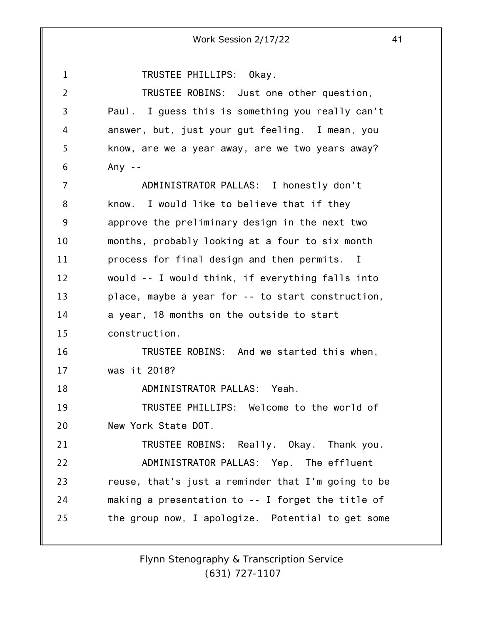1 2 3 4 5 6 7 8 9 10 11 12 13 14 15 16 17 18 19 20 21 22 23 24 25 Work Session 2/17/22 41 TRUSTEE PHILLIPS: Okay. TRUSTEE ROBINS: Just one other question, Paul. I guess this is something you really can't answer, but, just your gut feeling. I mean, you know, are we a year away, are we two years away? Any  $-$ ADMINISTRATOR PALLAS: I honestly don't know. I would like to believe that if they approve the preliminary design in the next two months, probably looking at a four to six month process for final design and then permits. I would -- I would think, if everything falls into place, maybe a year for -- to start construction, a year, 18 months on the outside to start construction. TRUSTEE ROBINS: And we started this when, was it 2018? ADMINISTRATOR PALLAS: Yeah. TRUSTEE PHILLIPS: Welcome to the world of New York State DOT. TRUSTEE ROBINS: Really. Okay. Thank you. ADMINISTRATOR PALLAS: Yep. The effluent reuse, that's just a reminder that I'm going to be making a presentation to -- I forget the title of the group now, I apologize. Potential to get some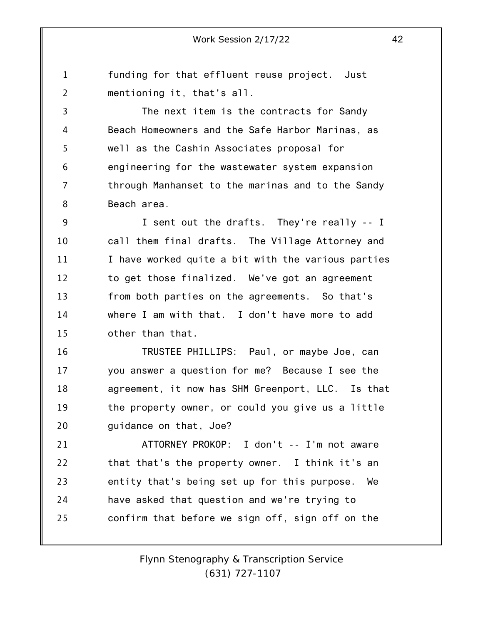1 2 funding for that effluent reuse project. Just mentioning it, that's all.

3 4 5 6 7 8 The next item is the contracts for Sandy Beach Homeowners and the Safe Harbor Marinas, as well as the Cashin Associates proposal for engineering for the wastewater system expansion through Manhanset to the marinas and to the Sandy Beach area.

9 10 11 12 13 14 15 I sent out the drafts. They're really -- I call them final drafts. The Village Attorney and I have worked quite a bit with the various parties to get those finalized. We've got an agreement from both parties on the agreements. So that's where I am with that. I don't have more to add other than that.

16 17 18 19 20 TRUSTEE PHILLIPS: Paul, or maybe Joe, can you answer a question for me? Because I see the agreement, it now has SHM Greenport, LLC. Is that the property owner, or could you give us a little guidance on that, Joe?

21 22 23 24 25 ATTORNEY PROKOP: I don't -- I'm not aware that that's the property owner. I think it's an entity that's being set up for this purpose. We have asked that question and we're trying to confirm that before we sign off, sign off on the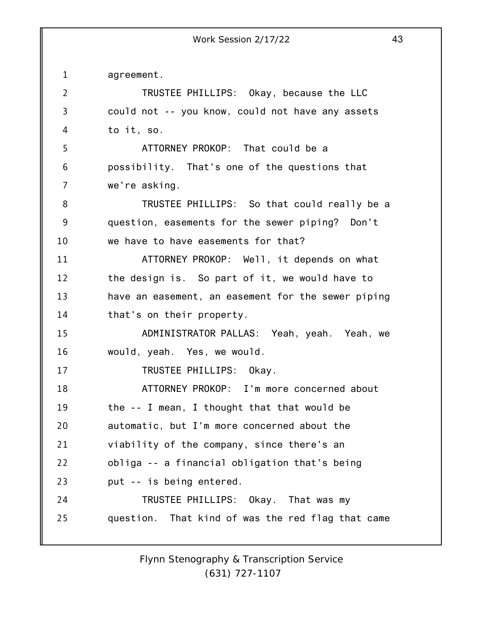1 2 3 4 5 6 7 8 9 10 11 12 13 14 15 16 17 18 19 20 21 22 23 24 25 agreement. TRUSTEE PHILLIPS: Okay, because the LLC could not -- you know, could not have any assets to it, so. ATTORNEY PROKOP: That could be a possibility. That's one of the questions that we're asking. TRUSTEE PHILLIPS: So that could really be a question, easements for the sewer piping? Don't we have to have easements for that? ATTORNEY PROKOP: Well, it depends on what the design is. So part of it, we would have to have an easement, an easement for the sewer piping that's on their property. ADMINISTRATOR PALLAS: Yeah, yeah. Yeah, we would, yeah. Yes, we would. TRUSTEE PHILLIPS: Okay. ATTORNEY PROKOP: I'm more concerned about the -- I mean, I thought that that would be automatic, but I'm more concerned about the viability of the company, since there's an obliga -- a financial obligation that's being put -- is being entered. TRUSTEE PHILLIPS: Okay. That was my question. That kind of was the red flag that came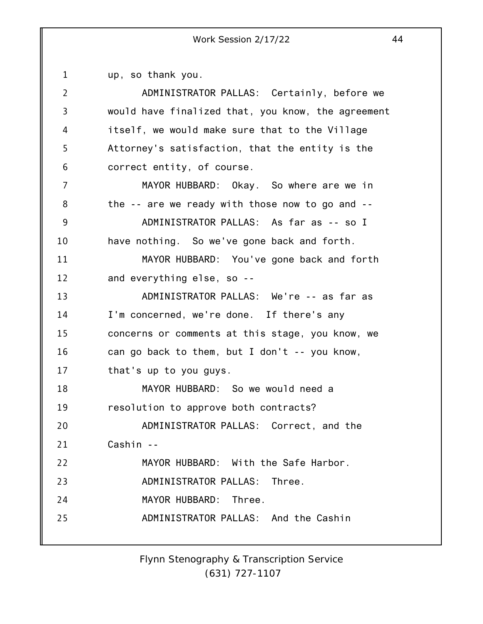1 up, so thank you.

| $\overline{2}$ | ADMINISTRATOR PALLAS: Certainly, before we         |
|----------------|----------------------------------------------------|
| 3              | would have finalized that, you know, the agreement |
| 4              | itself, we would make sure that to the Village     |
| 5              | Attorney's satisfaction, that the entity is the    |
|                |                                                    |
| 6              | correct entity, of course.                         |
| 7              | MAYOR HUBBARD: Okay. So where are we in            |
| 8              | the -- are we ready with those now to go and --    |
| 9              | ADMINISTRATOR PALLAS: As far as -- so I            |
| 10             | have nothing. So we've gone back and forth.        |
| 11             | MAYOR HUBBARD: You've gone back and forth          |
| 12             | and everything else, so --                         |
| 13             | ADMINISTRATOR PALLAS: We're -- as far as           |
| 14             | I'm concerned, we're done. If there's any          |
| 15             | concerns or comments at this stage, you know, we   |
| 16             | can go back to them, but I don't -- you know,      |
| 17             | that's up to you guys.                             |
| 18             | MAYOR HUBBARD: So we would need a                  |
| 19             | resolution to approve both contracts?              |
| 20             | ADMINISTRATOR PALLAS: Correct, and the             |
| 21             | Cashin --                                          |
| 22             | MAYOR HUBBARD: With the Safe Harbor.               |
| 23             | ADMINISTRATOR PALLAS: Three.                       |
| 24             | MAYOR HUBBARD: Three.                              |
| 25             | ADMINISTRATOR PALLAS: And the Cashin               |
|                |                                                    |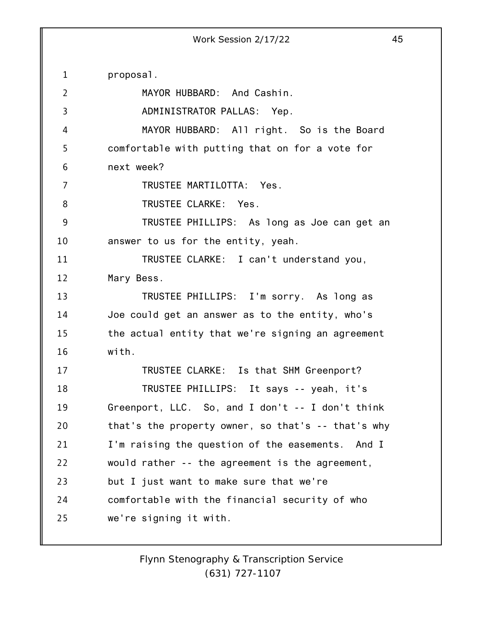1 2 3 4 5 6 7 8 9 10 11 12 13 14 15 16 17 18 19 20 21 22 23 24 25 proposal. MAYOR HUBBARD: And Cashin. ADMINISTRATOR PALLAS: Yep. MAYOR HUBBARD: All right. So is the Board comfortable with putting that on for a vote for next week? TRUSTEE MARTILOTTA: Yes. TRUSTEE CLARKE: Yes. TRUSTEE PHILLIPS: As long as Joe can get an answer to us for the entity, yeah. TRUSTEE CLARKE: I can't understand you, Mary Bess. TRUSTEE PHILLIPS: I'm sorry. As long as Joe could get an answer as to the entity, who's the actual entity that we're signing an agreement with. TRUSTEE CLARKE: Is that SHM Greenport? TRUSTEE PHILLIPS: It says -- yeah, it's Greenport, LLC. So, and I don't -- I don't think that's the property owner, so that's -- that's why I'm raising the question of the easements. And I would rather -- the agreement is the agreement, but I just want to make sure that we're comfortable with the financial security of who we're signing it with.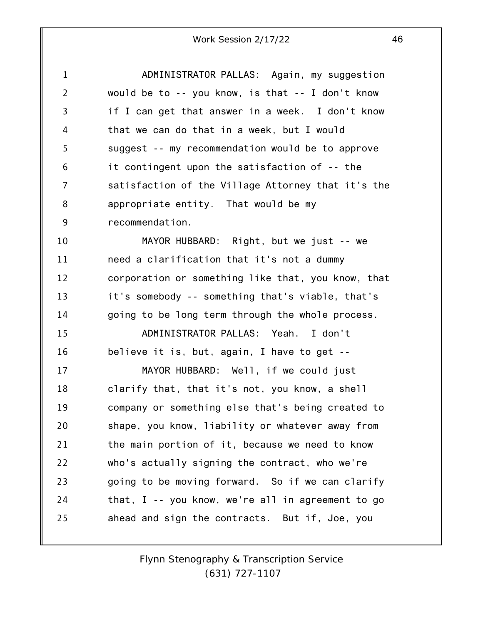| $\mathbf 1$    | ADMINISTRATOR PALLAS: Again, my suggestion           |
|----------------|------------------------------------------------------|
| $\overline{2}$ | would be to -- you know, is that -- I don't know     |
| $\overline{3}$ | if I can get that answer in a week. I don't know     |
| 4              | that we can do that in a week, but I would           |
| 5              | suggest -- my recommendation would be to approve     |
| 6              | it contingent upon the satisfaction of -- the        |
| 7              | satisfaction of the Village Attorney that it's the   |
| 8              | appropriate entity. That would be my                 |
| 9              | recommendation.                                      |
| 10             | MAYOR HUBBARD: Right, but we just -- we              |
| 11             | need a clarification that it's not a dummy           |
| 12             | corporation or something like that, you know, that   |
| 13             | it's somebody -- something that's viable, that's     |
| 14             | going to be long term through the whole process.     |
| 15             | ADMINISTRATOR PALLAS: Yeah. I don't                  |
| 16             | believe it is, but, again, I have to get --          |
| 17             | MAYOR HUBBARD: Well, if we could just                |
| 18             | clarify that, that it's not, you know, a shell       |
| 19             | company or something else that's being created to    |
| 20             | shape, you know, liability or whatever away from     |
| 21             | the main portion of it, because we need to know      |
| 22             | who's actually signing the contract, who we're       |
| 23             | going to be moving forward. So if we can clarify     |
| 24             | that, $I - y$ you know, we're all in agreement to go |
| 25             | ahead and sign the contracts. But if, Joe, you       |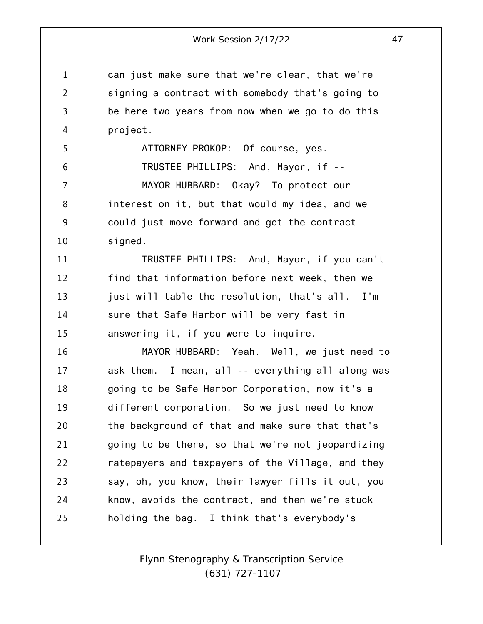1 4 can just make sure that we're clear, that we're signing a contract with somebody that's going to be here two years from now when we go to do this project.

2

3

5 6 7 8 9 10 ATTORNEY PROKOP: Of course, yes. TRUSTEE PHILLIPS: And, Mayor, if -- MAYOR HUBBARD: Okay? To protect our interest on it, but that would my idea, and we could just move forward and get the contract signed.

11 12 13 14 15 TRUSTEE PHILLIPS: And, Mayor, if you can't find that information before next week, then we just will table the resolution, that's all. I'm sure that Safe Harbor will be very fast in answering it, if you were to inquire.

16 17 18 19 20 21 22 23 24 25 MAYOR HUBBARD: Yeah. Well, we just need to ask them. I mean, all -- everything all along was going to be Safe Harbor Corporation, now it's a different corporation. So we just need to know the background of that and make sure that that's going to be there, so that we're not jeopardizing ratepayers and taxpayers of the Village, and they say, oh, you know, their lawyer fills it out, you know, avoids the contract, and then we're stuck holding the bag. I think that's everybody's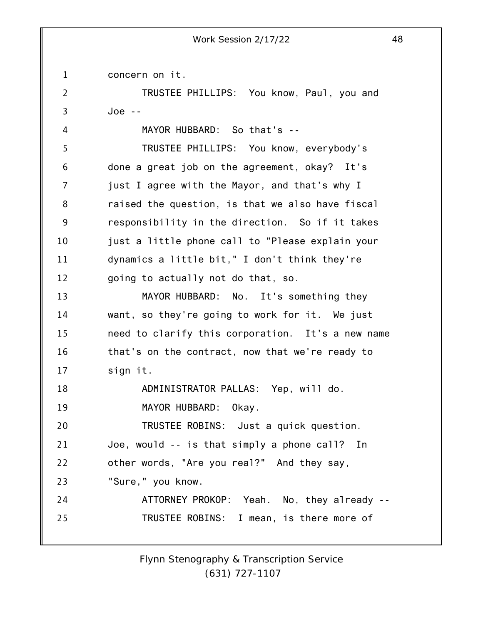1 concern on it.

4

2 3 TRUSTEE PHILLIPS: You know, Paul, you and Joe --

MAYOR HUBBARD: So that's --

5 6 7 8 9 10 11 12 TRUSTEE PHILLIPS: You know, everybody's done a great job on the agreement, okay? It's just I agree with the Mayor, and that's why I raised the question, is that we also have fiscal responsibility in the direction. So if it takes just a little phone call to "Please explain your dynamics a little bit," I don't think they're going to actually not do that, so.

13 14 15 16 17 18 19 MAYOR HUBBARD: No. It's something they want, so they're going to work for it. We just need to clarify this corporation. It's a new name that's on the contract, now that we're ready to sign it. ADMINISTRATOR PALLAS: Yep, will do. MAYOR HUBBARD: Okay.

20 21 TRUSTEE ROBINS: Just a quick question. Joe, would -- is that simply a phone call? In

22 other words, "Are you real?" And they say,

23 "Sure," you know.

24 25 ATTORNEY PROKOP: Yeah. No, they already -- TRUSTEE ROBINS: I mean, is there more of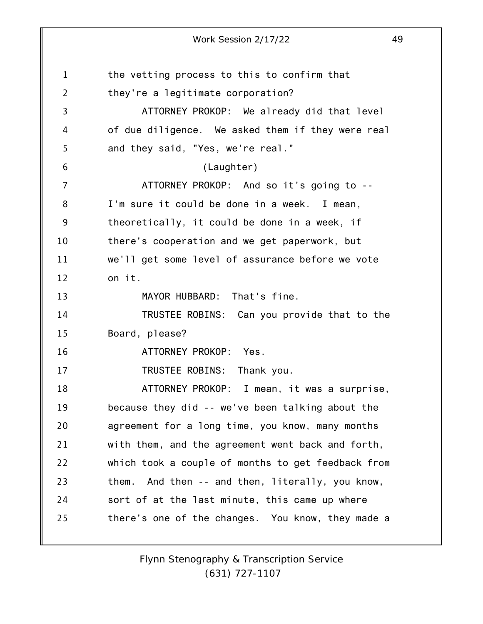1 2 3 4 5 6 7 8 9 10 11 12 13 14 15 16 17 18 19 20 21 22 23 24 25 Work Session 2/17/22 49 the vetting process to this to confirm that they're a legitimate corporation? ATTORNEY PROKOP: We already did that level of due diligence. We asked them if they were real and they said, "Yes, we're real." (Laughter) ATTORNEY PROKOP: And so it's going to -- I'm sure it could be done in a week. I mean, theoretically, it could be done in a week, if there's cooperation and we get paperwork, but we'll get some level of assurance before we vote on it. MAYOR HUBBARD: That's fine. TRUSTEE ROBINS: Can you provide that to the Board, please? ATTORNEY PROKOP: Yes. TRUSTEE ROBINS: Thank you. ATTORNEY PROKOP: I mean, it was a surprise, because they did -- we've been talking about the agreement for a long time, you know, many months with them, and the agreement went back and forth, which took a couple of months to get feedback from them. And then -- and then, literally, you know, sort of at the last minute, this came up where there's one of the changes. You know, they made a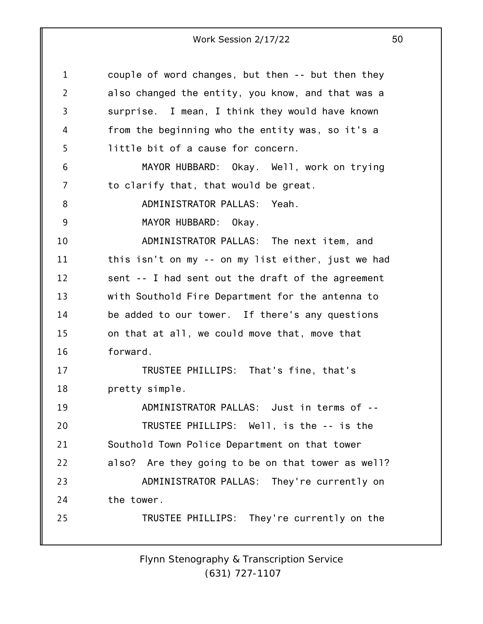| 1              | couple of word changes, but then -- but then they  |
|----------------|----------------------------------------------------|
| $\overline{2}$ | also changed the entity, you know, and that was a  |
| 3              | surprise. I mean, I think they would have known    |
| 4              | from the beginning who the entity was, so it's a   |
| 5              | little bit of a cause for concern.                 |
| 6              | MAYOR HUBBARD: Okay. Well, work on trying          |
| 7              | to clarify that, that would be great.              |
| 8              | ADMINISTRATOR PALLAS: Yeah.                        |
| 9              | MAYOR HUBBARD: Okay.                               |
| 10             | ADMINISTRATOR PALLAS: The next item, and           |
| 11             | this isn't on my -- on my list either, just we had |
| 12             | sent -- I had sent out the draft of the agreement  |
| 13             | with Southold Fire Department for the antenna to   |
| 14             | be added to our tower. If there's any questions    |
| 15             | on that at all, we could move that, move that      |
| 16             | forward.                                           |
| 17             | TRUSTEE PHILLIPS: That's fine, that's              |
| 18             | pretty simple.                                     |
| 19             | ADMINISTRATOR PALLAS: Just in terms of --          |
| 20             | TRUSTEE PHILLIPS: Well, is the -- is the           |
| 21             | Southold Town Police Department on that tower      |
| 22             | also? Are they going to be on that tower as well?  |
| 23             | ADMINISTRATOR PALLAS: They're currently on         |
| 24             | the tower.                                         |
| 25             | TRUSTEE PHILLIPS: They're currently on the         |
|                |                                                    |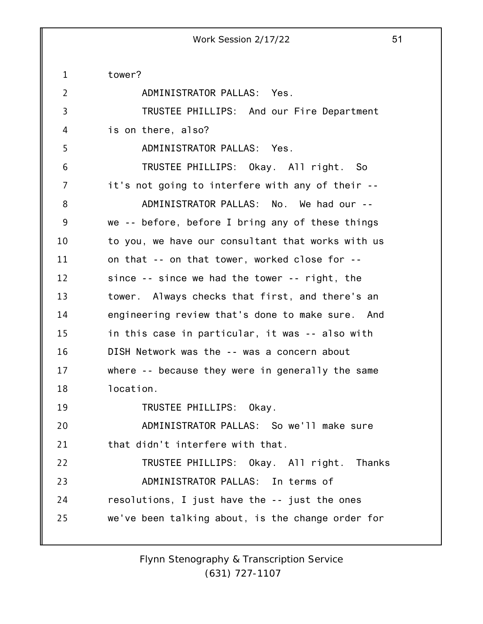1 2 3 4 5 6 7 8 9 10 11 12 13 14 15 16 17 18 19 20 21 22 23 24 25 tower? ADMINISTRATOR PALLAS: Yes. TRUSTEE PHILLIPS: And our Fire Department is on there, also? ADMINISTRATOR PALLAS: Yes. TRUSTEE PHILLIPS: Okay. All right. So it's not going to interfere with any of their -- ADMINISTRATOR PALLAS: No. We had our - we -- before, before I bring any of these things to you, we have our consultant that works with us on that -- on that tower, worked close for - since -- since we had the tower -- right, the tower. Always checks that first, and there's an engineering review that's done to make sure. And in this case in particular, it was -- also with DISH Network was the -- was a concern about where -- because they were in generally the same location. TRUSTEE PHILLIPS: Okay. ADMINISTRATOR PALLAS: So we'll make sure that didn't interfere with that. TRUSTEE PHILLIPS: Okay. All right. Thanks ADMINISTRATOR PALLAS: In terms of resolutions, I just have the -- just the ones we've been talking about, is the change order for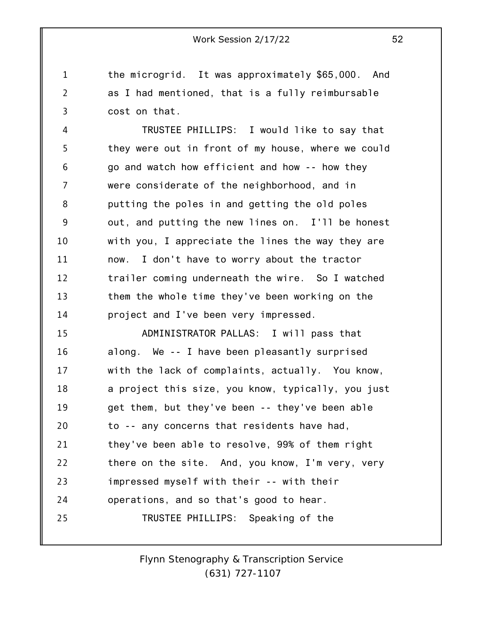1 2 3 the microgrid. It was approximately \$65,000. And as I had mentioned, that is a fully reimbursable cost on that.

4 5 6 7 8 9 10 11 12 13 14 TRUSTEE PHILLIPS: I would like to say that they were out in front of my house, where we could go and watch how efficient and how -- how they were considerate of the neighborhood, and in putting the poles in and getting the old poles out, and putting the new lines on. I'll be honest with you, I appreciate the lines the way they are now. I don't have to worry about the tractor trailer coming underneath the wire. So I watched them the whole time they've been working on the project and I've been very impressed.

15 16 17 18 19 20 21 22 23 24 25 ADMINISTRATOR PALLAS: I will pass that along. We -- I have been pleasantly surprised with the lack of complaints, actually. You know, a project this size, you know, typically, you just get them, but they've been -- they've been able to -- any concerns that residents have had, they've been able to resolve, 99% of them right there on the site. And, you know, I'm very, very impressed myself with their -- with their operations, and so that's good to hear. TRUSTEE PHILLIPS: Speaking of the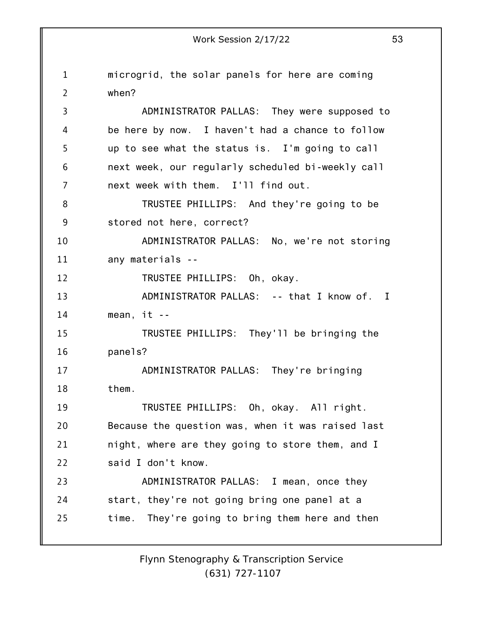1 2 3 4 5 6 7 8 9 10 11 12 13 14 15 16 17 18 19 20 21 22 23 24 25 Work Session 2/17/22 53 microgrid, the solar panels for here are coming when? ADMINISTRATOR PALLAS: They were supposed to be here by now. I haven't had a chance to follow up to see what the status is. I'm going to call next week, our regularly scheduled bi-weekly call next week with them. I'll find out. TRUSTEE PHILLIPS: And they're going to be stored not here, correct? ADMINISTRATOR PALLAS: No, we're not storing any materials -- TRUSTEE PHILLIPS: Oh, okay. ADMINISTRATOR PALLAS: -- that I know of. I mean,  $it$  --TRUSTEE PHILLIPS: They'll be bringing the panels? ADMINISTRATOR PALLAS: They're bringing them. TRUSTEE PHILLIPS: Oh, okay. All right. Because the question was, when it was raised last night, where are they going to store them, and I said I don't know. ADMINISTRATOR PALLAS: I mean, once they start, they're not going bring one panel at a time. They're going to bring them here and then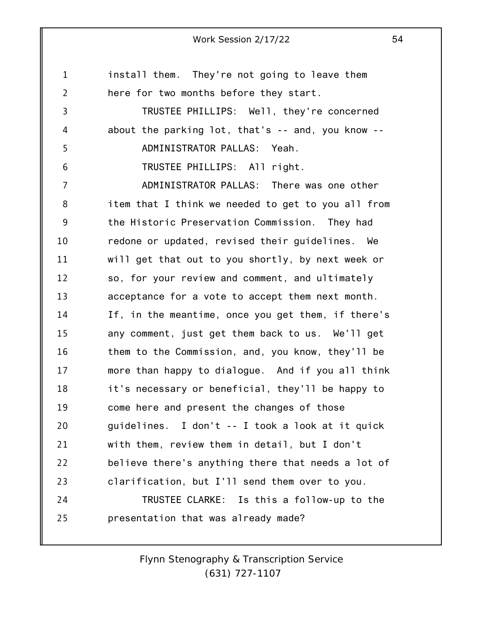1 2 3 4 5 6 7 8 9 10 11 12 13 14 15 16 17 18 19 20 21 22 23 24 25 install them. They're not going to leave them here for two months before they start. TRUSTEE PHILLIPS: Well, they're concerned about the parking lot, that's -- and, you know -- ADMINISTRATOR PALLAS: Yeah. TRUSTEE PHILLIPS: All right. ADMINISTRATOR PALLAS: There was one other item that I think we needed to get to you all from the Historic Preservation Commission. They had redone or updated, revised their guidelines. We will get that out to you shortly, by next week or so, for your review and comment, and ultimately acceptance for a vote to accept them next month. If, in the meantime, once you get them, if there's any comment, just get them back to us. We'll get them to the Commission, and, you know, they'll be more than happy to dialogue. And if you all think it's necessary or beneficial, they'll be happy to come here and present the changes of those guidelines. I don't -- I took a look at it quick with them, review them in detail, but I don't believe there's anything there that needs a lot of clarification, but I'll send them over to you. TRUSTEE CLARKE: Is this a follow-up to the presentation that was already made?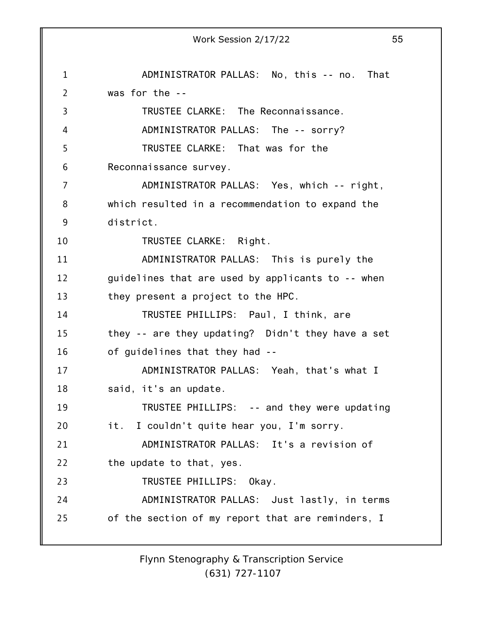1 2 3 4 5 6 7 8 9 10 11 12 13 14 15 16 17 18 19 20 21 22 23 24 25 Work Session 2/17/22 55 ADMINISTRATOR PALLAS: No, this -- no. That was for the -- TRUSTEE CLARKE: The Reconnaissance. ADMINISTRATOR PALLAS: The -- sorry? TRUSTEE CLARKE: That was for the Reconnaissance survey. ADMINISTRATOR PALLAS: Yes, which -- right, which resulted in a recommendation to expand the district. TRUSTEE CLARKE: Right. ADMINISTRATOR PALLAS: This is purely the guidelines that are used by applicants to -- when they present a project to the HPC. TRUSTEE PHILLIPS: Paul, I think, are they -- are they updating? Didn't they have a set of guidelines that they had -- ADMINISTRATOR PALLAS: Yeah, that's what I said, it's an update. TRUSTEE PHILLIPS: -- and they were updating it. I couldn't quite hear you, I'm sorry. ADMINISTRATOR PALLAS: It's a revision of the update to that, yes. TRUSTEE PHILLIPS: Okay. ADMINISTRATOR PALLAS: Just lastly, in terms of the section of my report that are reminders, I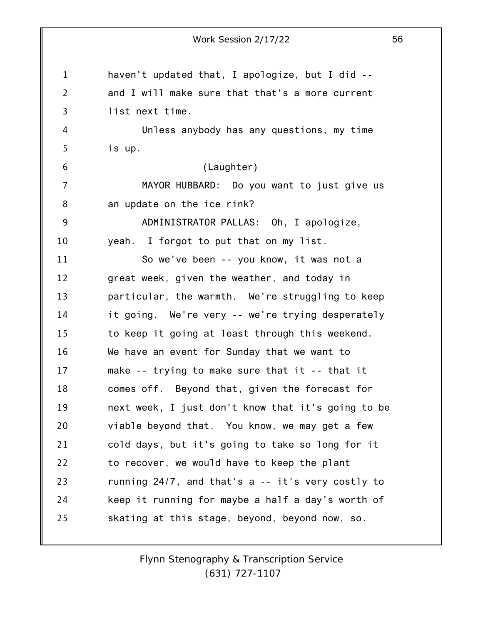|                | Work Session 2/17/22                               | 56 |
|----------------|----------------------------------------------------|----|
| $\mathbf 1$    | haven't updated that, I apologize, but I did --    |    |
| $\overline{2}$ | and I will make sure that that's a more current    |    |
| 3              | list next time.                                    |    |
| 4              | Unless anybody has any questions, my time          |    |
| 5              | is up.                                             |    |
| 6              | (Laughter)                                         |    |
| 7              | MAYOR HUBBARD: Do you want to just give us         |    |
| 8              | an update on the ice rink?                         |    |
| 9              | ADMINISTRATOR PALLAS: Oh, I apologize,             |    |
| 10             | yeah. I forgot to put that on my list.             |    |
| 11             | So we've been -- you know, it was not a            |    |
| 12             | great week, given the weather, and today in        |    |
| 13             | particular, the warmth. We're struggling to keep   |    |
| 14             | it going. We're very -- we're trying desperately   |    |
| 15             | to keep it going at least through this weekend.    |    |
| 16             | We have an event for Sunday that we want to        |    |
| 17             | make -- trying to make sure that it -- that it     |    |
| 18             | comes off. Beyond that, given the forecast for     |    |
| 19             | next week, I just don't know that it's going to be |    |
| 20             | viable beyond that. You know, we may get a few     |    |
| 21             | cold days, but it's going to take so long for it   |    |
| 22             | to recover, we would have to keep the plant        |    |
| 23             | running 24/7, and that's a -- it's very costly to  |    |
| 24             | keep it running for maybe a half a day's worth of  |    |
| 25             | skating at this stage, beyond, beyond now, so.     |    |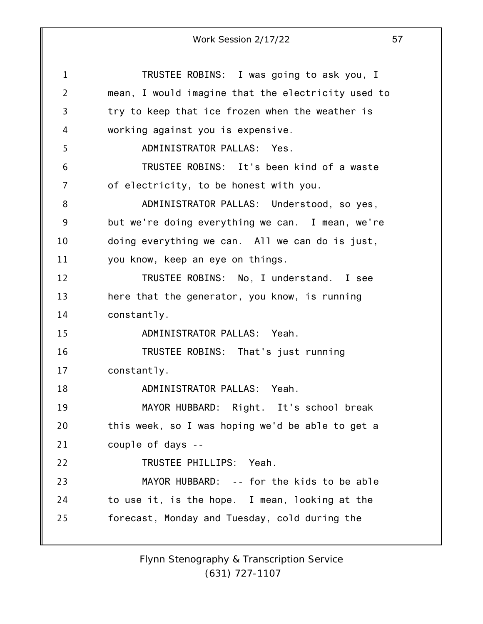1 2 3 4 5 6 7 8 9 10 11 12 13 14 15 16 17 18 19 20 21 22 23 24 25 Work Session 2/17/22 57 TRUSTEE ROBINS: I was going to ask you, I mean, I would imagine that the electricity used to try to keep that ice frozen when the weather is working against you is expensive. ADMINISTRATOR PALLAS: Yes. TRUSTEE ROBINS: It's been kind of a waste of electricity, to be honest with you. ADMINISTRATOR PALLAS: Understood, so yes, but we're doing everything we can. I mean, we're doing everything we can. All we can do is just, you know, keep an eye on things. TRUSTEE ROBINS: No, I understand. I see here that the generator, you know, is running constantly. ADMINISTRATOR PALLAS: Yeah. TRUSTEE ROBINS: That's just running constantly. ADMINISTRATOR PALLAS: Yeah. MAYOR HUBBARD: Right. It's school break this week, so I was hoping we'd be able to get a couple of days -- TRUSTEE PHILLIPS: Yeah. MAYOR HUBBARD: -- for the kids to be able to use it, is the hope. I mean, looking at the forecast, Monday and Tuesday, cold during the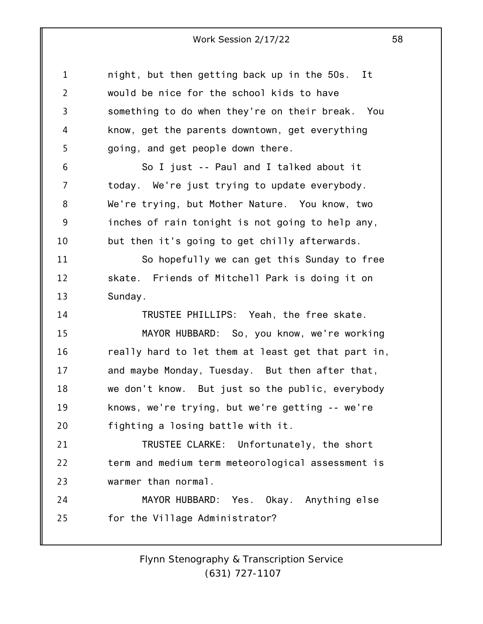1 2 3 4 5 6 7 8 9 10 11 12 13 14 15 16 17 18 19 20 21 22 23 24 25 night, but then getting back up in the 50s. It would be nice for the school kids to have something to do when they're on their break. You know, get the parents downtown, get everything going, and get people down there. So I just -- Paul and I talked about it today. We're just trying to update everybody. We're trying, but Mother Nature. You know, two inches of rain tonight is not going to help any, but then it's going to get chilly afterwards. So hopefully we can get this Sunday to free skate. Friends of Mitchell Park is doing it on Sunday. TRUSTEE PHILLIPS: Yeah, the free skate. MAYOR HUBBARD: So, you know, we're working really hard to let them at least get that part in, and maybe Monday, Tuesday. But then after that, we don't know. But just so the public, everybody knows, we're trying, but we're getting -- we're fighting a losing battle with it. TRUSTEE CLARKE: Unfortunately, the short term and medium term meteorological assessment is warmer than normal. MAYOR HUBBARD: Yes. Okay. Anything else for the Village Administrator?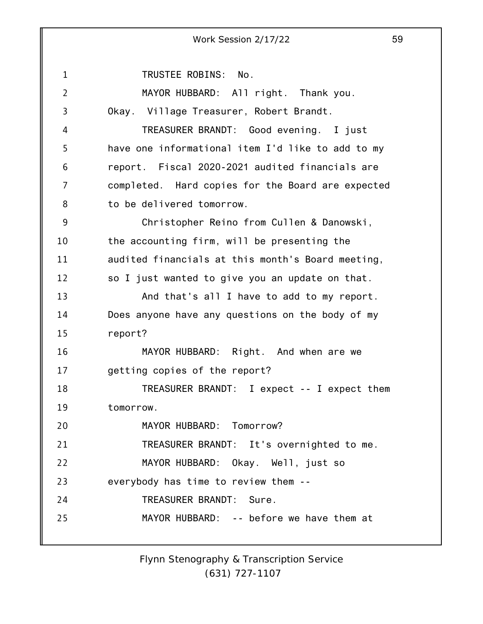1 2 3 4 5 6 7 8 9 10 11 12 13 14 15 16 17 18 19 20 21 22 23 24 25 Work Session 2/17/22 59 TRUSTEE ROBINS: No. MAYOR HUBBARD: All right. Thank you. Okay. Village Treasurer, Robert Brandt. TREASURER BRANDT: Good evening. I just have one informational item I'd like to add to my report. Fiscal 2020-2021 audited financials are completed. Hard copies for the Board are expected to be delivered tomorrow. Christopher Reino from Cullen & Danowski, the accounting firm, will be presenting the audited financials at this month's Board meeting, so I just wanted to give you an update on that. And that's all I have to add to my report. Does anyone have any questions on the body of my report? MAYOR HUBBARD: Right. And when are we getting copies of the report? TREASURER BRANDT: I expect -- I expect them tomorrow. MAYOR HUBBARD: Tomorrow? TREASURER BRANDT: It's overnighted to me. MAYOR HUBBARD: Okay. Well, just so everybody has time to review them -- TREASURER BRANDT: Sure. MAYOR HUBBARD: -- before we have them at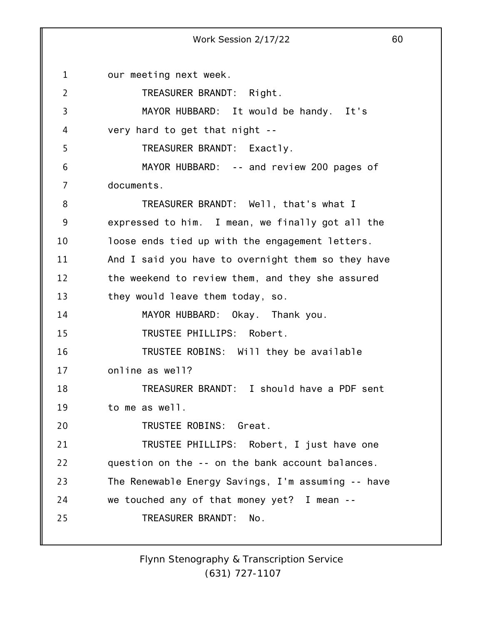1 2 3 4 5 6 7 8 9 10 11 12 13 14 15 16 17 18 19 20 21 22 23 24 25 Work Session 2/17/22 60 our meeting next week. TREASURER BRANDT: Right. MAYOR HUBBARD: It would be handy. It's very hard to get that night -- TREASURER BRANDT: Exactly. MAYOR HUBBARD: -- and review 200 pages of documents. TREASURER BRANDT: Well, that's what I expressed to him. I mean, we finally got all the loose ends tied up with the engagement letters. And I said you have to overnight them so they have the weekend to review them, and they she assured they would leave them today, so. MAYOR HUBBARD: Okay. Thank you. TRUSTEE PHILLIPS: Robert. TRUSTEE ROBINS: Will they be available online as well? TREASURER BRANDT: I should have a PDF sent to me as well. TRUSTEE ROBINS: Great. TRUSTEE PHILLIPS: Robert, I just have one question on the -- on the bank account balances. The Renewable Energy Savings, I'm assuming -- have we touched any of that money yet? I mean -- TREASURER BRANDT: No.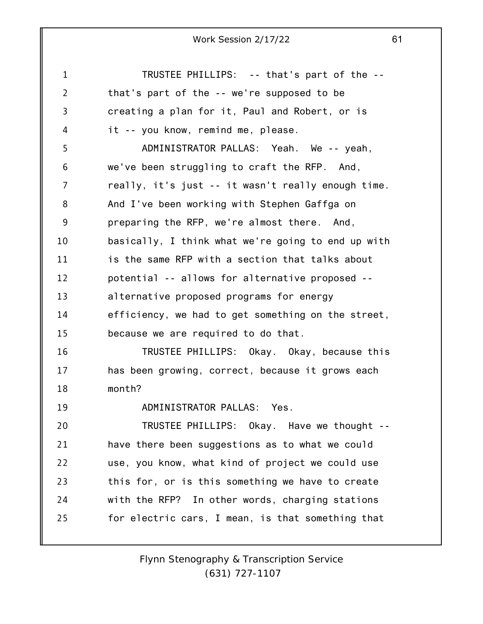| 1              | TRUSTEE PHILLIPS: -- that's part of the --         |
|----------------|----------------------------------------------------|
| $\overline{2}$ | that's part of the -- we're supposed to be         |
| 3              | creating a plan for it, Paul and Robert, or is     |
| 4              | it -- you know, remind me, please.                 |
| 5              | ADMINISTRATOR PALLAS: Yeah. We -- yeah,            |
| 6              | we've been struggling to craft the RFP. And,       |
| 7              | really, it's just -- it wasn't really enough time. |
| 8              | And I've been working with Stephen Gaffga on       |
| 9              | preparing the RFP, we're almost there. And,        |
| 10             | basically, I think what we're going to end up with |
| 11             | is the same RFP with a section that talks about    |
| 12             | potential -- allows for alternative proposed --    |
| 13             | alternative proposed programs for energy           |
| 14             | efficiency, we had to get something on the street, |
| 15             | because we are required to do that.                |
| 16             | TRUSTEE PHILLIPS: Okay. Okay, because this         |
| 17             | has been growing, correct, because it grows each   |
| 18             | month?                                             |
| 19             | ADMINISTRATOR PALLAS: Yes.                         |
| 20             | TRUSTEE PHILLIPS: Okay. Have we thought --         |
| 21             | have there been suggestions as to what we could    |
| 22             | use, you know, what kind of project we could use   |
| 23             | this for, or is this something we have to create   |
| 24             | with the RFP? In other words, charging stations    |
| 25             | for electric cars, I mean, is that something that  |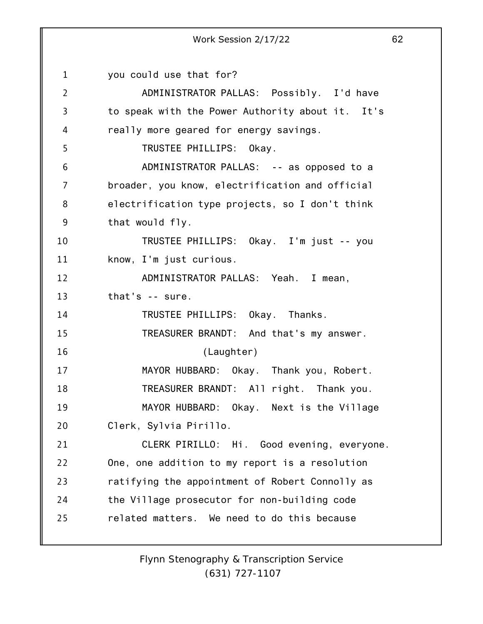1 2 3 4 5 6 7 8 9 10 11 12 13 14 15 16 17 18 19 20 21 22 23 24 25 Work Session 2/17/22 62 you could use that for? ADMINISTRATOR PALLAS: Possibly. I'd have to speak with the Power Authority about it. It's really more geared for energy savings. TRUSTEE PHILLIPS: Okay. ADMINISTRATOR PALLAS: -- as opposed to a broader, you know, electrification and official electrification type projects, so I don't think that would fly. TRUSTEE PHILLIPS: Okay. I'm just -- you know, I'm just curious. ADMINISTRATOR PALLAS: Yeah. I mean, that's -- sure. TRUSTEE PHILLIPS: Okay. Thanks. TREASURER BRANDT: And that's my answer. (Laughter) MAYOR HUBBARD: Okay. Thank you, Robert. TREASURER BRANDT: All right. Thank you. MAYOR HUBBARD: Okay. Next is the Village Clerk, Sylvia Pirillo. CLERK PIRILLO: Hi. Good evening, everyone. One, one addition to my report is a resolution ratifying the appointment of Robert Connolly as the Village prosecutor for non-building code related matters. We need to do this because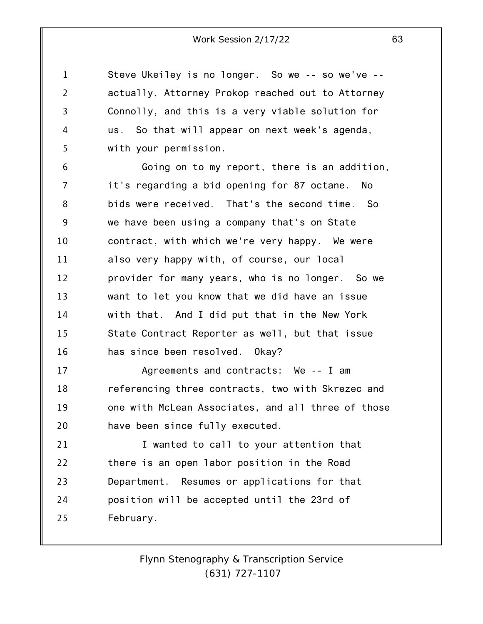Steve Ukeiley is no longer. So we -- so we've - actually, Attorney Prokop reached out to Attorney Connolly, and this is a very viable solution for us. So that will appear on next week's agenda, with your permission.

1

2

3

4

5

6 7 8 9 10 11 12 13 14 15 16 Going on to my report, there is an addition, it's regarding a bid opening for 87 octane. No bids were received. That's the second time. So we have been using a company that's on State contract, with which we're very happy. We were also very happy with, of course, our local provider for many years, who is no longer. So we want to let you know that we did have an issue with that. And I did put that in the New York State Contract Reporter as well, but that issue has since been resolved. Okay?

17 18 19 20 Agreements and contracts: We -- I am referencing three contracts, two with Skrezec and one with McLean Associates, and all three of those have been since fully executed.

21 22 23 24 25 I wanted to call to your attention that there is an open labor position in the Road Department. Resumes or applications for that position will be accepted until the 23rd of February.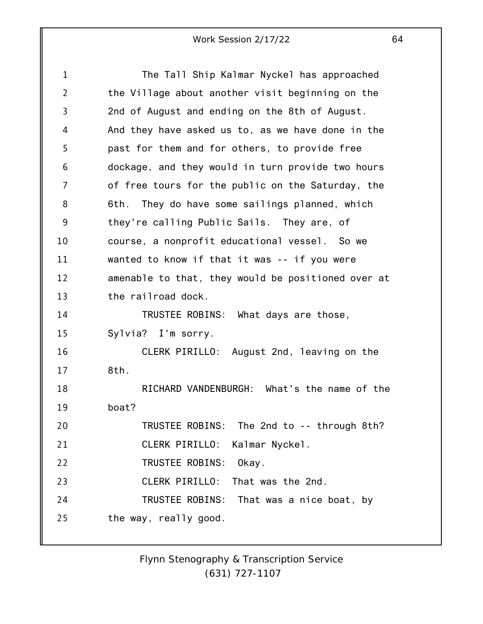| $\mathbf 1$    | The Tall Ship Kalmar Nyckel has approached         |
|----------------|----------------------------------------------------|
| $\overline{2}$ | the Village about another visit beginning on the   |
| 3              | 2nd of August and ending on the 8th of August.     |
| 4              | And they have asked us to, as we have done in the  |
| 5              | past for them and for others, to provide free      |
| 6              | dockage, and they would in turn provide two hours  |
| $\overline{7}$ | of free tours for the public on the Saturday, the  |
| 8              | 6th. They do have some sailings planned, which     |
| 9              | they're calling Public Sails. They are, of         |
| 10             | course, a nonprofit educational vessel. So we      |
| 11             | wanted to know if that it was -- if you were       |
| 12             | amenable to that, they would be positioned over at |
| 13             | the railroad dock.                                 |
| 14             | TRUSTEE ROBINS: What days are those,               |
| 15             | Sylvia? I'm sorry.                                 |
| 16             | CLERK PIRILLO: August 2nd, leaving on the          |
| 17             | 8th.                                               |
| 18             | RICHARD VANDENBURGH: What's the name of the        |
| 19             | boat?                                              |
| 20             | TRUSTEE ROBINS: The 2nd to -- through 8th?         |
| 21             | CLERK PIRILLO:<br>Kalmar Nyckel.                   |
| 22             | TRUSTEE ROBINS:<br>Okay.                           |
| 23             | CLERK PIRILLO:<br>That was the 2nd.                |
| 24             | TRUSTEE ROBINS: That was a nice boat, by           |
| 25             | the way, really good.                              |
|                |                                                    |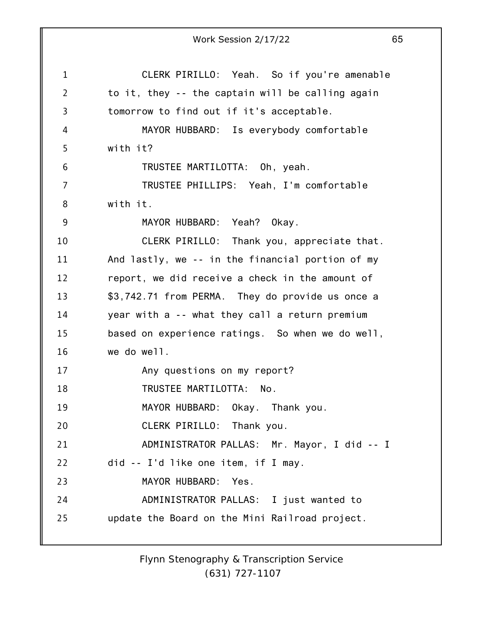1 2 3 4 5 6 7 8 9 10 11 12 13 14 15 16 17 18 19 20 21 22 23 24 25 Work Session 2/17/22 65 CLERK PIRILLO: Yeah. So if you're amenable to it, they -- the captain will be calling again tomorrow to find out if it's acceptable. MAYOR HUBBARD: Is everybody comfortable with it? TRUSTEE MARTILOTTA: Oh, yeah. TRUSTEE PHILLIPS: Yeah, I'm comfortable with it. MAYOR HUBBARD: Yeah? Okay. CLERK PIRILLO: Thank you, appreciate that. And lastly, we -- in the financial portion of my report, we did receive a check in the amount of \$3,742.71 from PERMA. They do provide us once a year with a -- what they call a return premium based on experience ratings. So when we do well, we do well. Any questions on my report? TRUSTEE MARTILOTTA: No. MAYOR HUBBARD: Okay. Thank you. CLERK PIRILLO: Thank you. ADMINISTRATOR PALLAS: Mr. Mayor, I did -- I did -- I'd like one item, if I may. MAYOR HUBBARD: Yes. ADMINISTRATOR PALLAS: I just wanted to update the Board on the Mini Railroad project.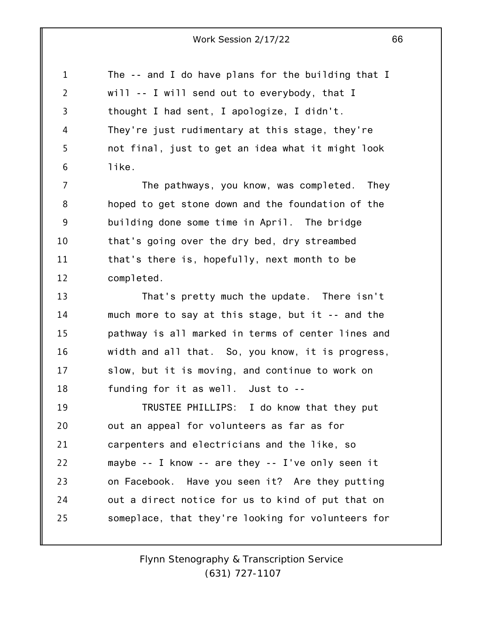| 1              | The -- and I do have plans for the building that I |
|----------------|----------------------------------------------------|
| $\overline{2}$ | will -- I will send out to everybody, that I       |
| 3              | thought I had sent, I apologize, I didn't.         |
| 4              | They're just rudimentary at this stage, they're    |
| 5              | not final, just to get an idea what it might look  |
| 6              | like.                                              |
| 7              | The pathways, you know, was completed.<br>They     |
| 8              | hoped to get stone down and the foundation of the  |
| 9              | building done some time in April. The bridge       |
| 10             | that's going over the dry bed, dry streambed       |
| 11             | that's there is, hopefully, next month to be       |
| 12             | completed.                                         |
| 13             | That's pretty much the update. There isn't         |
| 14             | much more to say at this stage, but it -- and the  |
| 15             | pathway is all marked in terms of center lines and |
| 16             | width and all that. So, you know, it is progress,  |
| 17             | slow, but it is moving, and continue to work on    |
| 18             | funding for it as well. Just to --                 |
| 19             | TRUSTEE PHILLIPS: I do know that they put          |
| 20             | out an appeal for volunteers as far as for         |
| 21             | carpenters and electricians and the like, so       |
| 22             | maybe -- I know -- are they -- I've only seen it   |
| 23             | on Facebook. Have you seen it? Are they putting    |
| 24             | out a direct notice for us to kind of put that on  |
| 25             | someplace, that they're looking for volunteers for |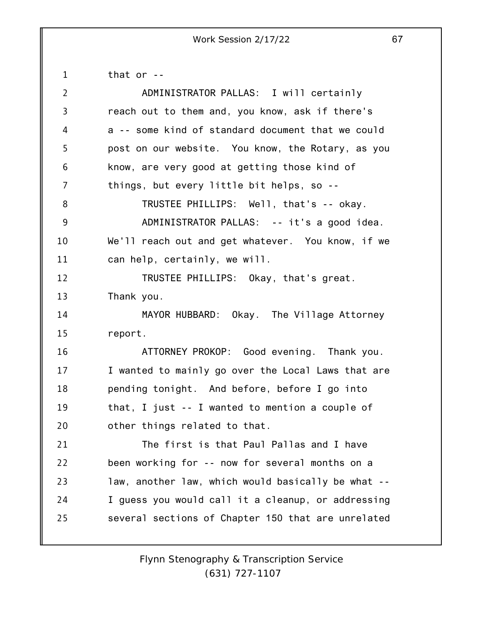1 that or --

| $\overline{2}$ | ADMINISTRATOR PALLAS: I will certainly             |
|----------------|----------------------------------------------------|
| 3              | reach out to them and, you know, ask if there's    |
| 4              | a -- some kind of standard document that we could  |
| 5              | post on our website. You know, the Rotary, as you  |
| 6              | know, are very good at getting those kind of       |
| 7              | things, but every little bit helps, so --          |
| 8              | TRUSTEE PHILLIPS: Well, that's -- okay.            |
| 9              | ADMINISTRATOR PALLAS: -- it's a good idea.         |
| 10             | We'll reach out and get whatever. You know, if we  |
| 11             | can help, certainly, we will.                      |
| 12             | TRUSTEE PHILLIPS: Okay, that's great.              |
| 13             | Thank you.                                         |
| 14             | MAYOR HUBBARD: Okay. The Village Attorney          |
| 15             | report.                                            |
| 16             | ATTORNEY PROKOP: Good evening. Thank you.          |
| 17             | I wanted to mainly go over the Local Laws that are |
| 18             | pending tonight. And before, before I go into      |
| 19             | that, I just -- I wanted to mention a couple of    |
| 20             | other things related to that.                      |
| 21             | The first is that Paul Pallas and I have           |
| 22             | been working for -- now for several months on a    |
| 23             | law, another law, which would basically be what -- |
| 24             | I guess you would call it a cleanup, or addressing |
| 25             | several sections of Chapter 150 that are unrelated |
|                |                                                    |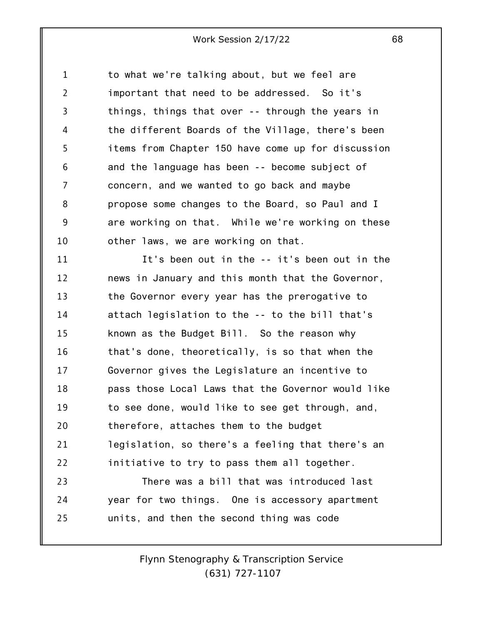1 2 3 4 5 6 7 8 9 10 to what we're talking about, but we feel are important that need to be addressed. So it's things, things that over -- through the years in the different Boards of the Village, there's been items from Chapter 150 have come up for discussion and the language has been -- become subject of concern, and we wanted to go back and maybe propose some changes to the Board, so Paul and I are working on that. While we're working on these other laws, we are working on that.

11 12 13 14 15 16 17 18 19 20 21 22 23 24 It's been out in the -- it's been out in the news in January and this month that the Governor, the Governor every year has the prerogative to attach legislation to the -- to the bill that's known as the Budget Bill. So the reason why that's done, theoretically, is so that when the Governor gives the Legislature an incentive to pass those Local Laws that the Governor would like to see done, would like to see get through, and, therefore, attaches them to the budget legislation, so there's a feeling that there's an initiative to try to pass them all together. There was a bill that was introduced last year for two things. One is accessory apartment

25 units, and then the second thing was code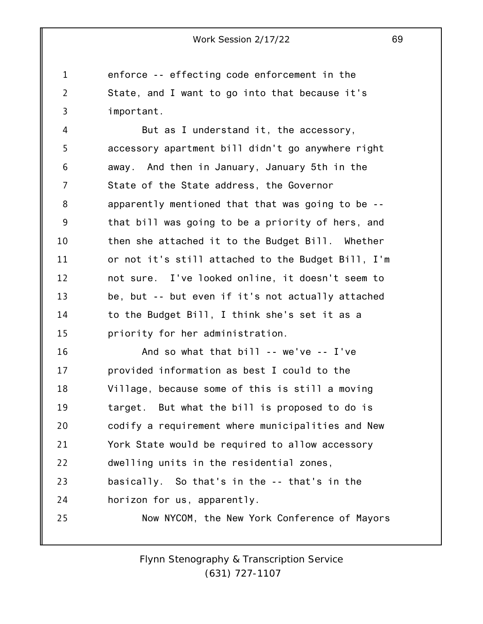1 2 3 enforce -- effecting code enforcement in the State, and I want to go into that because it's important.

4 5 6 7 8 9 10 11 12 13 14 15 But as I understand it, the accessory, accessory apartment bill didn't go anywhere right away. And then in January, January 5th in the State of the State address, the Governor apparently mentioned that that was going to be - that bill was going to be a priority of hers, and then she attached it to the Budget Bill. Whether or not it's still attached to the Budget Bill, I'm not sure. I've looked online, it doesn't seem to be, but -- but even if it's not actually attached to the Budget Bill, I think she's set it as a priority for her administration.

16 17 18 19 20 21 22 23 24 25 And so what that bill -- we've -- I've provided information as best I could to the Village, because some of this is still a moving target. But what the bill is proposed to do is codify a requirement where municipalities and New York State would be required to allow accessory dwelling units in the residential zones, basically. So that's in the -- that's in the horizon for us, apparently. Now NYCOM, the New York Conference of Mayors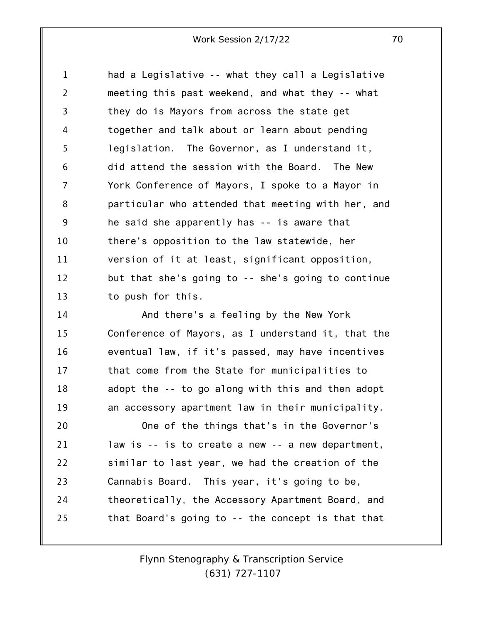1 2 3 4 5 6 7 8 9 10 11 12 13 had a Legislative -- what they call a Legislative meeting this past weekend, and what they -- what they do is Mayors from across the state get together and talk about or learn about pending legislation. The Governor, as I understand it, did attend the session with the Board. The New York Conference of Mayors, I spoke to a Mayor in particular who attended that meeting with her, and he said she apparently has -- is aware that there's opposition to the law statewide, her version of it at least, significant opposition, but that she's going to -- she's going to continue to push for this.

14 15 16 17 18 19 20 And there's a feeling by the New York Conference of Mayors, as I understand it, that the eventual law, if it's passed, may have incentives that come from the State for municipalities to adopt the -- to go along with this and then adopt an accessory apartment law in their municipality. One of the things that's in the Governor's

21 22 23 24 25 law is -- is to create a new -- a new department, similar to last year, we had the creation of the Cannabis Board. This year, it's going to be, theoretically, the Accessory Apartment Board, and that Board's going to -- the concept is that that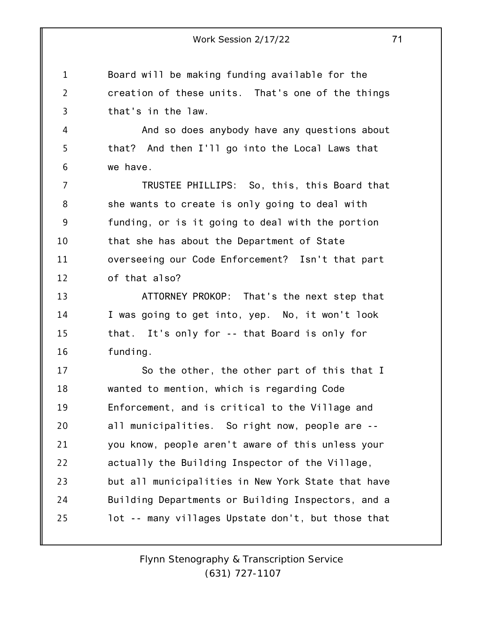1 2 3 Board will be making funding available for the creation of these units. That's one of the things that's in the law.

And so does anybody have any questions about that? And then I'll go into the Local Laws that we have.

4

5

6

7 8 9 10 11 12 TRUSTEE PHILLIPS: So, this, this Board that she wants to create is only going to deal with funding, or is it going to deal with the portion that she has about the Department of State overseeing our Code Enforcement? Isn't that part of that also?

13 14 15 16 ATTORNEY PROKOP: That's the next step that I was going to get into, yep. No, it won't look that. It's only for -- that Board is only for funding.

17 18 19 20 21 22 23 24 25 So the other, the other part of this that I wanted to mention, which is regarding Code Enforcement, and is critical to the Village and all municipalities. So right now, people are - you know, people aren't aware of this unless your actually the Building Inspector of the Village, but all municipalities in New York State that have Building Departments or Building Inspectors, and a lot -- many villages Upstate don't, but those that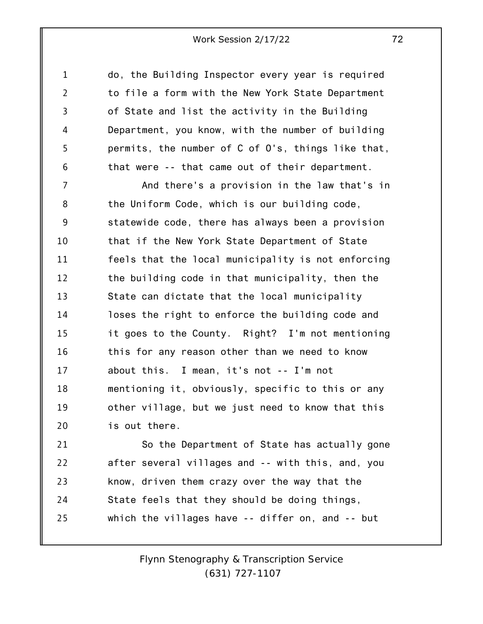do, the Building Inspector every year is required to file a form with the New York State Department of State and list the activity in the Building Department, you know, with the number of building permits, the number of C of O's, things like that, that were -- that came out of their department.

1

2

3

4

5

6

7 8 9 10 11 12 13 14 15 16 17 18 19 20 And there's a provision in the law that's in the Uniform Code, which is our building code, statewide code, there has always been a provision that if the New York State Department of State feels that the local municipality is not enforcing the building code in that municipality, then the State can dictate that the local municipality loses the right to enforce the building code and it goes to the County. Right? I'm not mentioning this for any reason other than we need to know about this. I mean, it's not -- I'm not mentioning it, obviously, specific to this or any other village, but we just need to know that this is out there.

21 22 23 24 25 So the Department of State has actually gone after several villages and -- with this, and, you know, driven them crazy over the way that the State feels that they should be doing things, which the villages have -- differ on, and -- but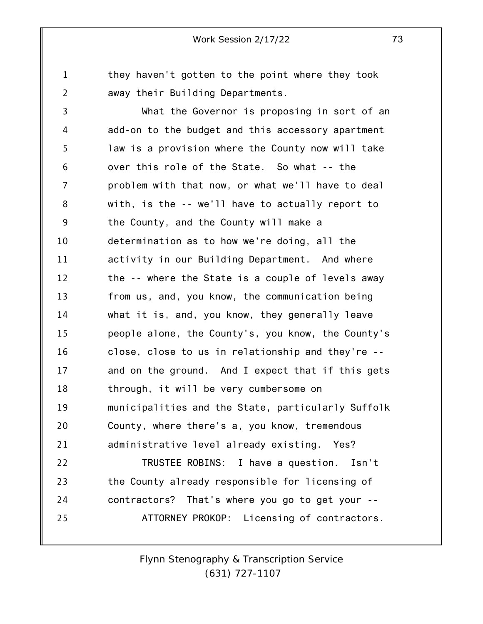1 2 they haven't gotten to the point where they took away their Building Departments.

3 4 5 6 7 8 9 10 11 12 13 14 15 16 17 18 19 20 21 22 23 24 25 What the Governor is proposing in sort of an add-on to the budget and this accessory apartment law is a provision where the County now will take over this role of the State. So what -- the problem with that now, or what we'll have to deal with, is the -- we'll have to actually report to the County, and the County will make a determination as to how we're doing, all the activity in our Building Department. And where the -- where the State is a couple of levels away from us, and, you know, the communication being what it is, and, you know, they generally leave people alone, the County's, you know, the County's close, close to us in relationship and they're - and on the ground. And I expect that if this gets through, it will be very cumbersome on municipalities and the State, particularly Suffolk County, where there's a, you know, tremendous administrative level already existing. Yes? TRUSTEE ROBINS: I have a question. Isn't the County already responsible for licensing of contractors? That's where you go to get your -- ATTORNEY PROKOP: Licensing of contractors.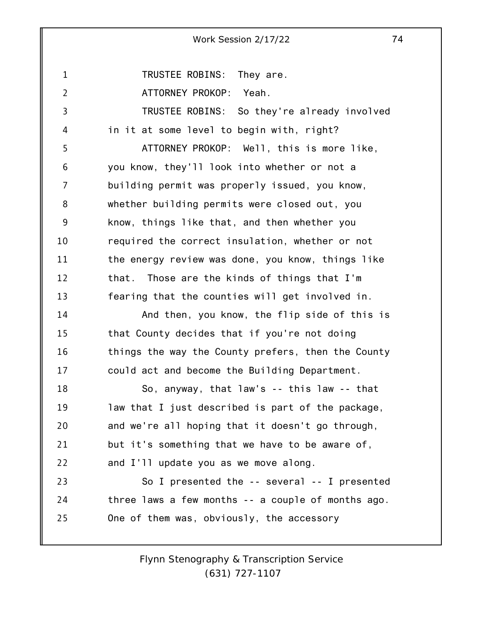TRUSTEE ROBINS: They are.

ATTORNEY PROKOP: Yeah.

1

2

3 4 5 6 7 8 9 10 11 12 13 14 15 16 17 TRUSTEE ROBINS: So they're already involved in it at some level to begin with, right? ATTORNEY PROKOP: Well, this is more like, you know, they'll look into whether or not a building permit was properly issued, you know, whether building permits were closed out, you know, things like that, and then whether you required the correct insulation, whether or not the energy review was done, you know, things like that. Those are the kinds of things that I'm fearing that the counties will get involved in. And then, you know, the flip side of this is that County decides that if you're not doing things the way the County prefers, then the County could act and become the Building Department.

18 19 20 21 22 So, anyway, that law's -- this law -- that law that I just described is part of the package, and we're all hoping that it doesn't go through, but it's something that we have to be aware of, and I'll update you as we move along.

23 24 25 So I presented the -- several -- I presented three laws a few months -- a couple of months ago. One of them was, obviously, the accessory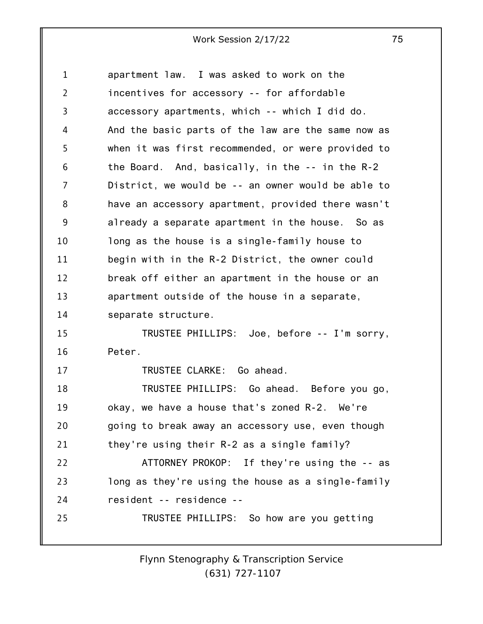1 2 3 4 5 6 7 8 9 10 11 12 13 14 15 16 17 18 19 20 21 22 23 24 25 apartment law. I was asked to work on the incentives for accessory -- for affordable accessory apartments, which -- which I did do. And the basic parts of the law are the same now as when it was first recommended, or were provided to the Board. And, basically, in the -- in the R-2 District, we would be -- an owner would be able to have an accessory apartment, provided there wasn't already a separate apartment in the house. So as long as the house is a single-family house to begin with in the R-2 District, the owner could break off either an apartment in the house or an apartment outside of the house in a separate, separate structure. TRUSTEE PHILLIPS: Joe, before -- I'm sorry, Peter. TRUSTEE CLARKE: Go ahead. TRUSTEE PHILLIPS: Go ahead. Before you go, okay, we have a house that's zoned R-2. We're going to break away an accessory use, even though they're using their R-2 as a single family? ATTORNEY PROKOP: If they're using the -- as long as they're using the house as a single-family resident -- residence -- TRUSTEE PHILLIPS: So how are you getting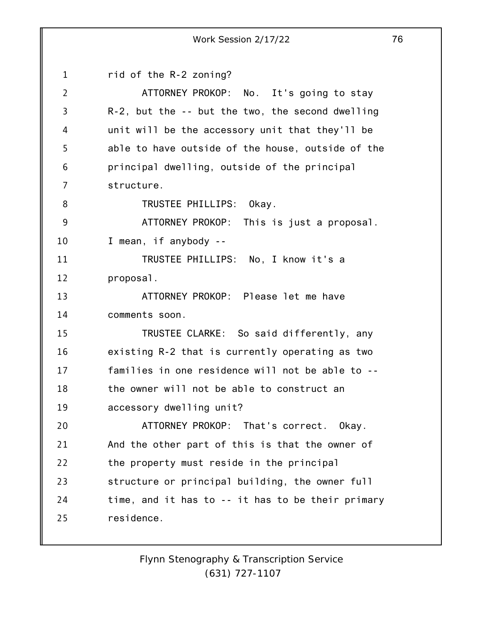|                | Work Session 2/17/22                                   | 76 |
|----------------|--------------------------------------------------------|----|
| $\mathbf{1}$   | rid of the R-2 zoning?                                 |    |
| $\overline{2}$ | ATTORNEY PROKOP: No. It's going to stay                |    |
| $\overline{3}$ | $R-2$ , but the $-$ - but the two, the second dwelling |    |
| 4              | unit will be the accessory unit that they'll be        |    |
| 5              | able to have outside of the house, outside of the      |    |
| 6              | principal dwelling, outside of the principal           |    |
| $\overline{7}$ | structure.                                             |    |
| 8              | TRUSTEE PHILLIPS:<br>Okay.                             |    |
| 9              | ATTORNEY PROKOP: This is just a proposal.              |    |
| 10             | I mean, if anybody --                                  |    |
| 11             | TRUSTEE PHILLIPS: No, I know it's a                    |    |
| 12             | proposal.                                              |    |
| 13             | ATTORNEY PROKOP: Please let me have                    |    |
| 14             | comments soon.                                         |    |
| 15             | TRUSTEE CLARKE: So said differently, any               |    |
| 16             | existing R-2 that is currently operating as two        |    |
| 17             | families in one residence will not be able to --       |    |
| 18             | the owner will not be able to construct an             |    |
| 19             | accessory dwelling unit?                               |    |
| 20             | ATTORNEY PROKOP: That's correct. Okay.                 |    |
| 21             | And the other part of this is that the owner of        |    |
| 22             | the property must reside in the principal              |    |
| 23             | structure or principal building, the owner full        |    |
| 24             | time, and it has to -- it has to be their primary      |    |
| 25             | residence.                                             |    |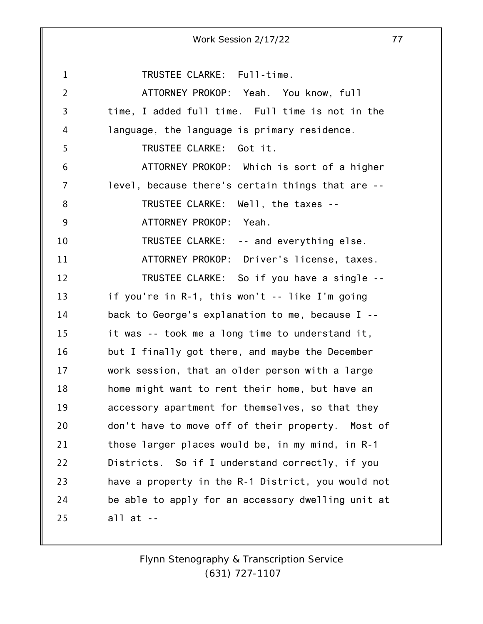1 2 3 4 5 6 7 8 9 10 11 12 13 14 15 16 17 18 19 20 21 22 23 24 25 Work Session 2/17/22 77 TRUSTEE CLARKE: Full-time. ATTORNEY PROKOP: Yeah. You know, full time, I added full time. Full time is not in the language, the language is primary residence. TRUSTEE CLARKE: Got it. ATTORNEY PROKOP: Which is sort of a higher level, because there's certain things that are -- TRUSTEE CLARKE: Well, the taxes -- ATTORNEY PROKOP: Yeah. TRUSTEE CLARKE: -- and everything else. ATTORNEY PROKOP: Driver's license, taxes. TRUSTEE CLARKE: So if you have a single - if you're in R-1, this won't -- like I'm going back to George's explanation to me, because I - it was -- took me a long time to understand it, but I finally got there, and maybe the December work session, that an older person with a large home might want to rent their home, but have an accessory apartment for themselves, so that they don't have to move off of their property. Most of those larger places would be, in my mind, in R-1 Districts. So if I understand correctly, if you have a property in the R-1 District, you would not be able to apply for an accessory dwelling unit at all at --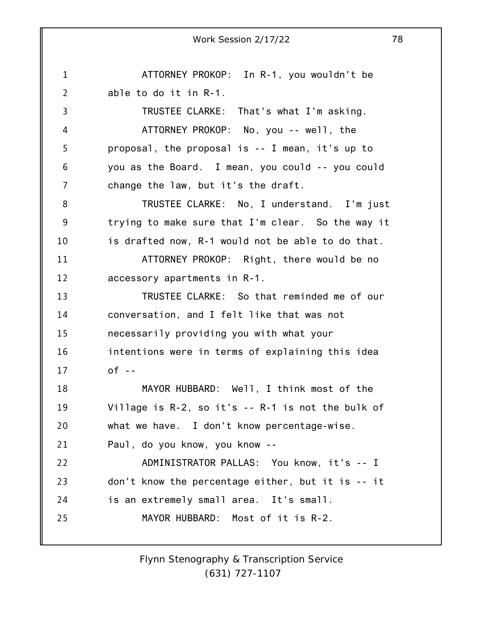1 2 3 4 5 6 7 8 9 10 11 12 13 14 15 16 17 18 19 20 21 22 23 24 25 ATTORNEY PROKOP: In R-1, you wouldn't be able to do it in R-1. TRUSTEE CLARKE: That's what I'm asking. ATTORNEY PROKOP: No, you -- well, the proposal, the proposal is -- I mean, it's up to you as the Board. I mean, you could -- you could change the law, but it's the draft. TRUSTEE CLARKE: No, I understand. I'm just trying to make sure that I'm clear. So the way it is drafted now, R-1 would not be able to do that. ATTORNEY PROKOP: Right, there would be no accessory apartments in R-1. TRUSTEE CLARKE: So that reminded me of our conversation, and I felt like that was not necessarily providing you with what your intentions were in terms of explaining this idea  $of - -$ MAYOR HUBBARD: Well, I think most of the Village is R-2, so it's -- R-1 is not the bulk of what we have. I don't know percentage-wise. Paul, do you know, you know -- ADMINISTRATOR PALLAS: You know, it's -- I don't know the percentage either, but it is -- it is an extremely small area. It's small. MAYOR HUBBARD: Most of it is R-2.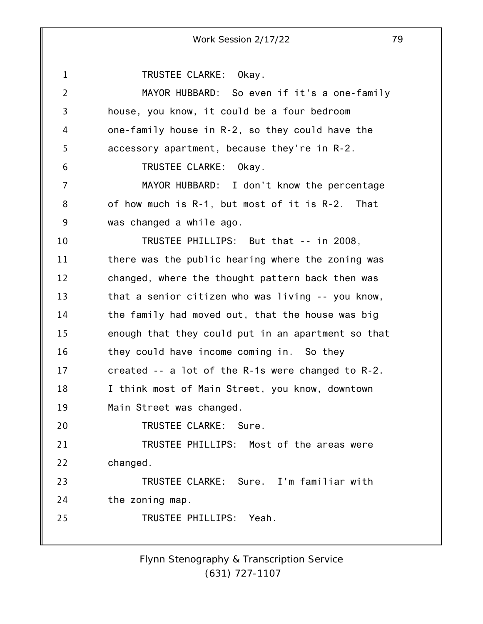1 2 3 4 5 6 7 8 9 10 11 12 13 14 15 16 17 18 19 20 21 22 23 24 25 Work Session 2/17/22 79 TRUSTEE CLARKE: Okay. MAYOR HUBBARD: So even if it's a one-family house, you know, it could be a four bedroom one-family house in R-2, so they could have the accessory apartment, because they're in R-2. TRUSTEE CLARKE: Okay. MAYOR HUBBARD: I don't know the percentage of how much is R-1, but most of it is R-2. That was changed a while ago. TRUSTEE PHILLIPS: But that -- in 2008, there was the public hearing where the zoning was changed, where the thought pattern back then was that a senior citizen who was living -- you know, the family had moved out, that the house was big enough that they could put in an apartment so that they could have income coming in. So they created -- a lot of the R-1s were changed to R-2. I think most of Main Street, you know, downtown Main Street was changed. TRUSTEE CLARKE: Sure. TRUSTEE PHILLIPS: Most of the areas were changed. TRUSTEE CLARKE: Sure. I'm familiar with the zoning map. TRUSTEE PHILLIPS: Yeah.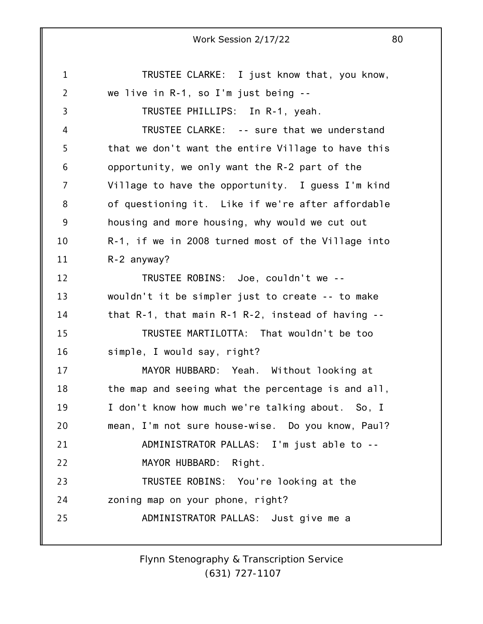1 2 3 4 5 6 7 8 9 10 11 12 13 14 15 16 17 18 19 20 21 22 23 24 25 Work Session 2/17/22 80 TRUSTEE CLARKE: I just know that, you know, we live in R-1, so I'm just being -- TRUSTEE PHILLIPS: In R-1, yeah. TRUSTEE CLARKE: -- sure that we understand that we don't want the entire Village to have this opportunity, we only want the R-2 part of the Village to have the opportunity. I guess I'm kind of questioning it. Like if we're after affordable housing and more housing, why would we cut out R-1, if we in 2008 turned most of the Village into R-2 anyway? TRUSTEE ROBINS: Joe, couldn't we - wouldn't it be simpler just to create -- to make that R-1, that main R-1 R-2, instead of having -- TRUSTEE MARTILOTTA: That wouldn't be too simple, I would say, right? MAYOR HUBBARD: Yeah. Without looking at the map and seeing what the percentage is and all, I don't know how much we're talking about. So, I mean, I'm not sure house-wise. Do you know, Paul? ADMINISTRATOR PALLAS: I'm just able to -- MAYOR HUBBARD: Right. TRUSTEE ROBINS: You're looking at the zoning map on your phone, right? ADMINISTRATOR PALLAS: Just give me a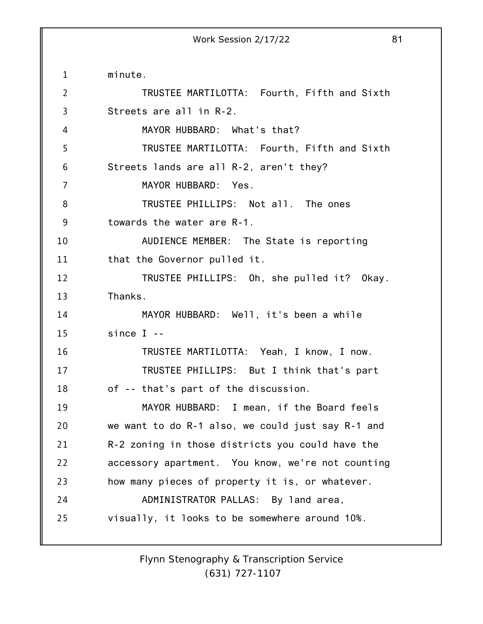1 2 3 4 5 6 7 8 9 10 11 12 13 14 15 16 17 18 19 20 21 22 23 24 25 minute. TRUSTEE MARTILOTTA: Fourth, Fifth and Sixth Streets are all in R-2. MAYOR HUBBARD: What's that? TRUSTEE MARTILOTTA: Fourth, Fifth and Sixth Streets lands are all R-2, aren't they? MAYOR HUBBARD: Yes. TRUSTEE PHILLIPS: Not all. The ones towards the water are R-1. AUDIENCE MEMBER: The State is reporting that the Governor pulled it. TRUSTEE PHILLIPS: Oh, she pulled it? Okay. Thanks. MAYOR HUBBARD: Well, it's been a while since I -- TRUSTEE MARTILOTTA: Yeah, I know, I now. TRUSTEE PHILLIPS: But I think that's part of -- that's part of the discussion. MAYOR HUBBARD: I mean, if the Board feels we want to do R-1 also, we could just say R-1 and R-2 zoning in those districts you could have the accessory apartment. You know, we're not counting how many pieces of property it is, or whatever. ADMINISTRATOR PALLAS: By land area, visually, it looks to be somewhere around 10%.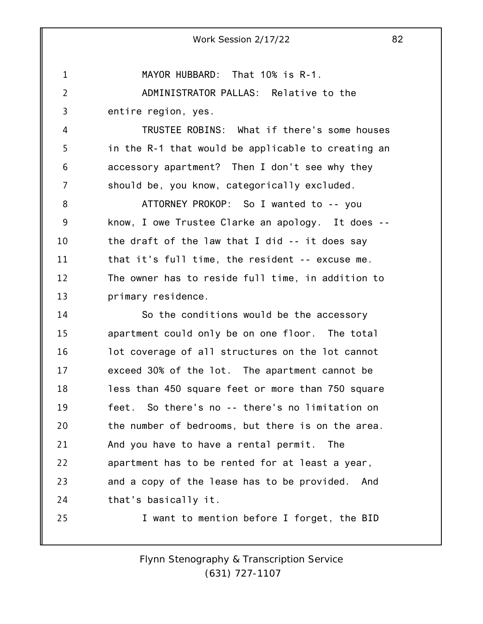MAYOR HUBBARD: That 10% is R-1.

2 3 ADMINISTRATOR PALLAS: Relative to the entire region, yes.

1

25

4 5 6 7 TRUSTEE ROBINS: What if there's some houses in the R-1 that would be applicable to creating an accessory apartment? Then I don't see why they should be, you know, categorically excluded.

8 9 10 11 12 13 ATTORNEY PROKOP: So I wanted to -- you know, I owe Trustee Clarke an apology. It does - the draft of the law that I did -- it does say that it's full time, the resident -- excuse me. The owner has to reside full time, in addition to primary residence.

14 15 16 17 18 19 20 21 22 23 24 So the conditions would be the accessory apartment could only be on one floor. The total lot coverage of all structures on the lot cannot exceed 30% of the lot. The apartment cannot be less than 450 square feet or more than 750 square feet. So there's no -- there's no limitation on the number of bedrooms, but there is on the area. And you have to have a rental permit. The apartment has to be rented for at least a year, and a copy of the lease has to be provided. And that's basically it.

I want to mention before I forget, the BID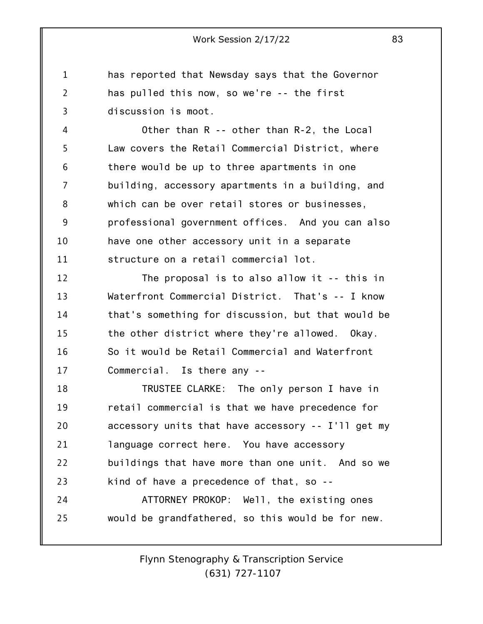1 2 3 has reported that Newsday says that the Governor has pulled this now, so we're -- the first discussion is moot.

4 5 6 7 8 9 10 11 Other than R -- other than R-2, the Local Law covers the Retail Commercial District, where there would be up to three apartments in one building, accessory apartments in a building, and which can be over retail stores or businesses, professional government offices. And you can also have one other accessory unit in a separate structure on a retail commercial lot.

12 13 14 15 16 17 The proposal is to also allow it -- this in Waterfront Commercial District. That's -- I know that's something for discussion, but that would be the other district where they're allowed. Okay. So it would be Retail Commercial and Waterfront Commercial. Is there any --

18 19 20 21 22 23 24 25 TRUSTEE CLARKE: The only person I have in retail commercial is that we have precedence for accessory units that have accessory -- I'll get my language correct here. You have accessory buildings that have more than one unit. And so we kind of have a precedence of that, so -- ATTORNEY PROKOP: Well, the existing ones would be grandfathered, so this would be for new.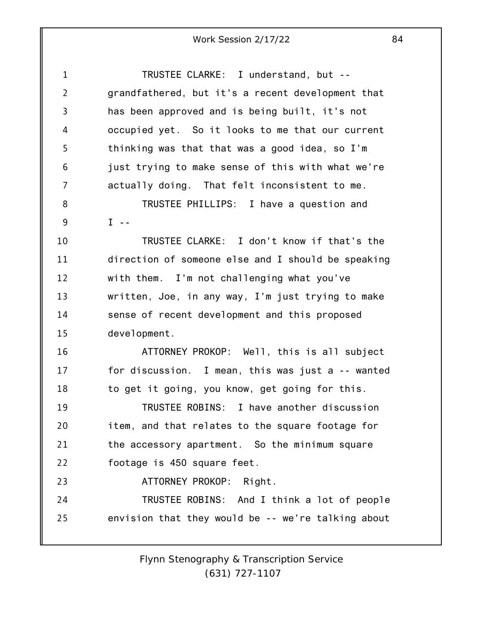| $\mathbf{1}$   | TRUSTEE CLARKE: I understand, but --               |
|----------------|----------------------------------------------------|
| $\overline{2}$ | grandfathered, but it's a recent development that  |
| 3              | has been approved and is being built, it's not     |
| 4              | occupied yet. So it looks to me that our current   |
| 5              | thinking was that that was a good idea, so I'm     |
| 6              | just trying to make sense of this with what we're  |
| 7              | actually doing. That felt inconsistent to me.      |
| 8              | TRUSTEE PHILLIPS: I have a question and            |
| 9              | $I - -$                                            |
| 10             | TRUSTEE CLARKE: I don't know if that's the         |
| 11             | direction of someone else and I should be speaking |
| 12             | with them. I'm not challenging what you've         |
| 13             | written, Joe, in any way, I'm just trying to make  |
| 14             | sense of recent development and this proposed      |
| 15             | development.                                       |
| 16             | ATTORNEY PROKOP: Well, this is all subject         |
| 17             | for discussion. I mean, this was just a -- wanted  |
| 18             | to get it going, you know, get going for this.     |
| 19             | TRUSTEE ROBINS: I have another discussion          |
| 20             | item, and that relates to the square footage for   |
| 21             | the accessory apartment. So the minimum square     |
| 22             | footage is 450 square feet.                        |
| 23             | ATTORNEY PROKOP: Right.                            |
| 24             | TRUSTEE ROBINS: And I think a lot of people        |
| 25             | envision that they would be -- we're talking about |
|                |                                                    |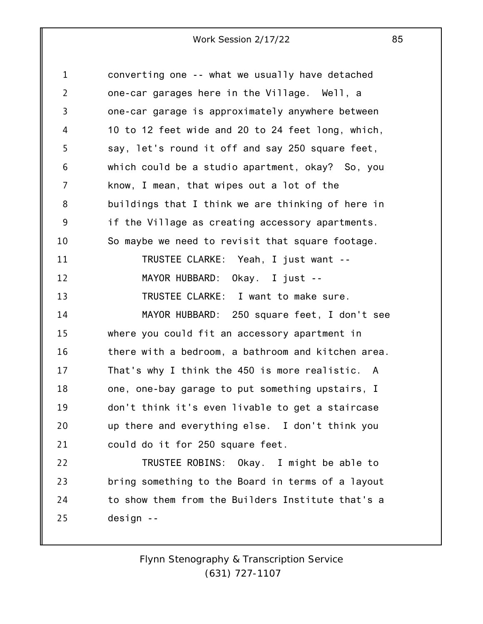1 2 3 4 5 6 7 8 9 10 11 12 13 14 15 16 17 18 19 20 21 22 23 24 25 converting one -- what we usually have detached one-car garages here in the Village. Well, a one-car garage is approximately anywhere between 10 to 12 feet wide and 20 to 24 feet long, which, say, let's round it off and say 250 square feet, which could be a studio apartment, okay? So, you know, I mean, that wipes out a lot of the buildings that I think we are thinking of here in if the Village as creating accessory apartments. So maybe we need to revisit that square footage. TRUSTEE CLARKE: Yeah, I just want -- MAYOR HUBBARD: Okay. I just -- TRUSTEE CLARKE: I want to make sure. MAYOR HUBBARD: 250 square feet, I don't see where you could fit an accessory apartment in there with a bedroom, a bathroom and kitchen area. That's why I think the 450 is more realistic. A one, one-bay garage to put something upstairs, I don't think it's even livable to get a staircase up there and everything else. I don't think you could do it for 250 square feet. TRUSTEE ROBINS: Okay. I might be able to bring something to the Board in terms of a layout to show them from the Builders Institute that's a design --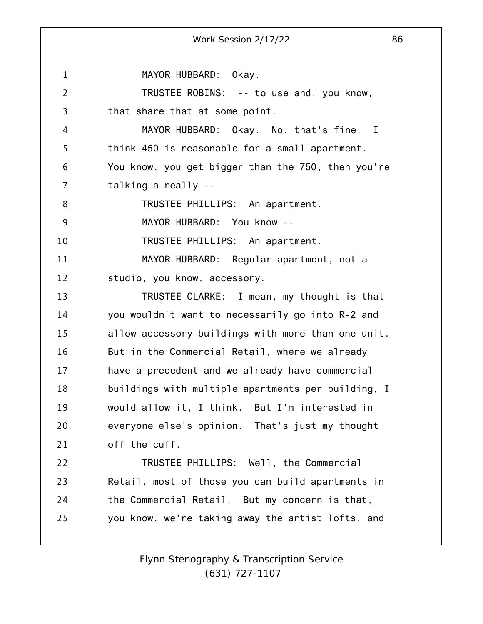1 2 3 4 5 6 7 8 9 10 11 12 13 14 15 16 17 18 19 20 21 22 23 24 25 Work Session 2/17/22 86 MAYOR HUBBARD: Okay. TRUSTEE ROBINS: -- to use and, you know, that share that at some point. MAYOR HUBBARD: Okay. No, that's fine. I think 450 is reasonable for a small apartment. You know, you get bigger than the 750, then you're talking a really -- TRUSTEE PHILLIPS: An apartment. MAYOR HUBBARD: You know -- TRUSTEE PHILLIPS: An apartment. MAYOR HUBBARD: Regular apartment, not a studio, you know, accessory. TRUSTEE CLARKE: I mean, my thought is that you wouldn't want to necessarily go into R-2 and allow accessory buildings with more than one unit. But in the Commercial Retail, where we already have a precedent and we already have commercial buildings with multiple apartments per building, I would allow it, I think. But I'm interested in everyone else's opinion. That's just my thought off the cuff. TRUSTEE PHILLIPS: Well, the Commercial Retail, most of those you can build apartments in the Commercial Retail. But my concern is that, you know, we're taking away the artist lofts, and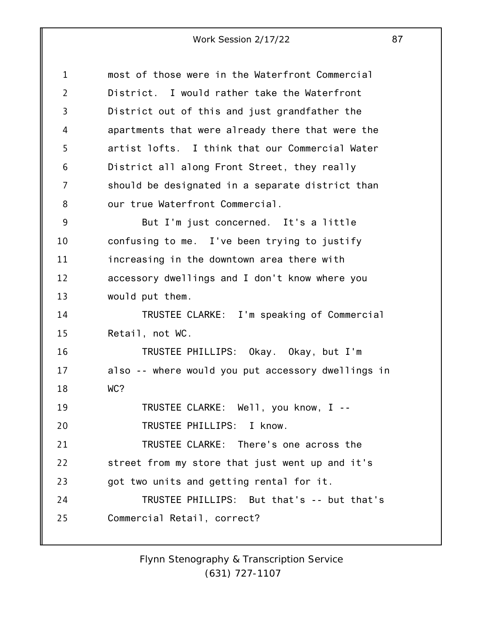| $\mathbf{1}$   | most of those were in the Waterfront Commercial    |
|----------------|----------------------------------------------------|
| $\overline{2}$ | District. I would rather take the Waterfront       |
| 3              | District out of this and just grandfather the      |
| 4              | apartments that were already there that were the   |
| 5              | artist lofts. I think that our Commercial Water    |
| 6              | District all along Front Street, they really       |
| 7              | should be designated in a separate district than   |
| 8              | our true Waterfront Commercial.                    |
| 9              | But I'm just concerned. It's a little              |
| 10             | confusing to me. I've been trying to justify       |
| 11             | increasing in the downtown area there with         |
| 12             | accessory dwellings and I don't know where you     |
| 13             | would put them.                                    |
| 14             | TRUSTEE CLARKE: I'm speaking of Commercial         |
| 15             | Retail, not WC.                                    |
| 16             | TRUSTEE PHILLIPS: Okay. Okay, but I'm              |
| 17             | also -- where would you put accessory dwellings in |
| 18             | WC?                                                |
| 19             | TRUSTEE CLARKE: Well, you know, I --               |
| 20             | TRUSTEE PHILLIPS: I know.                          |
| 21             | TRUSTEE CLARKE: There's one across the             |
| 22             | street from my store that just went up and it's    |
| 23             | got two units and getting rental for it.           |
| 24             | TRUSTEE PHILLIPS: But that's -- but that's         |
| 25             | Commercial Retail, correct?                        |
|                |                                                    |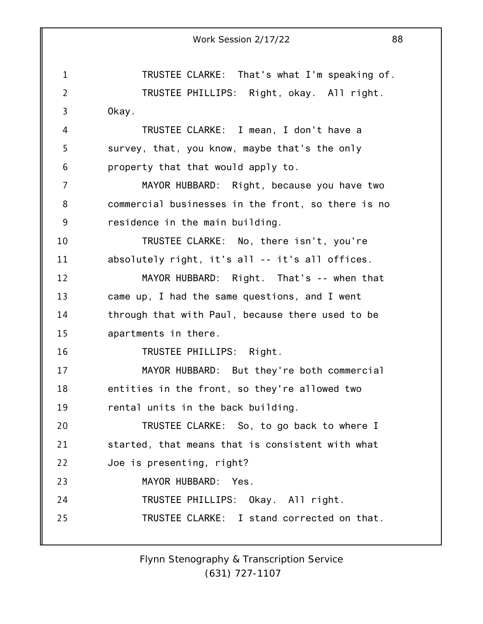|                | Work Session 2/17/22<br>88                         |
|----------------|----------------------------------------------------|
| $\mathbf{1}$   | TRUSTEE CLARKE: That's what I'm speaking of.       |
|                |                                                    |
| $\overline{2}$ | TRUSTEE PHILLIPS: Right, okay. All right.          |
| 3              | Okay.                                              |
| 4              | TRUSTEE CLARKE: I mean, I don't have a             |
| 5              | survey, that, you know, maybe that's the only      |
| 6              | property that that would apply to.                 |
| $\overline{7}$ | MAYOR HUBBARD: Right, because you have two         |
| 8              | commercial businesses in the front, so there is no |
| 9              | residence in the main building.                    |
| 10             | TRUSTEE CLARKE: No, there isn't, you're            |
| 11             | absolutely right, it's all -- it's all offices.    |
| 12             | MAYOR HUBBARD: Right. That's -- when that          |
| 13             | came up, I had the same questions, and I went      |
| 14             | through that with Paul, because there used to be   |
| 15             | apartments in there.                               |
| 16             | TRUSTEE PHILLIPS: Right.                           |
| 17             | MAYOR HUBBARD: But they're both commercial         |
| 18             | entities in the front, so they're allowed two      |
| 19             | rental units in the back building.                 |
| 20             | TRUSTEE CLARKE: So, to go back to where I          |
| 21             | started, that means that is consistent with what   |
| 22             | Joe is presenting, right?                          |
| 23             | MAYOR HUBBARD: Yes.                                |
| 24             | TRUSTEE PHILLIPS: Okay. All right.                 |
| 25             | TRUSTEE CLARKE: I stand corrected on that.         |
|                |                                                    |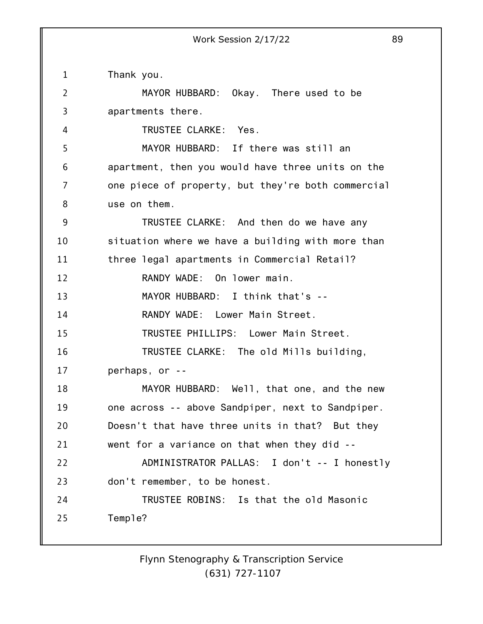1 2 3 4 5 6 7 8 9 10 11 12 13 14 15 16 17 18 19 20 21 22 23 24 25 Thank you. MAYOR HUBBARD: Okay. There used to be apartments there. TRUSTEE CLARKE: Yes. MAYOR HUBBARD: If there was still an apartment, then you would have three units on the one piece of property, but they're both commercial use on them. TRUSTEE CLARKE: And then do we have any situation where we have a building with more than three legal apartments in Commercial Retail? RANDY WADE: On lower main. MAYOR HUBBARD: I think that's -- RANDY WADE: Lower Main Street. TRUSTEE PHILLIPS: Lower Main Street. TRUSTEE CLARKE: The old Mills building, perhaps, or -- MAYOR HUBBARD: Well, that one, and the new one across -- above Sandpiper, next to Sandpiper. Doesn't that have three units in that? But they went for a variance on that when they did -- ADMINISTRATOR PALLAS: I don't -- I honestly don't remember, to be honest. TRUSTEE ROBINS: Is that the old Masonic Temple?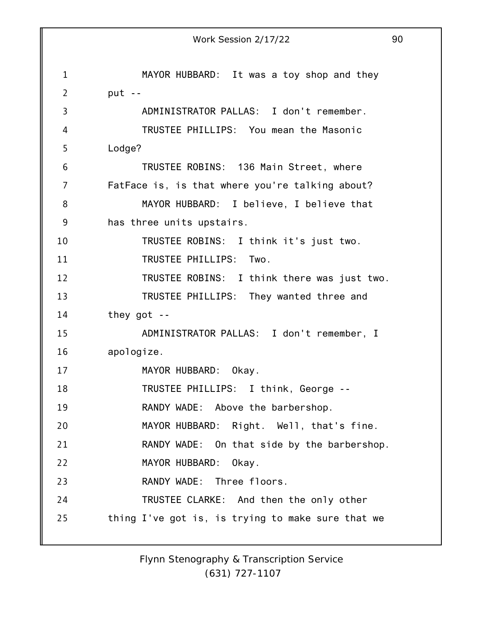|                | 90<br>Work Session 2/17/22                        |
|----------------|---------------------------------------------------|
|                |                                                   |
| $\mathbf{1}$   | MAYOR HUBBARD: It was a toy shop and they         |
| $\overline{2}$ | put $-$                                           |
| 3              | ADMINISTRATOR PALLAS: I don't remember.           |
| 4              | TRUSTEE PHILLIPS: You mean the Masonic            |
| 5              | Lodge?                                            |
| 6              | TRUSTEE ROBINS: 136 Main Street, where            |
| 7              | FatFace is, is that where you're talking about?   |
| 8              | MAYOR HUBBARD: I believe, I believe that          |
| 9              | has three units upstairs.                         |
| 10             | TRUSTEE ROBINS: I think it's just two.            |
| 11             | TRUSTEE PHILLIPS: Two.                            |
| 12             | TRUSTEE ROBINS: I think there was just two.       |
| 13             | TRUSTEE PHILLIPS: They wanted three and           |
| 14             | they got $-$                                      |
| 15             | ADMINISTRATOR PALLAS: I don't remember, I         |
| 16             | apologize.                                        |
| 17             | MAYOR HUBBARD:<br>Okay.                           |
| 18             | TRUSTEE PHILLIPS: I think, George --              |
| 19             | RANDY WADE: Above the barbershop.                 |
| 20             | MAYOR HUBBARD: Right. Well, that's fine.          |
| 21             | RANDY WADE: On that side by the barbershop.       |
| 22             | MAYOR HUBBARD: Okay.                              |
| 23             | RANDY WADE: Three floors.                         |
| 24             | TRUSTEE CLARKE: And then the only other           |
| 25             | thing I've got is, is trying to make sure that we |
|                |                                                   |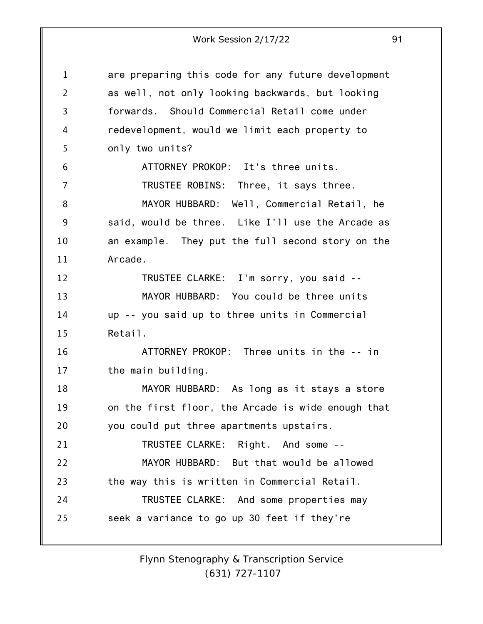1 2 3 4 5 6 7 8 9 10 11 12 13 14 15 16 17 18 19 20 21 22 23 24 25 are preparing this code for any future development as well, not only looking backwards, but looking forwards. Should Commercial Retail come under redevelopment, would we limit each property to only two units? ATTORNEY PROKOP: It's three units. TRUSTEE ROBINS: Three, it says three. MAYOR HUBBARD: Well, Commercial Retail, he said, would be three. Like I'll use the Arcade as an example. They put the full second story on the Arcade. TRUSTEE CLARKE: I'm sorry, you said -- MAYOR HUBBARD: You could be three units up -- you said up to three units in Commercial Retail. ATTORNEY PROKOP: Three units in the -- in the main building. MAYOR HUBBARD: As long as it stays a store on the first floor, the Arcade is wide enough that you could put three apartments upstairs. TRUSTEE CLARKE: Right. And some -- MAYOR HUBBARD: But that would be allowed the way this is written in Commercial Retail. TRUSTEE CLARKE: And some properties may seek a variance to go up 30 feet if they're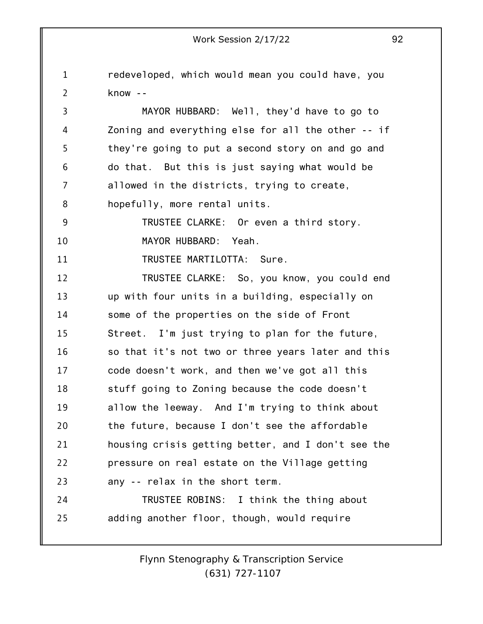1 2 3 4 5 6 7 8 9 10 11 12 13 14 15 16 17 18 19 20 21 22 23 24 25 Work Session 2/17/22 92 redeveloped, which would mean you could have, you know -- MAYOR HUBBARD: Well, they'd have to go to Zoning and everything else for all the other -- if they're going to put a second story on and go and do that. But this is just saying what would be allowed in the districts, trying to create, hopefully, more rental units. TRUSTEE CLARKE: Or even a third story. MAYOR HUBBARD: Yeah. TRUSTEE MARTILOTTA: Sure. TRUSTEE CLARKE: So, you know, you could end up with four units in a building, especially on some of the properties on the side of Front Street. I'm just trying to plan for the future, so that it's not two or three years later and this code doesn't work, and then we've got all this stuff going to Zoning because the code doesn't allow the leeway. And I'm trying to think about the future, because I don't see the affordable housing crisis getting better, and I don't see the pressure on real estate on the Village getting any -- relax in the short term. TRUSTEE ROBINS: I think the thing about adding another floor, though, would require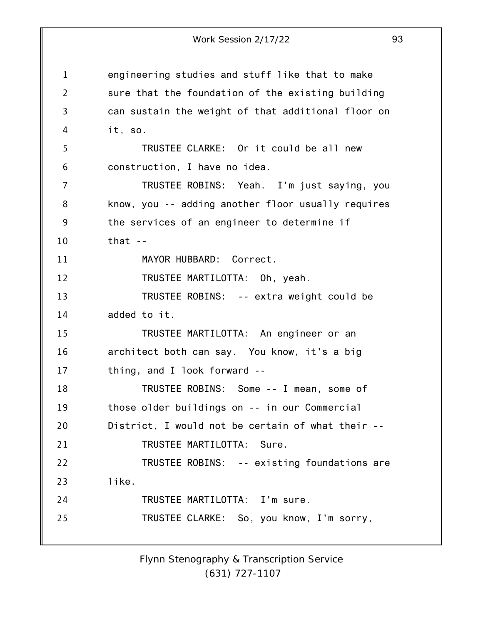1 2 3 4 5 6 7 8 9 10 11 12 13 14 15 16 17 18 19 20 21 22 23 24 25 Work Session 2/17/22 93 engineering studies and stuff like that to make sure that the foundation of the existing building can sustain the weight of that additional floor on it, so. TRUSTEE CLARKE: Or it could be all new construction, I have no idea. TRUSTEE ROBINS: Yeah. I'm just saying, you know, you -- adding another floor usually requires the services of an engineer to determine if  $that -$ MAYOR HUBBARD: Correct. TRUSTEE MARTILOTTA: Oh, yeah. TRUSTEE ROBINS: -- extra weight could be added to it. TRUSTEE MARTILOTTA: An engineer or an architect both can say. You know, it's a big thing, and I look forward -- TRUSTEE ROBINS: Some -- I mean, some of those older buildings on -- in our Commercial District, I would not be certain of what their -- TRUSTEE MARTILOTTA: Sure. TRUSTEE ROBINS: -- existing foundations are like. TRUSTEE MARTILOTTA: I'm sure. TRUSTEE CLARKE: So, you know, I'm sorry,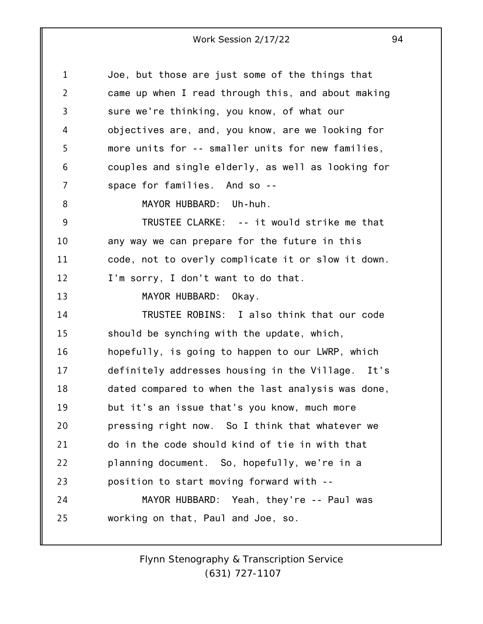1 2 3 4 5 6 7 8 9 10 11 12 13 14 15 16 17 18 19 20 21 22 23 24 25 Joe, but those are just some of the things that came up when I read through this, and about making sure we're thinking, you know, of what our objectives are, and, you know, are we looking for more units for -- smaller units for new families, couples and single elderly, as well as looking for space for families. And so -- MAYOR HUBBARD: Uh-huh. TRUSTEE CLARKE: -- it would strike me that any way we can prepare for the future in this code, not to overly complicate it or slow it down. I'm sorry, I don't want to do that. MAYOR HUBBARD: Okay. TRUSTEE ROBINS: I also think that our code should be synching with the update, which, hopefully, is going to happen to our LWRP, which definitely addresses housing in the Village. It's dated compared to when the last analysis was done, but it's an issue that's you know, much more pressing right now. So I think that whatever we do in the code should kind of tie in with that planning document. So, hopefully, we're in a position to start moving forward with -- MAYOR HUBBARD: Yeah, they're -- Paul was working on that, Paul and Joe, so.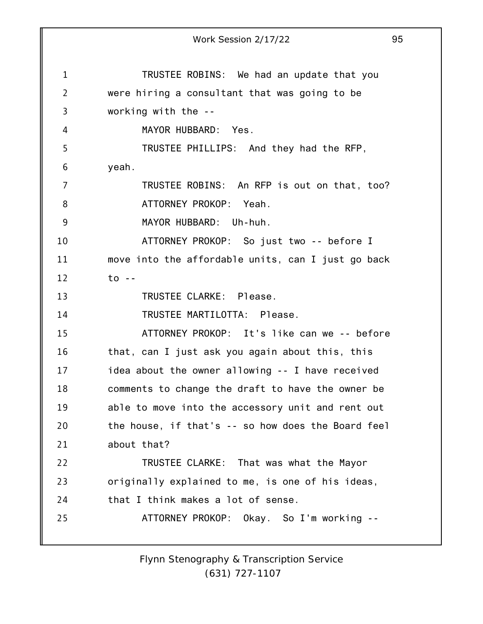1 2 3 4 5 6 7 8 9 10 11 12 13 14 15 16 17 18 19 20 21 22 23 24 25 Work Session 2/17/22 95 TRUSTEE ROBINS: We had an update that you were hiring a consultant that was going to be working with the -- MAYOR HUBBARD: Yes. TRUSTEE PHILLIPS: And they had the RFP, yeah. TRUSTEE ROBINS: An RFP is out on that, too? ATTORNEY PROKOP: Yeah. MAYOR HUBBARD: Uh-huh. ATTORNEY PROKOP: So just two -- before I move into the affordable units, can I just go back to -- TRUSTEE CLARKE: Please. TRUSTEE MARTILOTTA: Please. ATTORNEY PROKOP: It's like can we -- before that, can I just ask you again about this, this idea about the owner allowing -- I have received comments to change the draft to have the owner be able to move into the accessory unit and rent out the house, if that's -- so how does the Board feel about that? TRUSTEE CLARKE: That was what the Mayor originally explained to me, is one of his ideas, that I think makes a lot of sense. ATTORNEY PROKOP: Okay. So I'm working --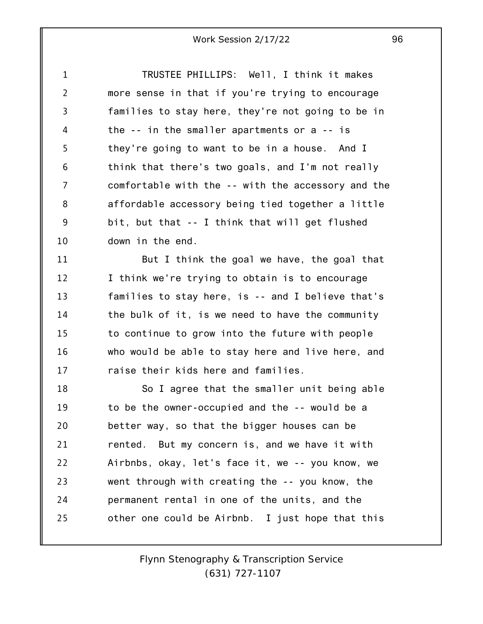1 2 3 4 5 6 7 8 9 10 TRUSTEE PHILLIPS: Well, I think it makes more sense in that if you're trying to encourage families to stay here, they're not going to be in the -- in the smaller apartments or a -- is they're going to want to be in a house. And I think that there's two goals, and I'm not really comfortable with the -- with the accessory and the affordable accessory being tied together a little bit, but that -- I think that will get flushed down in the end.

11 12 13 14 15 16 17 But I think the goal we have, the goal that I think we're trying to obtain is to encourage families to stay here, is -- and I believe that's the bulk of it, is we need to have the community to continue to grow into the future with people who would be able to stay here and live here, and raise their kids here and families.

18 19 20 21 22 23 24 25 So I agree that the smaller unit being able to be the owner-occupied and the -- would be a better way, so that the bigger houses can be rented. But my concern is, and we have it with Airbnbs, okay, let's face it, we -- you know, we went through with creating the -- you know, the permanent rental in one of the units, and the other one could be Airbnb. I just hope that this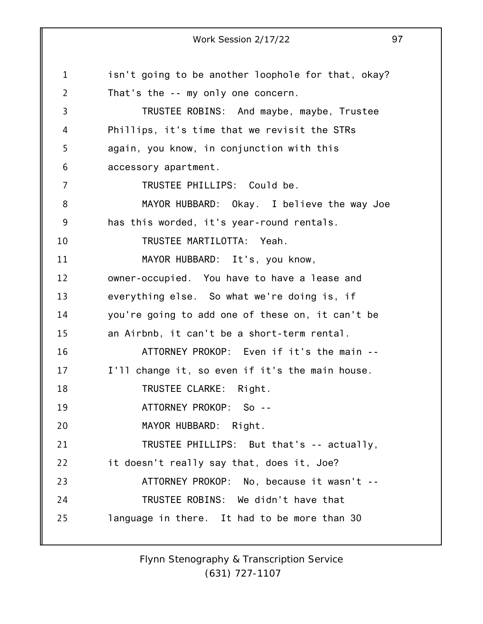1 2 3 4 5 6 7 8 9 10 11 12 13 14 15 16 17 18 19 20 21 22 23 24 25 Work Session 2/17/22 97 isn't going to be another loophole for that, okay? That's the -- my only one concern. TRUSTEE ROBINS: And maybe, maybe, Trustee Phillips, it's time that we revisit the STRs again, you know, in conjunction with this accessory apartment. TRUSTEE PHILLIPS: Could be. MAYOR HUBBARD: Okay. I believe the way Joe has this worded, it's year-round rentals. TRUSTEE MARTILOTTA: Yeah. MAYOR HUBBARD: It's, you know, owner-occupied. You have to have a lease and everything else. So what we're doing is, if you're going to add one of these on, it can't be an Airbnb, it can't be a short-term rental. ATTORNEY PROKOP: Even if it's the main -- I'll change it, so even if it's the main house. TRUSTEE CLARKE: Right. ATTORNEY PROKOP: So -- MAYOR HUBBARD: Right. TRUSTEE PHILLIPS: But that's -- actually, it doesn't really say that, does it, Joe? ATTORNEY PROKOP: No, because it wasn't -- TRUSTEE ROBINS: We didn't have that language in there. It had to be more than 30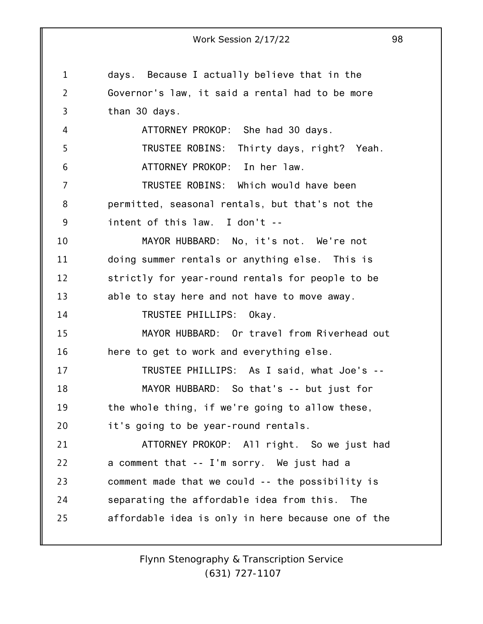1 2 3 4 5 6 7 8 9 10 11 12 13 14 15 16 17 18 19 20 21 22 23 24 25 Work Session 2/17/22 98 days. Because I actually believe that in the Governor's law, it said a rental had to be more than 30 days. ATTORNEY PROKOP: She had 30 days. TRUSTEE ROBINS: Thirty days, right? Yeah. ATTORNEY PROKOP: In her law. TRUSTEE ROBINS: Which would have been permitted, seasonal rentals, but that's not the intent of this law. I don't -- MAYOR HUBBARD: No, it's not. We're not doing summer rentals or anything else. This is strictly for year-round rentals for people to be able to stay here and not have to move away. TRUSTEE PHILLIPS: Okay. MAYOR HUBBARD: Or travel from Riverhead out here to get to work and everything else. TRUSTEE PHILLIPS: As I said, what Joe's -- MAYOR HUBBARD: So that's -- but just for the whole thing, if we're going to allow these, it's going to be year-round rentals. ATTORNEY PROKOP: All right. So we just had a comment that -- I'm sorry. We just had a comment made that we could -- the possibility is separating the affordable idea from this. The affordable idea is only in here because one of the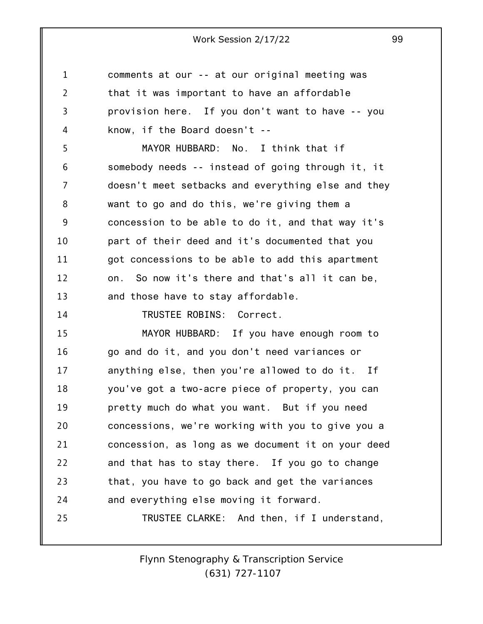| 1  | comments at our -- at our original meeting was     |
|----|----------------------------------------------------|
| 2  | that it was important to have an affordable        |
| 3  | provision here. If you don't want to have -- you   |
| 4  | know, if the Board doesn't $-$                     |
| 5  | MAYOR HUBBARD: No. I think that if                 |
| 6  | somebody needs -- instead of going through it, it  |
| 7  | doesn't meet setbacks and everything else and they |
| 8  | want to go and do this, we're giving them a        |
| 9  | concession to be able to do it, and that way it's  |
| 10 | part of their deed and it's documented that you    |
| 11 | got concessions to be able to add this apartment   |
| 12 | So now it's there and that's all it can be,<br>on. |
| 13 | and those have to stay affordable.                 |
| 14 | TRUSTEE ROBINS: Correct.                           |
| 15 | MAYOR HUBBARD: If you have enough room to          |
| 16 | go and do it, and you don't need variances or      |
| 17 | anything else, then you're allowed to do it. If    |
| 18 | you've got a two-acre piece of property, you can   |
| 19 | pretty much do what you want. But if you need      |
| 20 | concessions, we're working with you to give you a  |
| 21 | concession, as long as we document it on your deed |
| 22 | and that has to stay there. If you go to change    |
| 23 | that, you have to go back and get the variances    |
| 24 | and everything else moving it forward.             |
| 25 | TRUSTEE CLARKE: And then, if I understand,         |
|    |                                                    |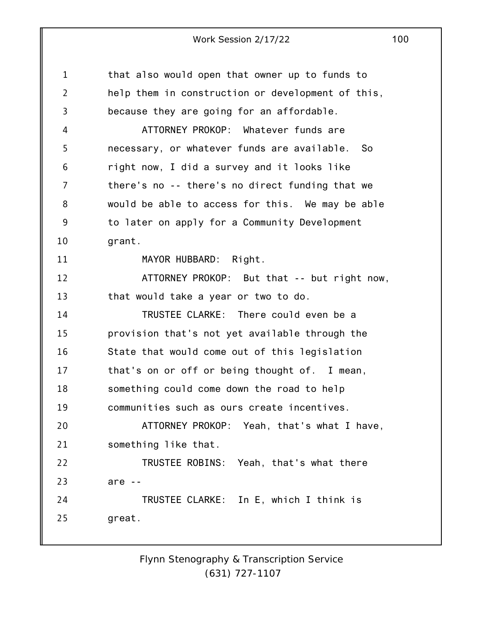| $\mathbf{1}$   | that also would open that owner up to funds to    |
|----------------|---------------------------------------------------|
| $\overline{2}$ | help them in construction or development of this, |
| $\overline{3}$ | because they are going for an affordable.         |
| 4              | ATTORNEY PROKOP: Whatever funds are               |
| 5              | necessary, or whatever funds are available. So    |
| 6              | right now, I did a survey and it looks like       |
| 7              | there's no -- there's no direct funding that we   |
| 8              | would be able to access for this. We may be able  |
| 9              | to later on apply for a Community Development     |
| 10             | grant.                                            |
| 11             | MAYOR HUBBARD: Right.                             |
| 12             | ATTORNEY PROKOP: But that -- but right now,       |
| 13             | that would take a year or two to do.              |
| 14             | TRUSTEE CLARKE: There could even be a             |
| 15             | provision that's not yet available through the    |
| 16             | State that would come out of this legislation     |
| 17             | that's on or off or being thought of. I mean,     |
| 18             | something could come down the road to help        |
| 19             | communities such as ours create incentives.       |
| 20             | ATTORNEY PROKOP: Yeah, that's what I have,        |
| 21             | something like that.                              |
| 22             | TRUSTEE ROBINS: Yeah, that's what there           |
| 23             | are $-$                                           |
| 24             | TRUSTEE CLARKE: In E, which I think is            |
| 25             | great.                                            |
|                |                                                   |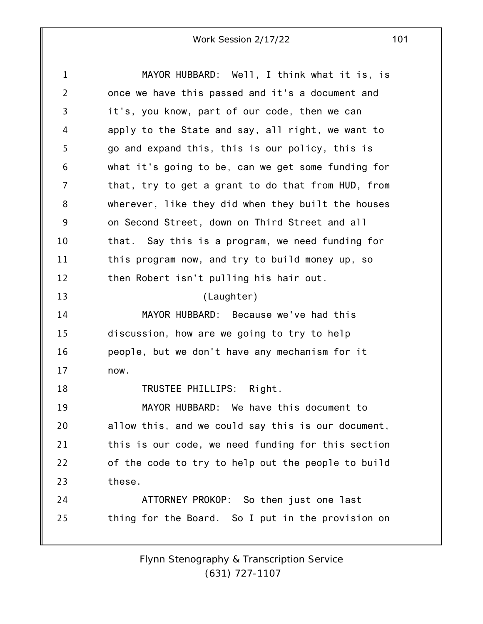1 2 3 4 5 6 7 8 9 10 11 12 13 14 15 16 17 18 19 20 21 22 23 24 25 MAYOR HUBBARD: Well, I think what it is, is once we have this passed and it's a document and it's, you know, part of our code, then we can apply to the State and say, all right, we want to go and expand this, this is our policy, this is what it's going to be, can we get some funding for that, try to get a grant to do that from HUD, from wherever, like they did when they built the houses on Second Street, down on Third Street and all that. Say this is a program, we need funding for this program now, and try to build money up, so then Robert isn't pulling his hair out. (Laughter) MAYOR HUBBARD: Because we've had this discussion, how are we going to try to help people, but we don't have any mechanism for it now. TRUSTEE PHILLIPS: Right. MAYOR HUBBARD: We have this document to allow this, and we could say this is our document, this is our code, we need funding for this section of the code to try to help out the people to build these. ATTORNEY PROKOP: So then just one last thing for the Board. So I put in the provision on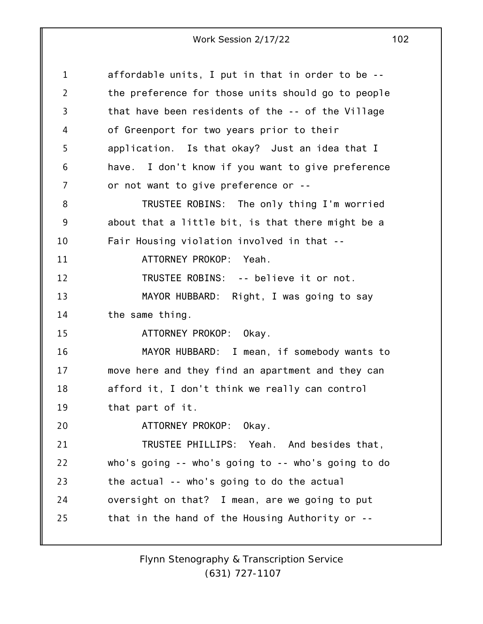| 1              | affordable units, I put in that in order to be --  |
|----------------|----------------------------------------------------|
| 2              | the preference for those units should go to people |
| 3              | that have been residents of the -- of the Village  |
| 4              | of Greenport for two years prior to their          |
| 5              | application. Is that okay? Just an idea that I     |
| 6              | have. I don't know if you want to give preference  |
| $\overline{7}$ | or not want to give preference or --               |
| 8              | TRUSTEE ROBINS: The only thing I'm worried         |
| 9              | about that a little bit, is that there might be a  |
| 10             | Fair Housing violation involved in that --         |
| 11             | ATTORNEY PROKOP: Yeah.                             |
| 12             | TRUSTEE ROBINS: -- believe it or not.              |
| 13             | MAYOR HUBBARD: Right, I was going to say           |
| 14             | the same thing.                                    |
| 15             | ATTORNEY PROKOP: Okay.                             |
| 16             | MAYOR HUBBARD: I mean, if somebody wants to        |
| 17             | move here and they find an apartment and they can  |
| 18             | afford it, I don't think we really can control     |
| 19             | that part of it.                                   |
| 20             | ATTORNEY PROKOP: Okay.                             |
| 21             | TRUSTEE PHILLIPS: Yeah. And besides that,          |
| 22             | who's going -- who's going to -- who's going to do |
| 23             | the actual -- who's going to do the actual         |
| 24             | oversight on that? I mean, are we going to put     |
| 25             | that in the hand of the Housing Authority or --    |
|                |                                                    |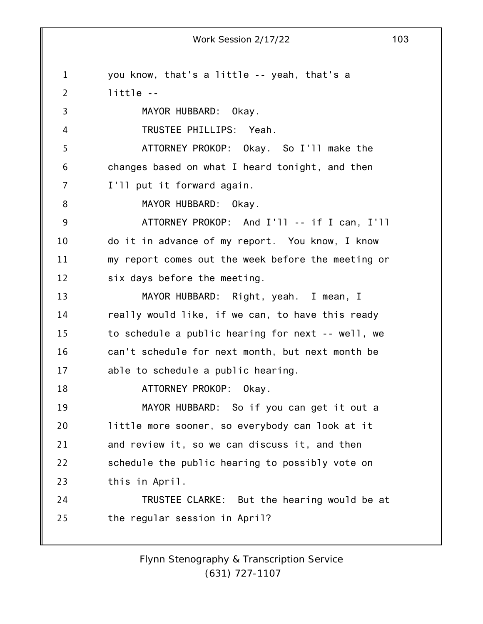1 2 3 4 5 6 7 8 9 10 11 12 13 14 15 16 17 18 19 20 21 22 23 24 25 you know, that's a little -- yeah, that's a little -- MAYOR HUBBARD: Okay. TRUSTEE PHILLIPS: Yeah. ATTORNEY PROKOP: Okay. So I'll make the changes based on what I heard tonight, and then I'll put it forward again. MAYOR HUBBARD: Okay. ATTORNEY PROKOP: And I'll -- if I can, I'll do it in advance of my report. You know, I know my report comes out the week before the meeting or six days before the meeting. MAYOR HUBBARD: Right, yeah. I mean, I really would like, if we can, to have this ready to schedule a public hearing for next -- well, we can't schedule for next month, but next month be able to schedule a public hearing. ATTORNEY PROKOP: Okay. MAYOR HUBBARD: So if you can get it out a little more sooner, so everybody can look at it and review it, so we can discuss it, and then schedule the public hearing to possibly vote on this in April. TRUSTEE CLARKE: But the hearing would be at the regular session in April?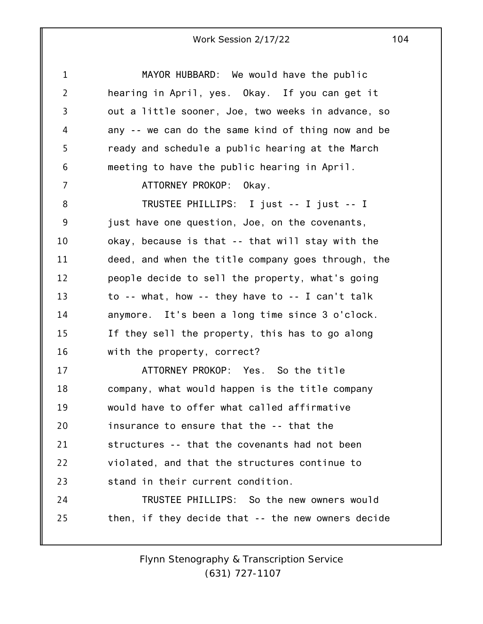| $\mathbf{1}$   | MAYOR HUBBARD: We would have the public            |
|----------------|----------------------------------------------------|
| $\overline{2}$ | hearing in April, yes. Okay. If you can get it     |
| 3              | out a little sooner, Joe, two weeks in advance, so |
| 4              | any -- we can do the same kind of thing now and be |
| 5              | ready and schedule a public hearing at the March   |
| 6              | meeting to have the public hearing in April.       |
| 7              | ATTORNEY PROKOP: Okay.                             |
| 8              | TRUSTEE PHILLIPS: I just -- I just -- I            |
| 9              | just have one question, Joe, on the covenants,     |
| 10             | okay, because is that -- that will stay with the   |
| 11             | deed, and when the title company goes through, the |
| 12             | people decide to sell the property, what's going   |
| 13             | to -- what, how -- they have to -- I can't talk    |
| 14             | anymore. It's been a long time since 3 o'clock.    |
| 15             | If they sell the property, this has to go along    |
| 16             | with the property, correct?                        |
| 17             | ATTORNEY PROKOP: Yes. So the title                 |
| 18             | company, what would happen is the title company    |
| 19             | would have to offer what called affirmative        |
| 20             | insurance to ensure that the -- that the           |
| 21             | structures -- that the covenants had not been      |
| 22             | violated, and that the structures continue to      |
| 23             | stand in their current condition.                  |
| 24             | TRUSTEE PHILLIPS: So the new owners would          |
| 25             | then, if they decide that -- the new owners decide |
|                |                                                    |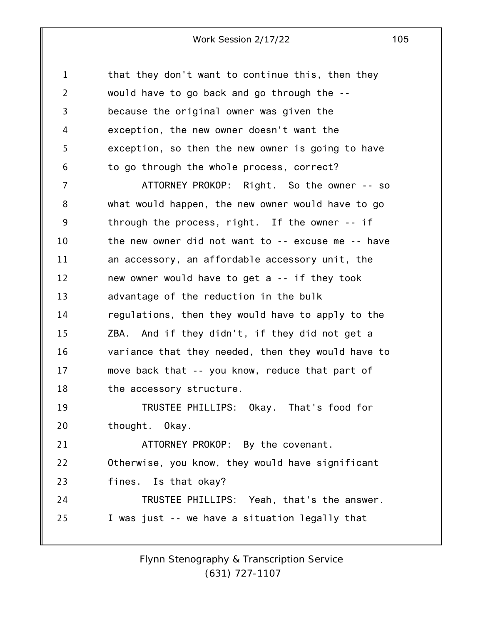1 2 3 4 5 6 that they don't want to continue this, then they would have to go back and go through the - because the original owner was given the exception, the new owner doesn't want the exception, so then the new owner is going to have to go through the whole process, correct?

7 8 9 10 11 12 13 14 15 16 17 18 19 20 21 22 23 24 25 ATTORNEY PROKOP: Right. So the owner -- so what would happen, the new owner would have to go through the process, right. If the owner -- if the new owner did not want to -- excuse me -- have an accessory, an affordable accessory unit, the new owner would have to get a -- if they took advantage of the reduction in the bulk regulations, then they would have to apply to the ZBA. And if they didn't, if they did not get a variance that they needed, then they would have to move back that -- you know, reduce that part of the accessory structure. TRUSTEE PHILLIPS: Okay. That's food for thought. Okay. ATTORNEY PROKOP: By the covenant. Otherwise, you know, they would have significant fines. Is that okay? TRUSTEE PHILLIPS: Yeah, that's the answer. I was just -- we have a situation legally that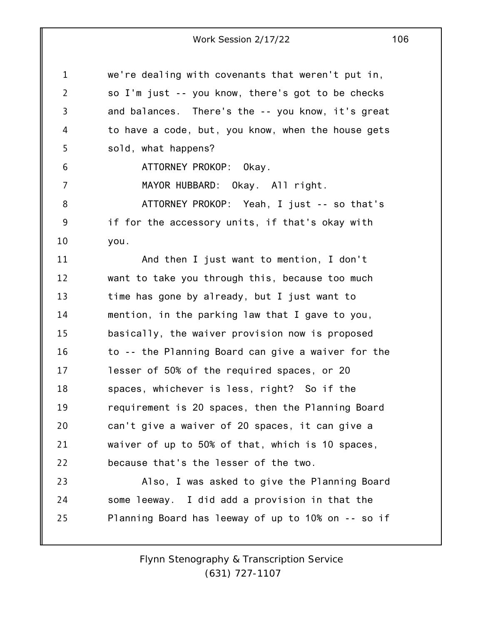1 2 3 4 5 6 7 8 9 10 11 12 13 14 15 16 17 18 19 20 21 22 23 24 25 we're dealing with covenants that weren't put in, so I'm just -- you know, there's got to be checks and balances. There's the -- you know, it's great to have a code, but, you know, when the house gets sold, what happens? ATTORNEY PROKOP: Okay. MAYOR HUBBARD: Okay. All right. ATTORNEY PROKOP: Yeah, I just -- so that's if for the accessory units, if that's okay with you. And then I just want to mention, I don't want to take you through this, because too much time has gone by already, but I just want to mention, in the parking law that I gave to you, basically, the waiver provision now is proposed to -- the Planning Board can give a waiver for the lesser of 50% of the required spaces, or 20 spaces, whichever is less, right? So if the requirement is 20 spaces, then the Planning Board can't give a waiver of 20 spaces, it can give a waiver of up to 50% of that, which is 10 spaces, because that's the lesser of the two. Also, I was asked to give the Planning Board some leeway. I did add a provision in that the Planning Board has leeway of up to 10% on -- so if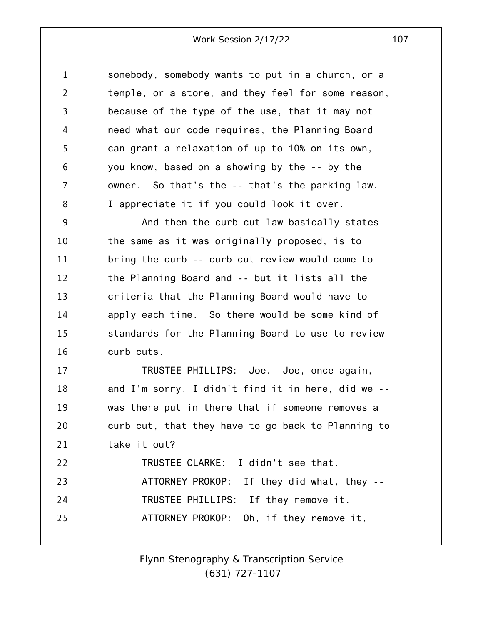1 2 3 4 5 6 7 8 somebody, somebody wants to put in a church, or a temple, or a store, and they feel for some reason, because of the type of the use, that it may not need what our code requires, the Planning Board can grant a relaxation of up to 10% on its own, you know, based on a showing by the -- by the owner. So that's the -- that's the parking law. I appreciate it if you could look it over.

9 10 11 12 13 14 15 16 And then the curb cut law basically states the same as it was originally proposed, is to bring the curb -- curb cut review would come to the Planning Board and -- but it lists all the criteria that the Planning Board would have to apply each time. So there would be some kind of standards for the Planning Board to use to review curb cuts.

17 18 19 20 21 22 23 24 25 TRUSTEE PHILLIPS: Joe. Joe, once again, and I'm sorry, I didn't find it in here, did we - was there put in there that if someone removes a curb cut, that they have to go back to Planning to take it out? TRUSTEE CLARKE: I didn't see that. ATTORNEY PROKOP: If they did what, they -- TRUSTEE PHILLIPS: If they remove it. ATTORNEY PROKOP: Oh, if they remove it,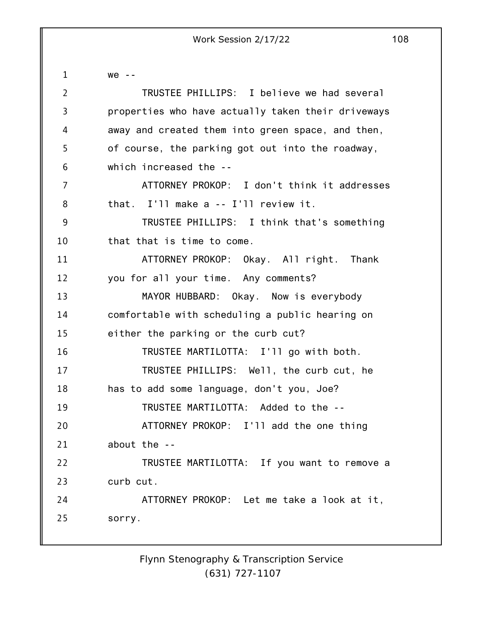1 2 3 4 5 6 7 8 9 10 11 12 13 14 15 16 17 18 19 20 21 22 23 24 25 we -- TRUSTEE PHILLIPS: I believe we had several properties who have actually taken their driveways away and created them into green space, and then, of course, the parking got out into the roadway, which increased the -- ATTORNEY PROKOP: I don't think it addresses that. I'll make a -- I'll review it. TRUSTEE PHILLIPS: I think that's something that that is time to come. ATTORNEY PROKOP: Okay. All right. Thank you for all your time. Any comments? MAYOR HUBBARD: Okay. Now is everybody comfortable with scheduling a public hearing on either the parking or the curb cut? TRUSTEE MARTILOTTA: I'll go with both. TRUSTEE PHILLIPS: Well, the curb cut, he has to add some language, don't you, Joe? TRUSTEE MARTILOTTA: Added to the -- ATTORNEY PROKOP: I'll add the one thing about the -- TRUSTEE MARTILOTTA: If you want to remove a curb cut. ATTORNEY PROKOP: Let me take a look at it, sorry.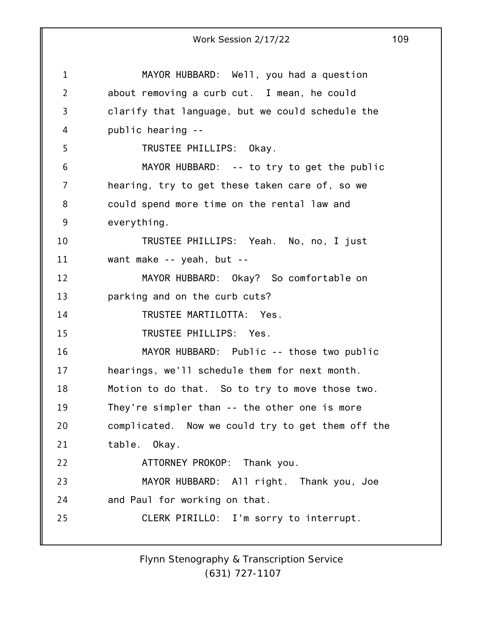1 2 3 4 5 6 7 8 9 10 11 12 13 14 15 16 17 18 19 20 21 22 23 24 25 Work Session 2/17/22 109 MAYOR HUBBARD: Well, you had a question about removing a curb cut. I mean, he could clarify that language, but we could schedule the public hearing -- TRUSTEE PHILLIPS: Okay. MAYOR HUBBARD: -- to try to get the public hearing, try to get these taken care of, so we could spend more time on the rental law and everything. TRUSTEE PHILLIPS: Yeah. No, no, I just want make -- yeah, but -- MAYOR HUBBARD: Okay? So comfortable on parking and on the curb cuts? TRUSTEE MARTILOTTA: Yes. TRUSTEE PHILLIPS: Yes. MAYOR HUBBARD: Public -- those two public hearings, we'll schedule them for next month. Motion to do that. So to try to move those two. They're simpler than -- the other one is more complicated. Now we could try to get them off the table. Okay. ATTORNEY PROKOP: Thank you. MAYOR HUBBARD: All right. Thank you, Joe and Paul for working on that. CLERK PIRILLO: I'm sorry to interrupt.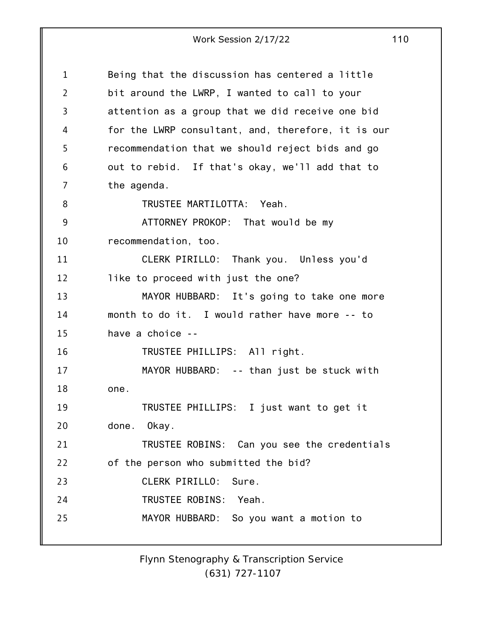1 2 3 4 5 6 7 8 9 10 11 12 13 14 15 16 17 18 19 20 21 22 23 24 25 Being that the discussion has centered a little bit around the LWRP, I wanted to call to your attention as a group that we did receive one bid for the LWRP consultant, and, therefore, it is our recommendation that we should reject bids and go out to rebid. If that's okay, we'll add that to the agenda. TRUSTEE MARTILOTTA: Yeah. ATTORNEY PROKOP: That would be my recommendation, too. CLERK PIRILLO: Thank you. Unless you'd like to proceed with just the one? MAYOR HUBBARD: It's going to take one more month to do it. I would rather have more -- to have a choice -- TRUSTEE PHILLIPS: All right. MAYOR HUBBARD: -- than just be stuck with one. TRUSTEE PHILLIPS: I just want to get it done. Okay. TRUSTEE ROBINS: Can you see the credentials of the person who submitted the bid? CLERK PIRILLO: Sure. TRUSTEE ROBINS: Yeah. MAYOR HUBBARD: So you want a motion to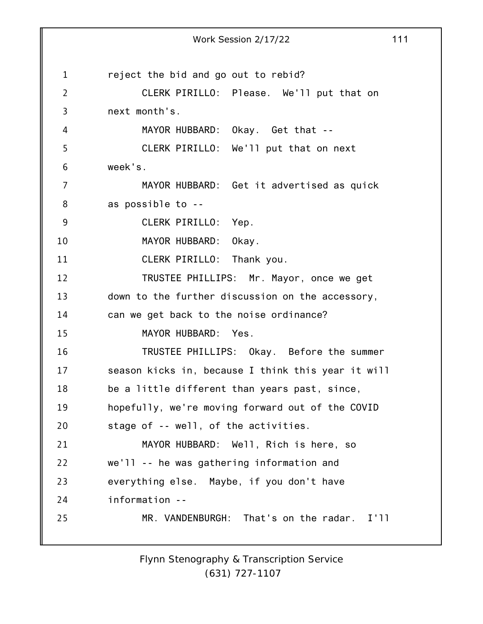1 2 3 4 5 6 7 8 9 10 11 12 13 14 15 16 17 18 19 20 21 22 23 24 25 Work Session 2/17/22 111 reject the bid and go out to rebid? CLERK PIRILLO: Please. We'll put that on next month's. MAYOR HUBBARD: Okay. Get that -- CLERK PIRILLO: We'll put that on next week's. MAYOR HUBBARD: Get it advertised as quick as possible to -- CLERK PIRILLO: Yep. MAYOR HUBBARD: Okay. CLERK PIRILLO: Thank you. TRUSTEE PHILLIPS: Mr. Mayor, once we get down to the further discussion on the accessory, can we get back to the noise ordinance? MAYOR HUBBARD: Yes. TRUSTEE PHILLIPS: Okay. Before the summer season kicks in, because I think this year it will be a little different than years past, since, hopefully, we're moving forward out of the COVID stage of -- well, of the activities. MAYOR HUBBARD: Well, Rich is here, so we'll -- he was gathering information and everything else. Maybe, if you don't have information -- MR. VANDENBURGH: That's on the radar. I'll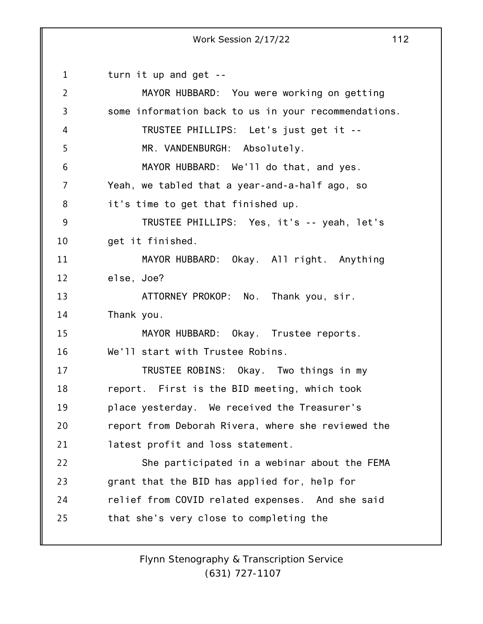1 2 3 4 5 6 7 8 9 10 11 12 13 14 15 16 17 18 19 20 21 22 23 24 25 turn it up and get -- MAYOR HUBBARD: You were working on getting some information back to us in your recommendations. TRUSTEE PHILLIPS: Let's just get it -- MR. VANDENBURGH: Absolutely. MAYOR HUBBARD: We'll do that, and yes. Yeah, we tabled that a year-and-a-half ago, so it's time to get that finished up. TRUSTEE PHILLIPS: Yes, it's -- yeah, let's get it finished. MAYOR HUBBARD: Okay. All right. Anything else, Joe? ATTORNEY PROKOP: No. Thank you, sir. Thank you. MAYOR HUBBARD: Okay. Trustee reports. We'll start with Trustee Robins. TRUSTEE ROBINS: Okay. Two things in my report. First is the BID meeting, which took place yesterday. We received the Treasurer's report from Deborah Rivera, where she reviewed the latest profit and loss statement. She participated in a webinar about the FEMA grant that the BID has applied for, help for relief from COVID related expenses. And she said that she's very close to completing the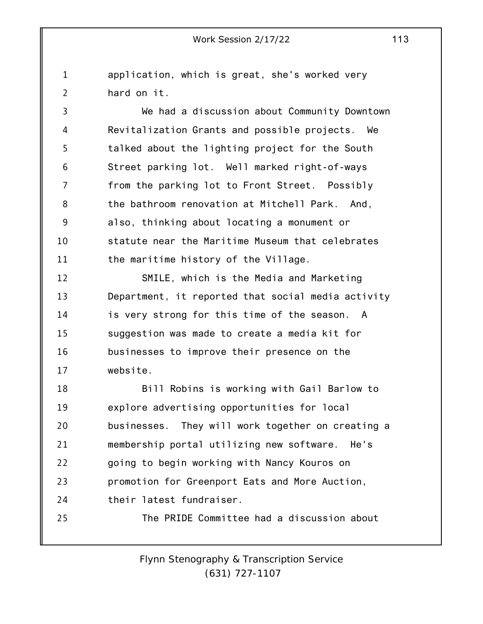1 2 application, which is great, she's worked very hard on it.

3 4 5 6 7 8 9 10 11 We had a discussion about Community Downtown Revitalization Grants and possible projects. We talked about the lighting project for the South Street parking lot. Well marked right-of-ways from the parking lot to Front Street. Possibly the bathroom renovation at Mitchell Park. And, also, thinking about locating a monument or statute near the Maritime Museum that celebrates the maritime history of the Village.

12 13 14 15 16 17 SMILE, which is the Media and Marketing Department, it reported that social media activity is very strong for this time of the season. A suggestion was made to create a media kit for businesses to improve their presence on the website.

18 19 20 21 22 23 24 25 Bill Robins is working with Gail Barlow to explore advertising opportunities for local businesses. They will work together on creating a membership portal utilizing new software. He's going to begin working with Nancy Kouros on promotion for Greenport Eats and More Auction, their latest fundraiser. The PRIDE Committee had a discussion about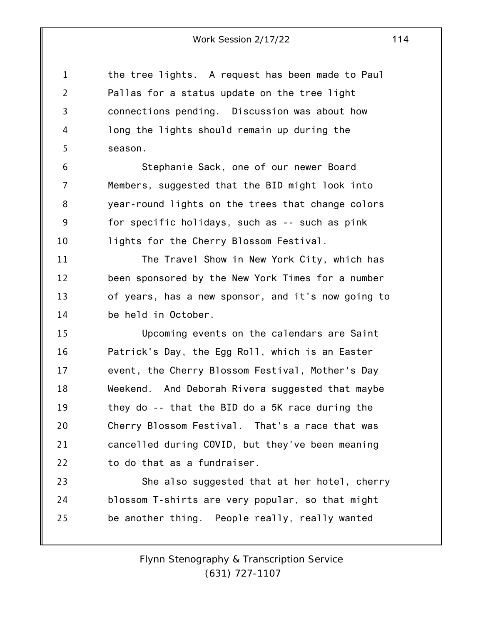1 2 3 4 5 the tree lights. A request has been made to Paul Pallas for a status update on the tree light connections pending. Discussion was about how long the lights should remain up during the season.

6 7 8 9 10 Stephanie Sack, one of our newer Board Members, suggested that the BID might look into year-round lights on the trees that change colors for specific holidays, such as -- such as pink lights for the Cherry Blossom Festival.

11 12 13 14 The Travel Show in New York City, which has been sponsored by the New York Times for a number of years, has a new sponsor, and it's now going to be held in October.

15 16 17 18 19 20 21 22 Upcoming events on the calendars are Saint Patrick's Day, the Egg Roll, which is an Easter event, the Cherry Blossom Festival, Mother's Day Weekend. And Deborah Rivera suggested that maybe they do -- that the BID do a 5K race during the Cherry Blossom Festival. That's a race that was cancelled during COVID, but they've been meaning to do that as a fundraiser.

23 24 25 She also suggested that at her hotel, cherry blossom T-shirts are very popular, so that might be another thing. People really, really wanted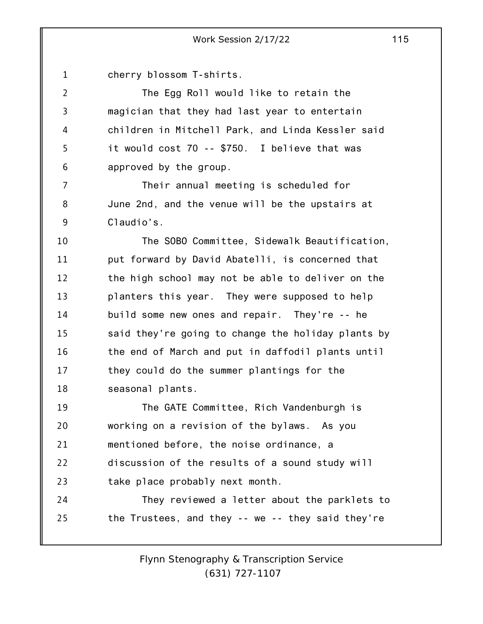1 2 3 4 5 6 7 8 9 10 11 12 13 14 15 16 17 18 19 20 21 22 23 24 25 cherry blossom T-shirts. The Egg Roll would like to retain the magician that they had last year to entertain children in Mitchell Park, and Linda Kessler said it would cost 70 -- \$750. I believe that was approved by the group. Their annual meeting is scheduled for June 2nd, and the venue will be the upstairs at Claudio's. The SOBO Committee, Sidewalk Beautification, put forward by David Abatelli, is concerned that the high school may not be able to deliver on the planters this year. They were supposed to help build some new ones and repair. They're -- he said they're going to change the holiday plants by the end of March and put in daffodil plants until they could do the summer plantings for the seasonal plants. The GATE Committee, Rich Vandenburgh is working on a revision of the bylaws. As you mentioned before, the noise ordinance, a discussion of the results of a sound study will take place probably next month. They reviewed a letter about the parklets to the Trustees, and they -- we -- they said they're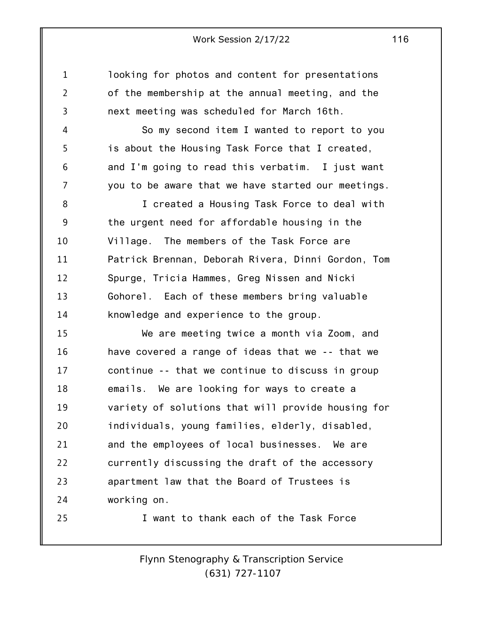1

2

3

4

5

6

7

25

looking for photos and content for presentations of the membership at the annual meeting, and the next meeting was scheduled for March 16th.

So my second item I wanted to report to you is about the Housing Task Force that I created, and I'm going to read this verbatim. I just want you to be aware that we have started our meetings.

8 9 10 11 12 13 14 I created a Housing Task Force to deal with the urgent need for affordable housing in the Village. The members of the Task Force are Patrick Brennan, Deborah Rivera, Dinni Gordon, Tom Spurge, Tricia Hammes, Greg Nissen and Nicki Gohorel. Each of these members bring valuable knowledge and experience to the group.

15 16 17 18 19 20 21 22 23 24 We are meeting twice a month via Zoom, and have covered a range of ideas that we -- that we continue -- that we continue to discuss in group emails. We are looking for ways to create a variety of solutions that will provide housing for individuals, young families, elderly, disabled, and the employees of local businesses. We are currently discussing the draft of the accessory apartment law that the Board of Trustees is working on.

I want to thank each of the Task Force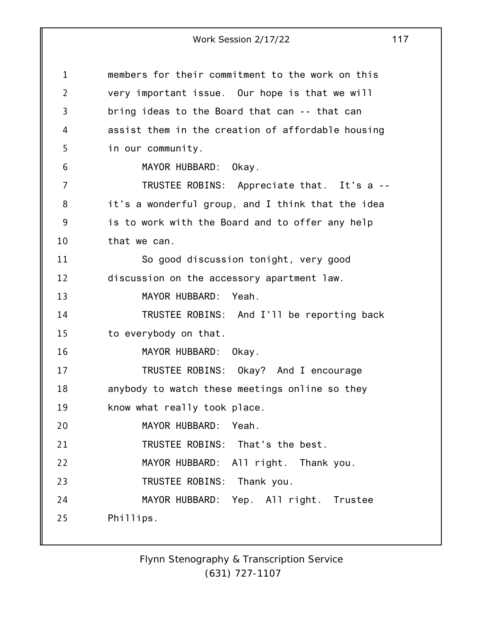1 2 3 4 5 6 7 8 9 10 11 12 13 14 15 16 17 18 19 20 21 22 23 24 25 members for their commitment to the work on this very important issue. Our hope is that we will bring ideas to the Board that can -- that can assist them in the creation of affordable housing in our community. MAYOR HUBBARD: Okay. TRUSTEE ROBINS: Appreciate that. It's a - it's a wonderful group, and I think that the idea is to work with the Board and to offer any help that we can. So good discussion tonight, very good discussion on the accessory apartment law. MAYOR HUBBARD: Yeah. TRUSTEE ROBINS: And I'll be reporting back to everybody on that. MAYOR HUBBARD: Okay. TRUSTEE ROBINS: Okay? And I encourage anybody to watch these meetings online so they know what really took place. MAYOR HUBBARD: Yeah. TRUSTEE ROBINS: That's the best. MAYOR HUBBARD: All right. Thank you. TRUSTEE ROBINS: Thank you. MAYOR HUBBARD: Yep. All right. Trustee Phillips.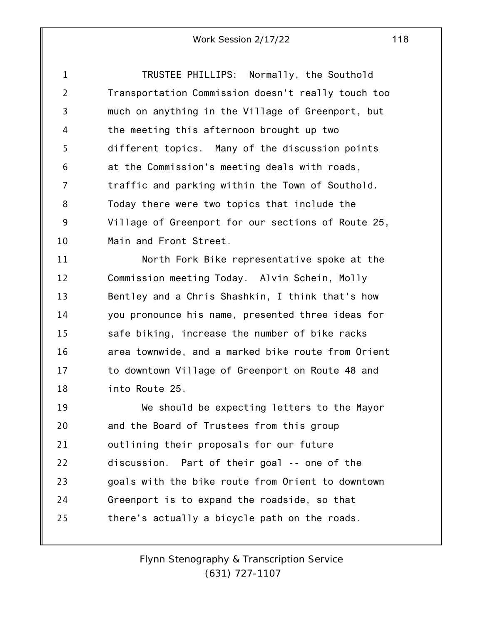1 2 3 4 5 6 7 8 9 10 TRUSTEE PHILLIPS: Normally, the Southold Transportation Commission doesn't really touch too much on anything in the Village of Greenport, but the meeting this afternoon brought up two different topics. Many of the discussion points at the Commission's meeting deals with roads, traffic and parking within the Town of Southold. Today there were two topics that include the Village of Greenport for our sections of Route 25, Main and Front Street.

11 12 13 14 15 16 17 18 North Fork Bike representative spoke at the Commission meeting Today. Alvin Schein, Molly Bentley and a Chris Shashkin, I think that's how you pronounce his name, presented three ideas for safe biking, increase the number of bike racks area townwide, and a marked bike route from Orient to downtown Village of Greenport on Route 48 and into Route 25.

19 20 21 22 23 24 25 We should be expecting letters to the Mayor and the Board of Trustees from this group outlining their proposals for our future discussion. Part of their goal -- one of the goals with the bike route from Orient to downtown Greenport is to expand the roadside, so that there's actually a bicycle path on the roads.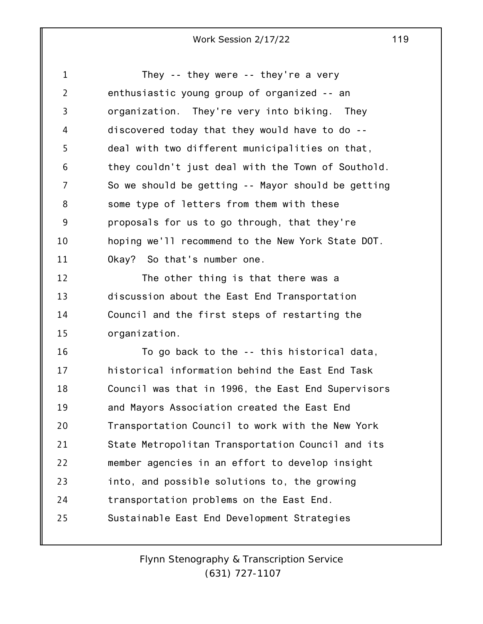1 2 3 4 5 6 7 8 9 10 11 12 13 14 15 16 17 18 19 20 21 22 23 24 25 They -- they were -- they're a very enthusiastic young group of organized -- an organization. They're very into biking. They discovered today that they would have to do - deal with two different municipalities on that, they couldn't just deal with the Town of Southold. So we should be getting -- Mayor should be getting some type of letters from them with these proposals for us to go through, that they're hoping we'll recommend to the New York State DOT. Okay? So that's number one. The other thing is that there was a discussion about the East End Transportation Council and the first steps of restarting the organization. To go back to the -- this historical data, historical information behind the East End Task Council was that in 1996, the East End Supervisors and Mayors Association created the East End Transportation Council to work with the New York State Metropolitan Transportation Council and its member agencies in an effort to develop insight into, and possible solutions to, the growing transportation problems on the East End. Sustainable East End Development Strategies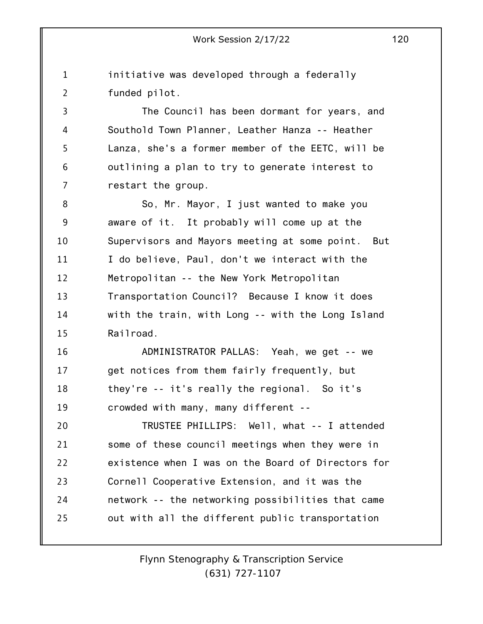1 2 initiative was developed through a federally funded pilot.

3 4 5 6 7 The Council has been dormant for years, and Southold Town Planner, Leather Hanza -- Heather Lanza, she's a former member of the EETC, will be outlining a plan to try to generate interest to restart the group.

8 9 10 11 12 13 14 15 So, Mr. Mayor, I just wanted to make you aware of it. It probably will come up at the Supervisors and Mayors meeting at some point. But I do believe, Paul, don't we interact with the Metropolitan -- the New York Metropolitan Transportation Council? Because I know it does with the train, with Long -- with the Long Island Railroad.

16 17 18 19 ADMINISTRATOR PALLAS: Yeah, we get -- we get notices from them fairly frequently, but they're -- it's really the regional. So it's crowded with many, many different --

20 21 22 23 24 25 TRUSTEE PHILLIPS: Well, what -- I attended some of these council meetings when they were in existence when I was on the Board of Directors for Cornell Cooperative Extension, and it was the network -- the networking possibilities that came out with all the different public transportation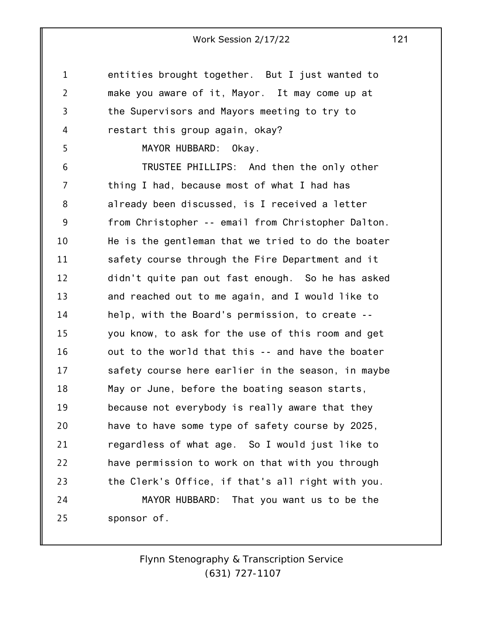1 2 3 4 5 6 7 8 9 10 11 12 13 14 15 16 17 18 19 20 21 22 23 24 25 entities brought together. But I just wanted to make you aware of it, Mayor. It may come up at the Supervisors and Mayors meeting to try to restart this group again, okay? MAYOR HUBBARD: Okay. TRUSTEE PHILLIPS: And then the only other thing I had, because most of what I had has already been discussed, is I received a letter from Christopher -- email from Christopher Dalton. He is the gentleman that we tried to do the boater safety course through the Fire Department and it didn't quite pan out fast enough. So he has asked and reached out to me again, and I would like to help, with the Board's permission, to create - you know, to ask for the use of this room and get out to the world that this -- and have the boater safety course here earlier in the season, in maybe May or June, before the boating season starts, because not everybody is really aware that they have to have some type of safety course by 2025, regardless of what age. So I would just like to have permission to work on that with you through the Clerk's Office, if that's all right with you. MAYOR HUBBARD: That you want us to be the sponsor of.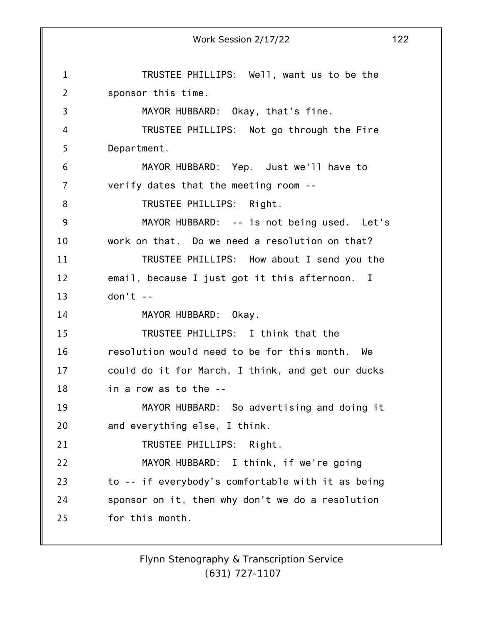1 2 3 4 5 6 7 8 9 10 11 12 13 14 15 16 17 18 19 20 21 22 23 24 25 Work Session 2/17/22 122 TRUSTEE PHILLIPS: Well, want us to be the sponsor this time. MAYOR HUBBARD: Okay, that's fine. TRUSTEE PHILLIPS: Not go through the Fire Department. MAYOR HUBBARD: Yep. Just we'll have to verify dates that the meeting room -- TRUSTEE PHILLIPS: Right. MAYOR HUBBARD: -- is not being used. Let's work on that. Do we need a resolution on that? TRUSTEE PHILLIPS: How about I send you the email, because I just got it this afternoon. I  $don't --$ MAYOR HUBBARD: Okay. TRUSTEE PHILLIPS: I think that the resolution would need to be for this month. We could do it for March, I think, and get our ducks in a row as to the -- MAYOR HUBBARD: So advertising and doing it and everything else, I think. TRUSTEE PHILLIPS: Right. MAYOR HUBBARD: I think, if we're going to -- if everybody's comfortable with it as being sponsor on it, then why don't we do a resolution for this month.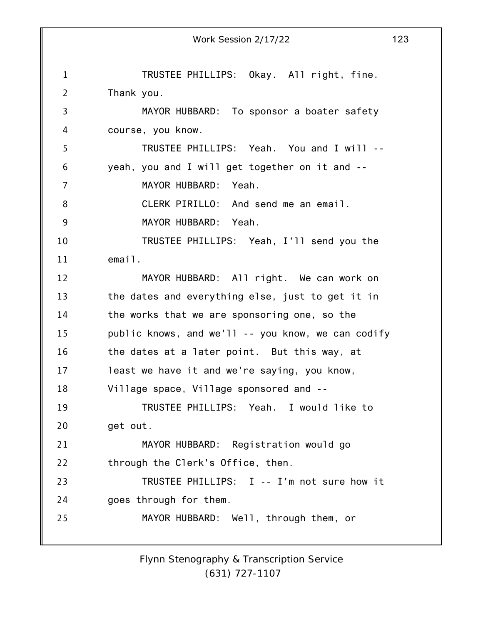1 2 3 4 5 6 7 8 9 10 11 12 13 14 15 16 17 18 19 20 21 22 23 24 25 Work Session 2/17/22 123 TRUSTEE PHILLIPS: Okay. All right, fine. Thank you. MAYOR HUBBARD: To sponsor a boater safety course, you know. TRUSTEE PHILLIPS: Yeah. You and I will - yeah, you and I will get together on it and -- MAYOR HUBBARD: Yeah. CLERK PIRILLO: And send me an email. MAYOR HUBBARD: Yeah. TRUSTEE PHILLIPS: Yeah, I'll send you the email. MAYOR HUBBARD: All right. We can work on the dates and everything else, just to get it in the works that we are sponsoring one, so the public knows, and we'll -- you know, we can codify the dates at a later point. But this way, at least we have it and we're saying, you know, Village space, Village sponsored and -- TRUSTEE PHILLIPS: Yeah. I would like to get out. MAYOR HUBBARD: Registration would go through the Clerk's Office, then. TRUSTEE PHILLIPS: I -- I'm not sure how it goes through for them. MAYOR HUBBARD: Well, through them, or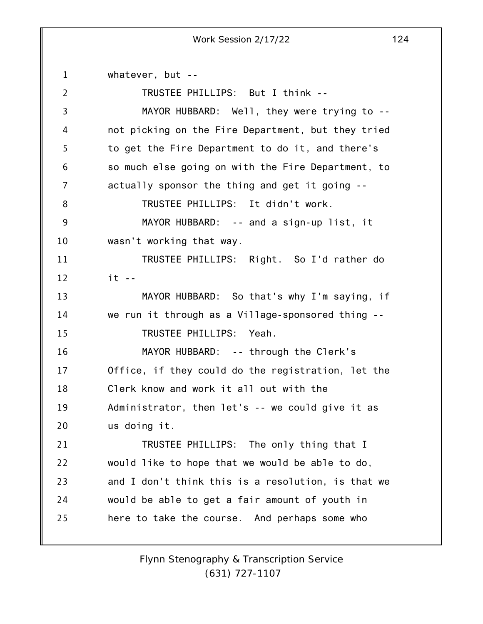1 2 3 4 5 6 7 8 9 10 11 12 13 14 15 16 17 18 19 20 21 22 23 24 25 whatever, but -- TRUSTEE PHILLIPS: But I think -- MAYOR HUBBARD: Well, they were trying to - not picking on the Fire Department, but they tried to get the Fire Department to do it, and there's so much else going on with the Fire Department, to actually sponsor the thing and get it going -- TRUSTEE PHILLIPS: It didn't work. MAYOR HUBBARD: -- and a sign-up list, it wasn't working that way. TRUSTEE PHILLIPS: Right. So I'd rather do it -- MAYOR HUBBARD: So that's why I'm saying, if we run it through as a Village-sponsored thing -- TRUSTEE PHILLIPS: Yeah. MAYOR HUBBARD: -- through the Clerk's Office, if they could do the registration, let the Clerk know and work it all out with the Administrator, then let's -- we could give it as us doing it. TRUSTEE PHILLIPS: The only thing that I would like to hope that we would be able to do, and I don't think this is a resolution, is that we would be able to get a fair amount of youth in here to take the course. And perhaps some who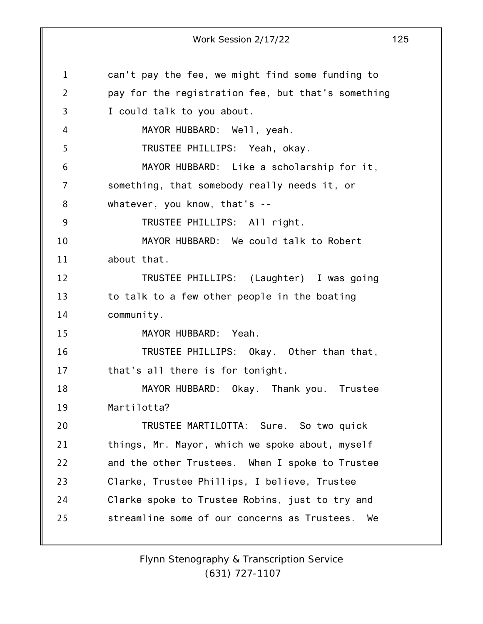1 2 3 4 5 6 7 8 9 10 11 12 13 14 15 16 17 18 19 20 21 22 23 24 25 Work Session 2/17/22 125 can't pay the fee, we might find some funding to pay for the registration fee, but that's something I could talk to you about. MAYOR HUBBARD: Well, yeah. TRUSTEE PHILLIPS: Yeah, okay. MAYOR HUBBARD: Like a scholarship for it, something, that somebody really needs it, or whatever, you know, that's -- TRUSTEE PHILLIPS: All right. MAYOR HUBBARD: We could talk to Robert about that. TRUSTEE PHILLIPS: (Laughter) I was going to talk to a few other people in the boating community. MAYOR HUBBARD: Yeah. TRUSTEE PHILLIPS: Okay. Other than that, that's all there is for tonight. MAYOR HUBBARD: Okay. Thank you. Trustee Martilotta? TRUSTEE MARTILOTTA: Sure. So two quick things, Mr. Mayor, which we spoke about, myself and the other Trustees. When I spoke to Trustee Clarke, Trustee Phillips, I believe, Trustee Clarke spoke to Trustee Robins, just to try and streamline some of our concerns as Trustees. We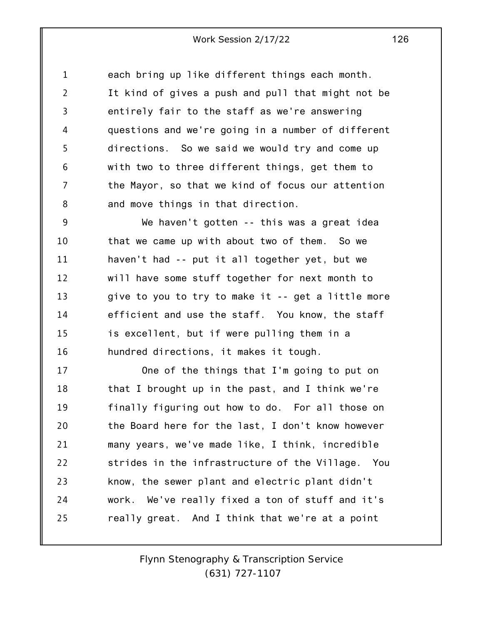1 2 3 4 5 6 7 8 each bring up like different things each month. It kind of gives a push and pull that might not be entirely fair to the staff as we're answering questions and we're going in a number of different directions. So we said we would try and come up with two to three different things, get them to the Mayor, so that we kind of focus our attention and move things in that direction.

9 10 11 12 13 14 15 16 We haven't gotten -- this was a great idea that we came up with about two of them. So we haven't had -- put it all together yet, but we will have some stuff together for next month to give to you to try to make it -- get a little more efficient and use the staff. You know, the staff is excellent, but if were pulling them in a hundred directions, it makes it tough.

17 18 19 20 21 22 23 24 25 One of the things that I'm going to put on that I brought up in the past, and I think we're finally figuring out how to do. For all those on the Board here for the last, I don't know however many years, we've made like, I think, incredible strides in the infrastructure of the Village. You know, the sewer plant and electric plant didn't work. We've really fixed a ton of stuff and it's really great. And I think that we're at a point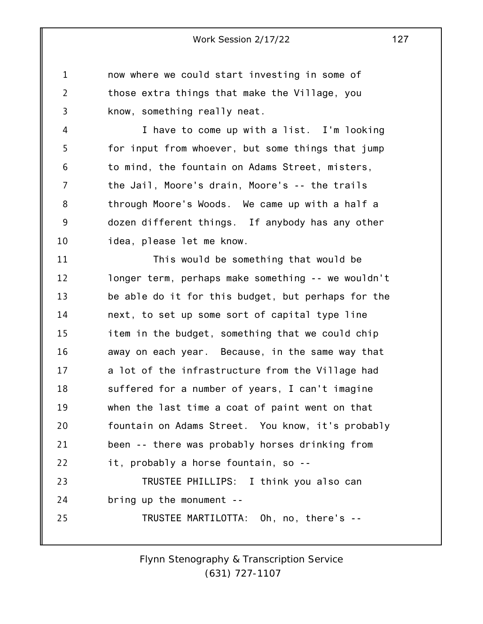1 2 3 now where we could start investing in some of those extra things that make the Village, you know, something really neat.

4 5 6 7 8 9 10 I have to come up with a list. I'm looking for input from whoever, but some things that jump to mind, the fountain on Adams Street, misters, the Jail, Moore's drain, Moore's -- the trails through Moore's Woods. We came up with a half a dozen different things. If anybody has any other idea, please let me know.

11 12 13 14 15 16 17 18 19 20 21 22 23 24 25 This would be something that would be longer term, perhaps make something -- we wouldn't be able do it for this budget, but perhaps for the next, to set up some sort of capital type line item in the budget, something that we could chip away on each year. Because, in the same way that a lot of the infrastructure from the Village had suffered for a number of years, I can't imagine when the last time a coat of paint went on that fountain on Adams Street. You know, it's probably been -- there was probably horses drinking from it, probably a horse fountain, so -- TRUSTEE PHILLIPS: I think you also can bring up the monument -- TRUSTEE MARTILOTTA: Oh, no, there's --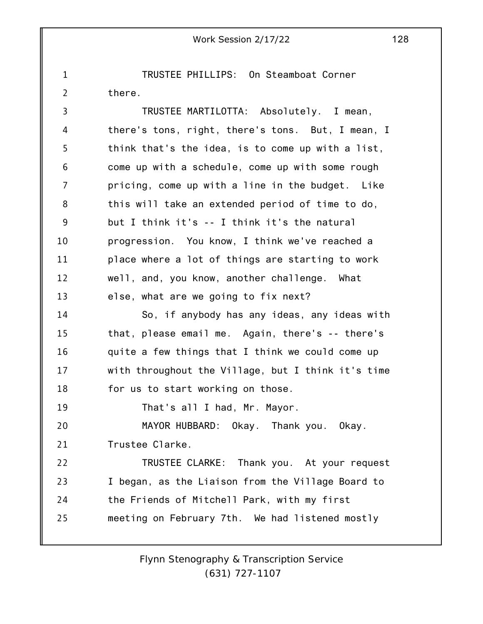1 2 TRUSTEE PHILLIPS: On Steamboat Corner there.

3 4 5 6 7 8 9 10 11 12 13 14 15 16 17 18 19 20 21 22 23 24 25 TRUSTEE MARTILOTTA: Absolutely. I mean, there's tons, right, there's tons. But, I mean, I think that's the idea, is to come up with a list, come up with a schedule, come up with some rough pricing, come up with a line in the budget. Like this will take an extended period of time to do, but I think it's -- I think it's the natural progression. You know, I think we've reached a place where a lot of things are starting to work well, and, you know, another challenge. What else, what are we going to fix next? So, if anybody has any ideas, any ideas with that, please email me. Again, there's -- there's quite a few things that I think we could come up with throughout the Village, but I think it's time for us to start working on those. That's all I had, Mr. Mayor. MAYOR HUBBARD: Okay. Thank you. Okay. Trustee Clarke. TRUSTEE CLARKE: Thank you. At your request I began, as the Liaison from the Village Board to the Friends of Mitchell Park, with my first meeting on February 7th. We had listened mostly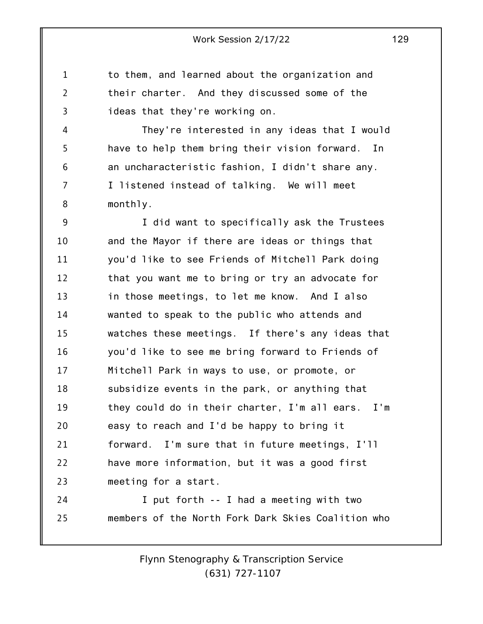to them, and learned about the organization and their charter. And they discussed some of the ideas that they're working on.

1

2

3

4 5 6 7 8 They're interested in any ideas that I would have to help them bring their vision forward. In an uncharacteristic fashion, I didn't share any. I listened instead of talking. We will meet monthly.

9 10 11 12 13 14 15 16 17 18 19 20 21 22 23 I did want to specifically ask the Trustees and the Mayor if there are ideas or things that you'd like to see Friends of Mitchell Park doing that you want me to bring or try an advocate for in those meetings, to let me know. And I also wanted to speak to the public who attends and watches these meetings. If there's any ideas that you'd like to see me bring forward to Friends of Mitchell Park in ways to use, or promote, or subsidize events in the park, or anything that they could do in their charter, I'm all ears. I'm easy to reach and I'd be happy to bring it forward. I'm sure that in future meetings, I'll have more information, but it was a good first meeting for a start.

24 25 I put forth -- I had a meeting with two members of the North Fork Dark Skies Coalition who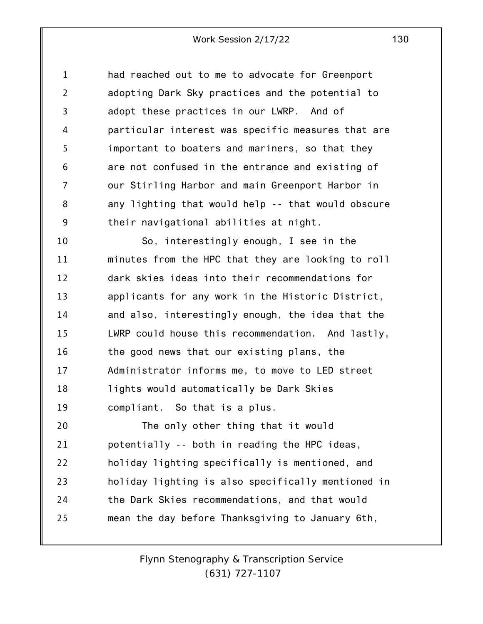1 2 3 4 5 6 7 8 9 had reached out to me to advocate for Greenport adopting Dark Sky practices and the potential to adopt these practices in our LWRP. And of particular interest was specific measures that are important to boaters and mariners, so that they are not confused in the entrance and existing of our Stirling Harbor and main Greenport Harbor in any lighting that would help -- that would obscure their navigational abilities at night.

10 11 12 13 14 15 16 17 18 19 So, interestingly enough, I see in the minutes from the HPC that they are looking to roll dark skies ideas into their recommendations for applicants for any work in the Historic District, and also, interestingly enough, the idea that the LWRP could house this recommendation. And lastly, the good news that our existing plans, the Administrator informs me, to move to LED street lights would automatically be Dark Skies compliant. So that is a plus.

20 21 22 23 24 25 The only other thing that it would potentially -- both in reading the HPC ideas, holiday lighting specifically is mentioned, and holiday lighting is also specifically mentioned in the Dark Skies recommendations, and that would mean the day before Thanksgiving to January 6th,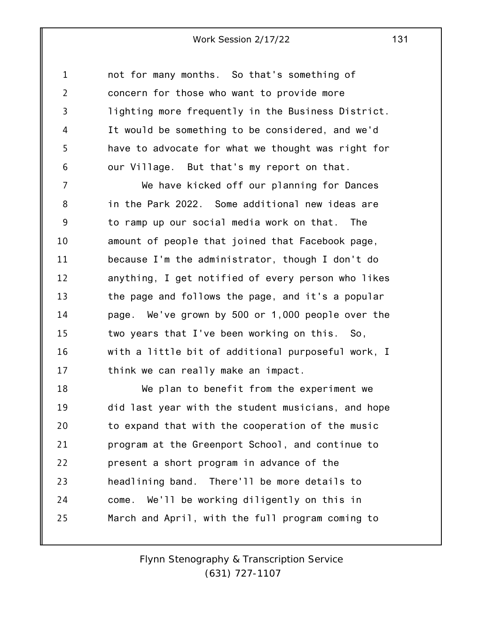1 2 3 4 5 6 not for many months. So that's something of concern for those who want to provide more lighting more frequently in the Business District. It would be something to be considered, and we'd have to advocate for what we thought was right for our Village. But that's my report on that.

7 8 9 10 11 12 13 14 15 16 17 We have kicked off our planning for Dances in the Park 2022. Some additional new ideas are to ramp up our social media work on that. The amount of people that joined that Facebook page, because I'm the administrator, though I don't do anything, I get notified of every person who likes the page and follows the page, and it's a popular page. We've grown by 500 or 1,000 people over the two years that I've been working on this. So, with a little bit of additional purposeful work, I think we can really make an impact.

18 19 20 21 22 23 24 25 We plan to benefit from the experiment we did last year with the student musicians, and hope to expand that with the cooperation of the music program at the Greenport School, and continue to present a short program in advance of the headlining band. There'll be more details to come. We'll be working diligently on this in March and April, with the full program coming to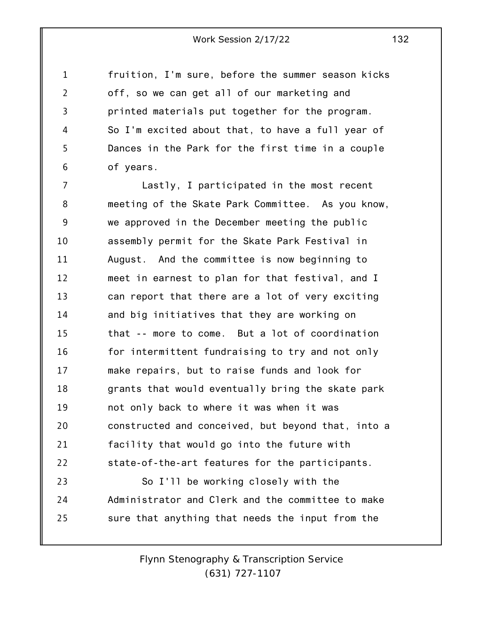1 2 3 4 5 6 fruition, I'm sure, before the summer season kicks off, so we can get all of our marketing and printed materials put together for the program. So I'm excited about that, to have a full year of Dances in the Park for the first time in a couple of years.

7 8 9 10 11 12 13 14 15 16 17 18 19 20 21 22 23 24 25 Lastly, I participated in the most recent meeting of the Skate Park Committee. As you know, we approved in the December meeting the public assembly permit for the Skate Park Festival in August. And the committee is now beginning to meet in earnest to plan for that festival, and I can report that there are a lot of very exciting and big initiatives that they are working on that -- more to come. But a lot of coordination for intermittent fundraising to try and not only make repairs, but to raise funds and look for grants that would eventually bring the skate park not only back to where it was when it was constructed and conceived, but beyond that, into a facility that would go into the future with state-of-the-art features for the participants. So I'll be working closely with the Administrator and Clerk and the committee to make sure that anything that needs the input from the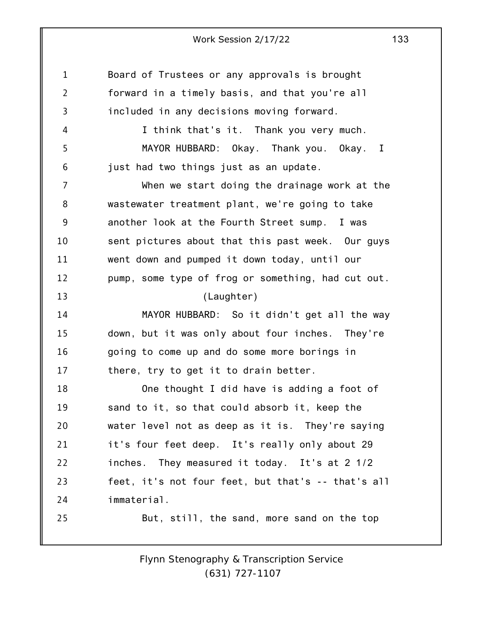| 1              | Board of Trustees or any approvals is brought      |
|----------------|----------------------------------------------------|
| $\overline{2}$ | forward in a timely basis, and that you're all     |
| 3              | included in any decisions moving forward.          |
| 4              | I think that's it. Thank you very much.            |
| 5              | MAYOR HUBBARD: Okay. Thank you. Okay. I            |
| 6              | just had two things just as an update.             |
| $\overline{7}$ | When we start doing the drainage work at the       |
| 8              | wastewater treatment plant, we're going to take    |
| 9              | another look at the Fourth Street sump. I was      |
| 10             | sent pictures about that this past week. Our guys  |
| 11             | went down and pumped it down today, until our      |
| 12             | pump, some type of frog or something, had cut out. |
| 13             | (Laughter)                                         |
| 14             | MAYOR HUBBARD: So it didn't get all the way        |
| 15             | down, but it was only about four inches. They're   |
| 16             | going to come up and do some more borings in       |
| 17             | there, try to get it to drain better.              |
| 18             | One thought I did have is adding a foot of         |
| 19             | sand to it, so that could absorb it, keep the      |
| 20             | water level not as deep as it is. They're saying   |
| 21             | it's four feet deep. It's really only about 29     |
| 22             | inches. They measured it today. It's at 2 1/2      |
| 23             | feet, it's not four feet, but that's -- that's all |
| 24             | immaterial.                                        |
| 25             | But, still, the sand, more sand on the top         |
|                |                                                    |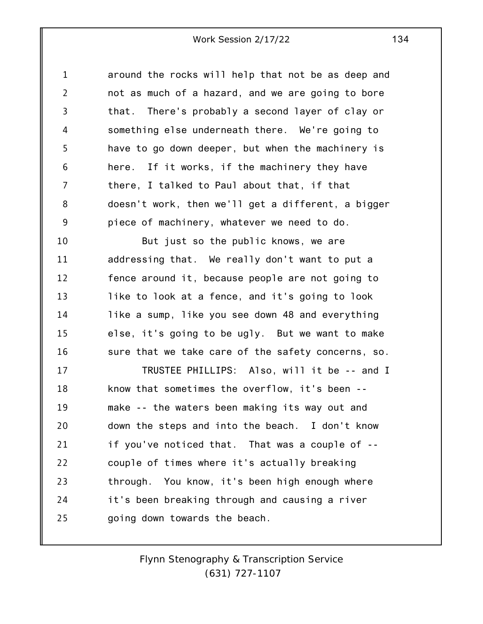1 2 3 4 5 6 7 8 9 around the rocks will help that not be as deep and not as much of a hazard, and we are going to bore that. There's probably a second layer of clay or something else underneath there. We're going to have to go down deeper, but when the machinery is here. If it works, if the machinery they have there, I talked to Paul about that, if that doesn't work, then we'll get a different, a bigger piece of machinery, whatever we need to do.

10 11 12 13 14 15 16 But just so the public knows, we are addressing that. We really don't want to put a fence around it, because people are not going to like to look at a fence, and it's going to look like a sump, like you see down 48 and everything else, it's going to be ugly. But we want to make sure that we take care of the safety concerns, so.

17 18 19 20 21 22 23 24 25 TRUSTEE PHILLIPS: Also, will it be -- and I know that sometimes the overflow, it's been - make -- the waters been making its way out and down the steps and into the beach. I don't know if you've noticed that. That was a couple of - couple of times where it's actually breaking through. You know, it's been high enough where it's been breaking through and causing a river going down towards the beach.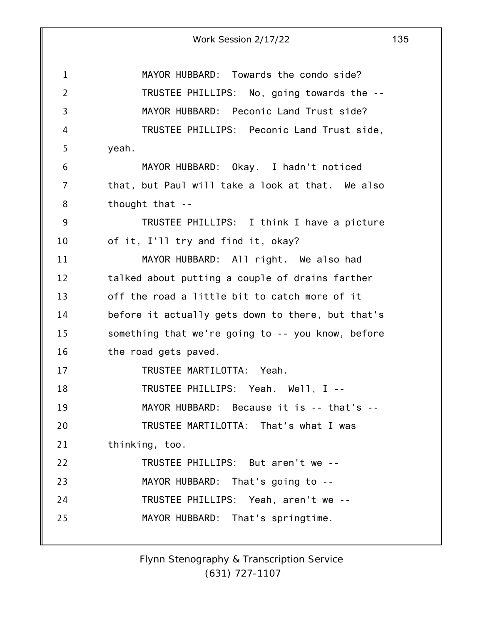| Work Session 2/17/22 | 135 |
|----------------------|-----|
|----------------------|-----|

1 2 3 4 5 6 7 8 9 10 11 12 13 14 15 16 17 18 19 20 21 22 23 24 25 MAYOR HUBBARD: Towards the condo side? TRUSTEE PHILLIPS: No, going towards the -- MAYOR HUBBARD: Peconic Land Trust side? TRUSTEE PHILLIPS: Peconic Land Trust side, yeah. MAYOR HUBBARD: Okay. I hadn't noticed that, but Paul will take a look at that. We also thought that -- TRUSTEE PHILLIPS: I think I have a picture of it, I'll try and find it, okay? MAYOR HUBBARD: All right. We also had talked about putting a couple of drains farther off the road a little bit to catch more of it before it actually gets down to there, but that's something that we're going to -- you know, before the road gets paved. TRUSTEE MARTILOTTA: Yeah. TRUSTEE PHILLIPS: Yeah. Well, I -- MAYOR HUBBARD: Because it is -- that's --TRUSTEE MARTILOTTA: That's what I was thinking, too. TRUSTEE PHILLIPS: But aren't we -- MAYOR HUBBARD: That's going to -- TRUSTEE PHILLIPS: Yeah, aren't we -- MAYOR HUBBARD: That's springtime.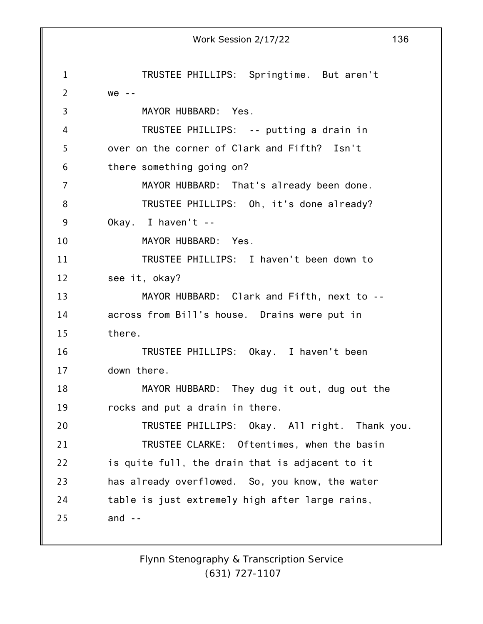1 2 3 4 5 6 7 8 9 10 11 12 13 14 15 16 17 18 19 20 21 22 23 24 25 Work Session 2/17/22 136 TRUSTEE PHILLIPS: Springtime. But aren't  $we - -$ MAYOR HUBBARD: Yes. TRUSTEE PHILLIPS: -- putting a drain in over on the corner of Clark and Fifth? Isn't there something going on? MAYOR HUBBARD: That's already been done. TRUSTEE PHILLIPS: Oh, it's done already? Okay. I haven't -- MAYOR HUBBARD: Yes. TRUSTEE PHILLIPS: I haven't been down to see it, okay? MAYOR HUBBARD: Clark and Fifth, next to - across from Bill's house. Drains were put in there. TRUSTEE PHILLIPS: Okay. I haven't been down there. MAYOR HUBBARD: They dug it out, dug out the rocks and put a drain in there. TRUSTEE PHILLIPS: Okay. All right. Thank you. TRUSTEE CLARKE: Oftentimes, when the basin is quite full, the drain that is adjacent to it has already overflowed. So, you know, the water table is just extremely high after large rains, and  $-$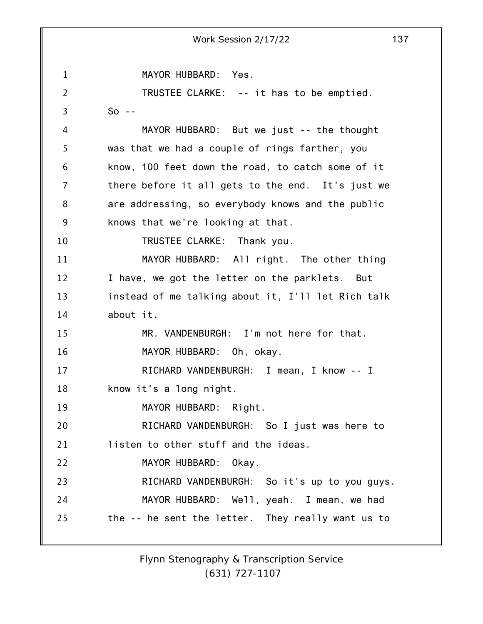1 2 3 4 5 6 7 8 9 10 11 12 13 14 15 16 17 18 19 20 21 22 23 24 25 Work Session 2/17/22 137 MAYOR HUBBARD: Yes. TRUSTEE CLARKE: -- it has to be emptied.  $So - -$ MAYOR HUBBARD: But we just -- the thought was that we had a couple of rings farther, you know, 100 feet down the road, to catch some of it there before it all gets to the end. It's just we are addressing, so everybody knows and the public knows that we're looking at that. TRUSTEE CLARKE: Thank you. MAYOR HUBBARD: All right. The other thing I have, we got the letter on the parklets. But instead of me talking about it, I'll let Rich talk about it. MR. VANDENBURGH: I'm not here for that. MAYOR HUBBARD: Oh, okay. RICHARD VANDENBURGH: I mean, I know -- I know it's a long night. MAYOR HUBBARD: Right. RICHARD VANDENBURGH: So I just was here to listen to other stuff and the ideas. MAYOR HUBBARD: Okay. RICHARD VANDENBURGH: So it's up to you guys. MAYOR HUBBARD: Well, yeah. I mean, we had the -- he sent the letter. They really want us to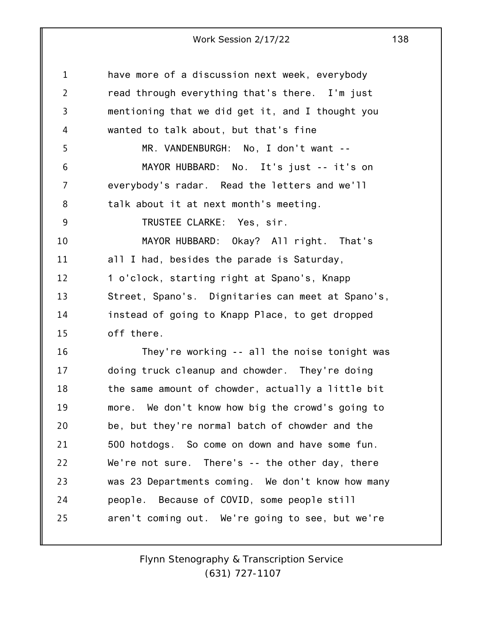| 1              | have more of a discussion next week, everybody    |
|----------------|---------------------------------------------------|
| $\overline{2}$ | read through everything that's there. I'm just    |
| $\overline{3}$ | mentioning that we did get it, and I thought you  |
| 4              | wanted to talk about, but that's fine             |
| 5              | MR. VANDENBURGH: No, I don't want --              |
| 6              | MAYOR HUBBARD: No. It's just -- it's on           |
| 7              | everybody's radar. Read the letters and we'll     |
| 8              | talk about it at next month's meeting.            |
| 9              | TRUSTEE CLARKE: Yes, sir.                         |
| 10             | MAYOR HUBBARD: Okay? All right. That's            |
| 11             | all I had, besides the parade is Saturday,        |
| 12             | 1 o'clock, starting right at Spano's, Knapp       |
| 13             | Street, Spano's. Dignitaries can meet at Spano's, |
| 14             | instead of going to Knapp Place, to get dropped   |
| 15             | off there.                                        |
| 16             | They're working -- all the noise tonight was      |
| 17             | doing truck cleanup and chowder. They're doing    |
| 18             | the same amount of chowder, actually a little bit |
| 19             | more. We don't know how big the crowd's going to  |
| 20             | be, but they're normal batch of chowder and the   |
| 21             | 500 hotdogs. So come on down and have some fun.   |
| 22             | We're not sure. There's -- the other day, there   |
| 23             | was 23 Departments coming. We don't know how many |
| 24             | people. Because of COVID, some people still       |
| 25             | aren't coming out. We're going to see, but we're  |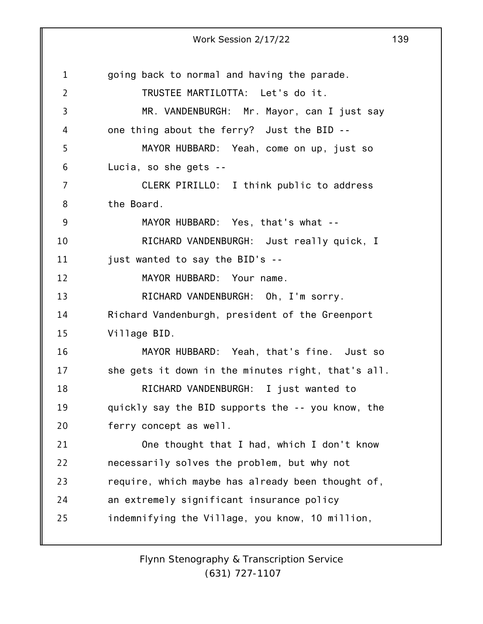|                | Work Session 2/17/22                               | 139 |
|----------------|----------------------------------------------------|-----|
|                |                                                    |     |
| 1              | going back to normal and having the parade.        |     |
| $\overline{2}$ | TRUSTEE MARTILOTTA: Let's do it.                   |     |
| 3              | MR. VANDENBURGH: Mr. Mayor, can I just say         |     |
| 4              | one thing about the ferry? Just the BID --         |     |
| 5              | MAYOR HUBBARD: Yeah, come on up, just so           |     |
| 6              | Lucia, so she gets --                              |     |
| $\overline{7}$ | CLERK PIRILLO: I think public to address           |     |
| 8              | the Board.                                         |     |
| $9$            | MAYOR HUBBARD: Yes, that's what --                 |     |
| 10             | RICHARD VANDENBURGH: Just really quick, I          |     |
| 11             | just wanted to say the BID's --                    |     |
| 12             | MAYOR HUBBARD: Your name.                          |     |
| 13             | RICHARD VANDENBURGH: Oh, I'm sorry.                |     |
| 14             | Richard Vandenburgh, president of the Greenport    |     |
| 15             | Village BID.                                       |     |
| 16             | MAYOR HUBBARD: Yeah, that's fine. Just so          |     |
| 17             | she gets it down in the minutes right, that's all. |     |
| 18             | RICHARD VANDENBURGH: I just wanted to              |     |
| 19             | quickly say the BID supports the -- you know, the  |     |
| 20             | ferry concept as well.                             |     |
| 21             | One thought that I had, which I don't know         |     |
| 22             | necessarily solves the problem, but why not        |     |
| 23             | require, which maybe has already been thought of,  |     |
| 24             | an extremely significant insurance policy          |     |
| 25             | indemnifying the Village, you know, 10 million,    |     |
|                |                                                    |     |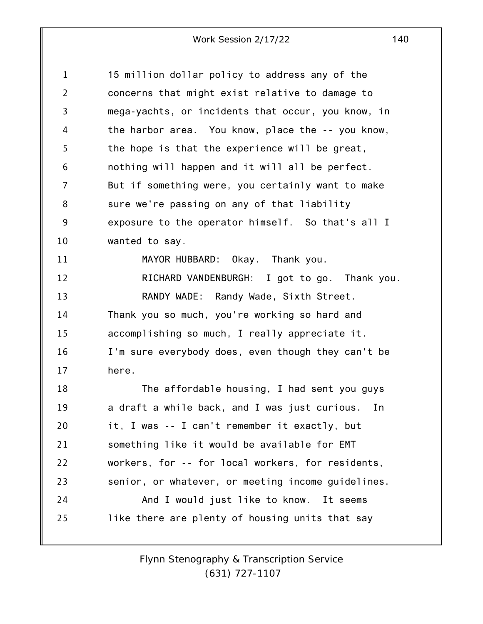| 1              | 15 million dollar policy to address any of the      |
|----------------|-----------------------------------------------------|
| $\overline{2}$ | concerns that might exist relative to damage to     |
| 3              | mega-yachts, or incidents that occur, you know, in  |
| 4              | the harbor area. You know, place the -- you know,   |
| 5              | the hope is that the experience will be great,      |
| 6              | nothing will happen and it will all be perfect.     |
| 7              | But if something were, you certainly want to make   |
| 8              | sure we're passing on any of that liability         |
| 9              | exposure to the operator himself. So that's all I   |
| 10             | wanted to say.                                      |
| 11             | MAYOR HUBBARD: Okay. Thank you.                     |
| 12             | RICHARD VANDENBURGH: I got to go. Thank you.        |
| 13             | RANDY WADE: Randy Wade, Sixth Street.               |
| 14             | Thank you so much, you're working so hard and       |
| 15             | accomplishing so much, I really appreciate it.      |
| 16             | I'm sure everybody does, even though they can't be  |
| 17             | here.                                               |
| 18             | The affordable housing, I had sent you guys         |
| 19             | a draft a while back, and I was just curious.<br>In |
| 20             | it, I was -- I can't remember it exactly, but       |
| 21             | something like it would be available for EMT        |
| 22             | workers, for -- for local workers, for residents,   |
| 23             | senior, or whatever, or meeting income guidelines.  |
| 24             | And I would just like to know. It seems             |
| 25             | like there are plenty of housing units that say     |
|                |                                                     |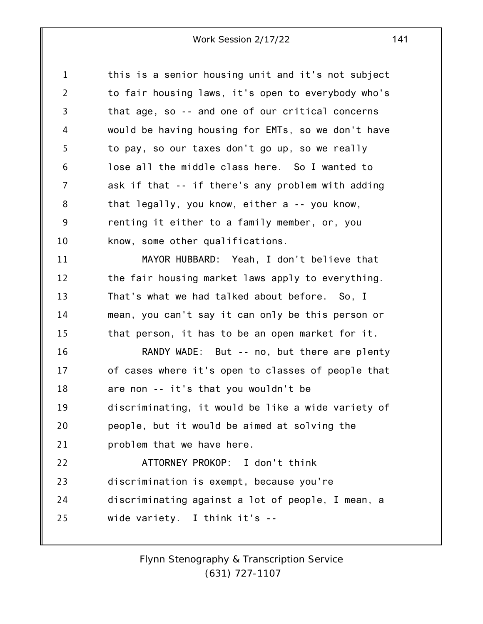| 1              | this is a senior housing unit and it's not subject |
|----------------|----------------------------------------------------|
| $\overline{2}$ | to fair housing laws, it's open to everybody who's |
| 3              | that age, so -- and one of our critical concerns   |
| 4              | would be having housing for EMTs, so we don't have |
| 5              | to pay, so our taxes don't go up, so we really     |
| 6              | lose all the middle class here. So I wanted to     |
| 7              | ask if that -- if there's any problem with adding  |
| 8              | that legally, you know, either a -- you know,      |
| 9              | renting it either to a family member, or, you      |
| 10             | know, some other qualifications.                   |
| 11             | MAYOR HUBBARD: Yeah, I don't believe that          |
| 12             | the fair housing market laws apply to everything.  |
| 13             | That's what we had talked about before. So, I      |
| 14             | mean, you can't say it can only be this person or  |
| 15             | that person, it has to be an open market for it.   |
| 16             | RANDY WADE: But -- no, but there are plenty        |
| 17             | of cases where it's open to classes of people that |
| 18             | are non -- it's that you wouldn't be               |
| 19             | discriminating, it would be like a wide variety of |
| 20             | people, but it would be aimed at solving the       |
| 21             | problem that we have here.                         |
| 22             | ATTORNEY PROKOP: I don't think                     |
| 23             | discrimination is exempt, because you're           |
| 24             | discriminating against a lot of people, I mean, a  |
| 25             | wide variety. I think it's --                      |
|                |                                                    |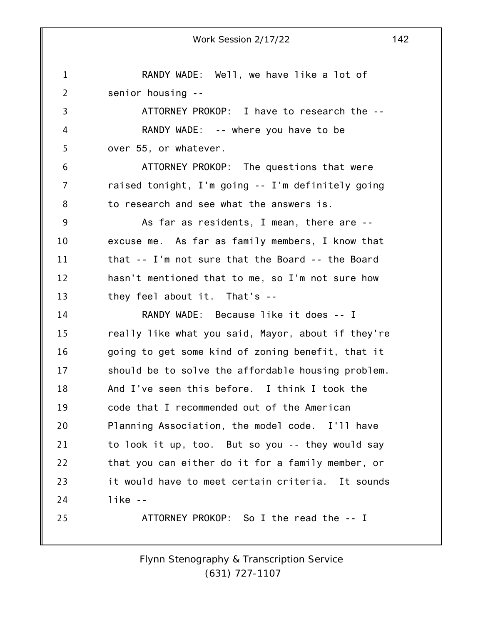1 2 3 4 5 6 7 8 9 10 11 12 13 14 15 16 17 18 19 20 21 22 23 24 25 RANDY WADE: Well, we have like a lot of senior housing -- ATTORNEY PROKOP: I have to research the -- RANDY WADE: -- where you have to be over 55, or whatever. ATTORNEY PROKOP: The questions that were raised tonight, I'm going -- I'm definitely going to research and see what the answers is. As far as residents, I mean, there are - excuse me. As far as family members, I know that that -- I'm not sure that the Board -- the Board hasn't mentioned that to me, so I'm not sure how they feel about it. That's -- RANDY WADE: Because like it does -- I really like what you said, Mayor, about if they're going to get some kind of zoning benefit, that it should be to solve the affordable housing problem. And I've seen this before. I think I took the code that I recommended out of the American Planning Association, the model code. I'll have to look it up, too. But so you -- they would say that you can either do it for a family member, or it would have to meet certain criteria. It sounds like -- ATTORNEY PROKOP: So I the read the -- I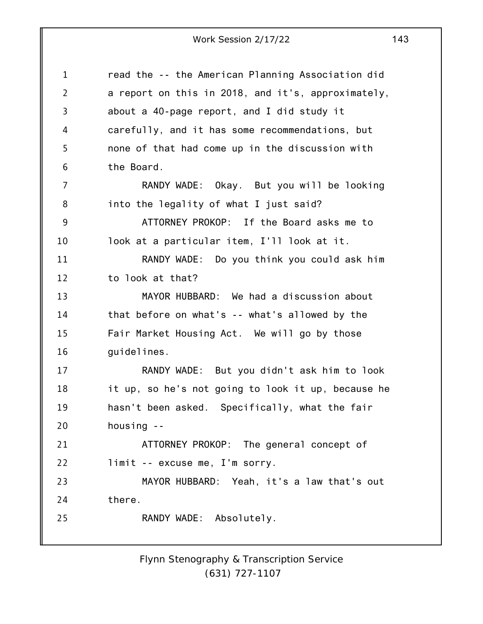1 2 3 4 5 6 7 8 9 10 11 12 13 14 15 16 17 18 19 20 21 22 23 24 25 read the -- the American Planning Association did a report on this in 2018, and it's, approximately, about a 40-page report, and I did study it carefully, and it has some recommendations, but none of that had come up in the discussion with the Board. RANDY WADE: Okay. But you will be looking into the legality of what I just said? ATTORNEY PROKOP: If the Board asks me to look at a particular item, I'll look at it. RANDY WADE: Do you think you could ask him to look at that? MAYOR HUBBARD: We had a discussion about that before on what's -- what's allowed by the Fair Market Housing Act. We will go by those guidelines. RANDY WADE: But you didn't ask him to look it up, so he's not going to look it up, because he hasn't been asked. Specifically, what the fair housing -- ATTORNEY PROKOP: The general concept of limit -- excuse me, I'm sorry. MAYOR HUBBARD: Yeah, it's a law that's out there. RANDY WADE: Absolutely.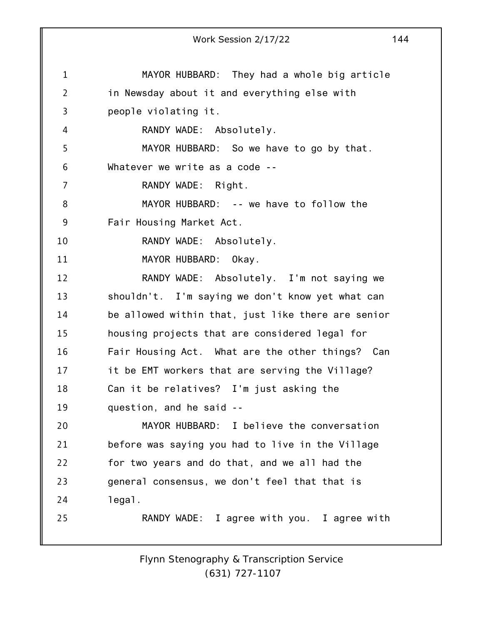|                | Work Session 2/17/22                               | 144 |
|----------------|----------------------------------------------------|-----|
|                |                                                    |     |
| $\mathbf 1$    | MAYOR HUBBARD: They had a whole big article        |     |
| $\overline{2}$ | in Newsday about it and everything else with       |     |
| 3              | people violating it.                               |     |
| 4              | RANDY WADE: Absolutely.                            |     |
| 5              | MAYOR HUBBARD: So we have to go by that.           |     |
| 6              | Whatever we write as a code --                     |     |
| 7              | RANDY WADE: Right.                                 |     |
| 8              | MAYOR HUBBARD: -- we have to follow the            |     |
| 9              | Fair Housing Market Act.                           |     |
| 10             | RANDY WADE: Absolutely.                            |     |
| 11             | MAYOR HUBBARD:<br>Okay.                            |     |
| 12             | RANDY WADE: Absolutely. I'm not saying we          |     |
| 13             | shouldn't. I'm saying we don't know yet what can   |     |
| 14             | be allowed within that, just like there are senior |     |
| 15             | housing projects that are considered legal for     |     |
| 16             | Fair Housing Act. What are the other things? Can   |     |
| 17             | it be EMT workers that are serving the Village?    |     |
| 18             | Can it be relatives? I'm just asking the           |     |
| 19             | question, and he said --                           |     |
| 20             | MAYOR HUBBARD: I believe the conversation          |     |
| 21             | before was saying you had to live in the Village   |     |
| 22             | for two years and do that, and we all had the      |     |
| 23             | general consensus, we don't feel that that is      |     |
| 24             | legal.                                             |     |
| 25             | RANDY WADE: I agree with you. I agree with         |     |
|                |                                                    |     |
|                |                                                    |     |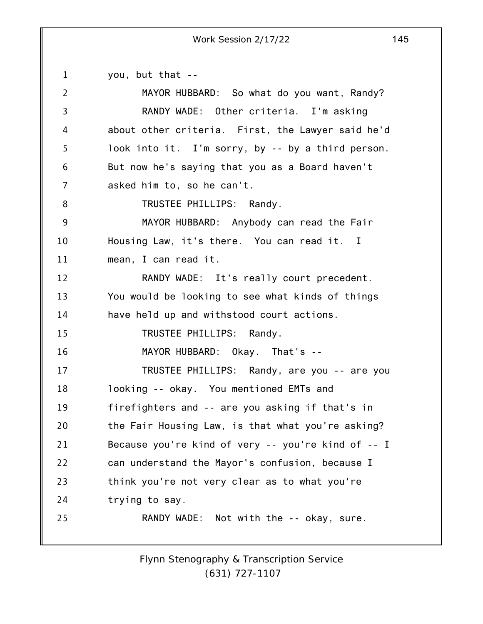1 2 3 4 5 6 7 8 9 10 11 12 13 14 15 16 17 18 19 20 21 22 23 24 25 you, but that -- MAYOR HUBBARD: So what do you want, Randy? RANDY WADE: Other criteria. I'm asking about other criteria. First, the Lawyer said he'd look into it. I'm sorry, by -- by a third person. But now he's saying that you as a Board haven't asked him to, so he can't. TRUSTEE PHILLIPS: Randy. MAYOR HUBBARD: Anybody can read the Fair Housing Law, it's there. You can read it. I mean, I can read it. RANDY WADE: It's really court precedent. You would be looking to see what kinds of things have held up and withstood court actions. TRUSTEE PHILLIPS: Randy. MAYOR HUBBARD: Okay. That's -- TRUSTEE PHILLIPS: Randy, are you -- are you looking -- okay. You mentioned EMTs and firefighters and -- are you asking if that's in the Fair Housing Law, is that what you're asking? Because you're kind of very -- you're kind of -- I can understand the Mayor's confusion, because I think you're not very clear as to what you're trying to say. RANDY WADE: Not with the -- okay, sure.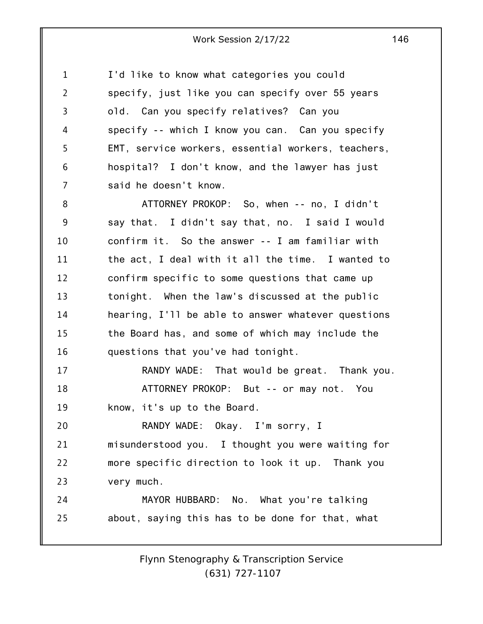1 2 3 4 5 6 7 I'd like to know what categories you could specify, just like you can specify over 55 years old. Can you specify relatives? Can you specify -- which I know you can. Can you specify EMT, service workers, essential workers, teachers, hospital? I don't know, and the lawyer has just said he doesn't know.

8 9 10 11 12 13 14 15 16 ATTORNEY PROKOP: So, when -- no, I didn't say that. I didn't say that, no. I said I would confirm it. So the answer -- I am familiar with the act, I deal with it all the time. I wanted to confirm specific to some questions that came up tonight. When the law's discussed at the public hearing, I'll be able to answer whatever questions the Board has, and some of which may include the questions that you've had tonight.

17 18 19 RANDY WADE: That would be great. Thank you. ATTORNEY PROKOP: But -- or may not. You know, it's up to the Board.

20 21 22 23 RANDY WADE: Okay. I'm sorry, I misunderstood you. I thought you were waiting for more specific direction to look it up. Thank you very much.

24 25 MAYOR HUBBARD: No. What you're talking about, saying this has to be done for that, what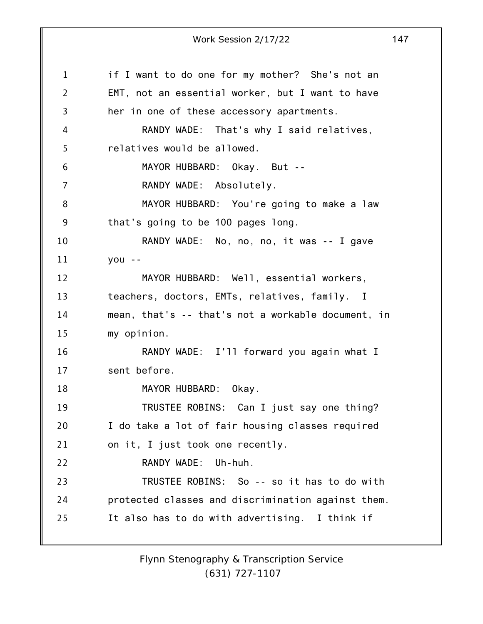1 2 3 4 5 6 7 8 9 10 11 12 13 14 15 16 17 18 19 20 21 22 23 24 25 Work Session 2/17/22 147 if I want to do one for my mother? She's not an EMT, not an essential worker, but I want to have her in one of these accessory apartments. RANDY WADE: That's why I said relatives, relatives would be allowed. MAYOR HUBBARD: Okay. But -- RANDY WADE: Absolutely. MAYOR HUBBARD: You're going to make a law that's going to be 100 pages long. RANDY WADE: No, no, no, it was -- I gave you -- MAYOR HUBBARD: Well, essential workers, teachers, doctors, EMTs, relatives, family. I mean, that's -- that's not a workable document, in my opinion. RANDY WADE: I'll forward you again what I sent before. MAYOR HUBBARD: Okay. TRUSTEE ROBINS: Can I just say one thing? I do take a lot of fair housing classes required on it, I just took one recently. RANDY WADE: Uh-huh. TRUSTEE ROBINS: So -- so it has to do with protected classes and discrimination against them. It also has to do with advertising. I think if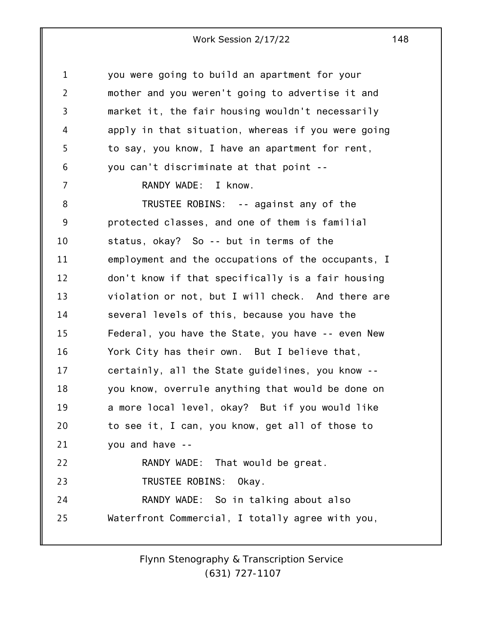| $\mathbf 1$    | you were going to build an apartment for your      |
|----------------|----------------------------------------------------|
| $\overline{2}$ | mother and you weren't going to advertise it and   |
| 3              | market it, the fair housing wouldn't necessarily   |
| 4              | apply in that situation, whereas if you were going |
| 5              | to say, you know, I have an apartment for rent,    |
| 6              | you can't discriminate at that point --            |
| 7              | RANDY WADE: I know.                                |
| 8              | TRUSTEE ROBINS: -- against any of the              |
| 9              | protected classes, and one of them is familial     |
| 10             | status, okay? So -- but in terms of the            |
| 11             | employment and the occupations of the occupants, I |
| 12             | don't know if that specifically is a fair housing  |
| 13             | violation or not, but I will check. And there are  |
| 14             | several levels of this, because you have the       |
| 15             | Federal, you have the State, you have -- even New  |
| 16             | York City has their own. But I believe that,       |
| 17             | certainly, all the State guidelines, you know --   |
| 18             | you know, overrule anything that would be done on  |
| 19             | a more local level, okay? But if you would like    |
| 20             | to see it, I can, you know, get all of those to    |
| 21             | you and have --                                    |
| 22             | RANDY WADE: That would be great.                   |
| 23             | TRUSTEE ROBINS: Okay.                              |
| 24             | RANDY WADE: So in talking about also               |
| 25             | Waterfront Commercial, I totally agree with you,   |
|                |                                                    |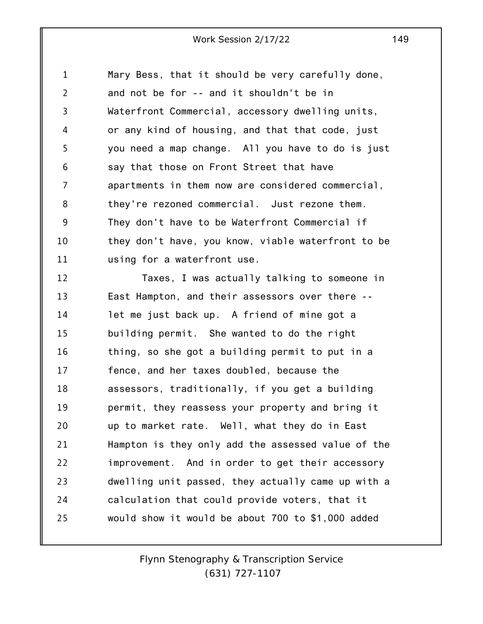1 2 3 4 5 6 7 8 9 10 11 Mary Bess, that it should be very carefully done, and not be for -- and it shouldn't be in Waterfront Commercial, accessory dwelling units, or any kind of housing, and that that code, just you need a map change. All you have to do is just say that those on Front Street that have apartments in them now are considered commercial, they're rezoned commercial. Just rezone them. They don't have to be Waterfront Commercial if they don't have, you know, viable waterfront to be using for a waterfront use.

12 13 14 15 16 17 18 19 20 21 22 23 24 25 Taxes, I was actually talking to someone in East Hampton, and their assessors over there - let me just back up. A friend of mine got a building permit. She wanted to do the right thing, so she got a building permit to put in a fence, and her taxes doubled, because the assessors, traditionally, if you get a building permit, they reassess your property and bring it up to market rate. Well, what they do in East Hampton is they only add the assessed value of the improvement. And in order to get their accessory dwelling unit passed, they actually came up with a calculation that could provide voters, that it would show it would be about 700 to \$1,000 added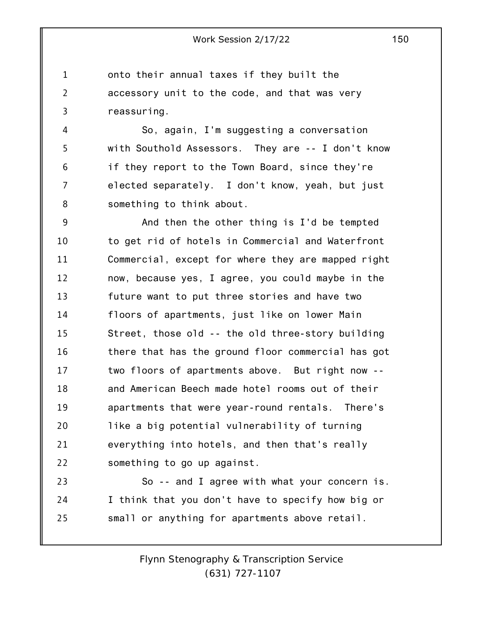1 2 3 onto their annual taxes if they built the accessory unit to the code, and that was very reassuring.

4 5 6 7 8 So, again, I'm suggesting a conversation with Southold Assessors. They are -- I don't know if they report to the Town Board, since they're elected separately. I don't know, yeah, but just something to think about.

9 10 11 12 13 14 15 16 17 18 19 20 21 22 And then the other thing is I'd be tempted to get rid of hotels in Commercial and Waterfront Commercial, except for where they are mapped right now, because yes, I agree, you could maybe in the future want to put three stories and have two floors of apartments, just like on lower Main Street, those old -- the old three-story building there that has the ground floor commercial has got two floors of apartments above. But right now - and American Beech made hotel rooms out of their apartments that were year-round rentals. There's like a big potential vulnerability of turning everything into hotels, and then that's really something to go up against.

23 24 25 So -- and I agree with what your concern is. I think that you don't have to specify how big or small or anything for apartments above retail.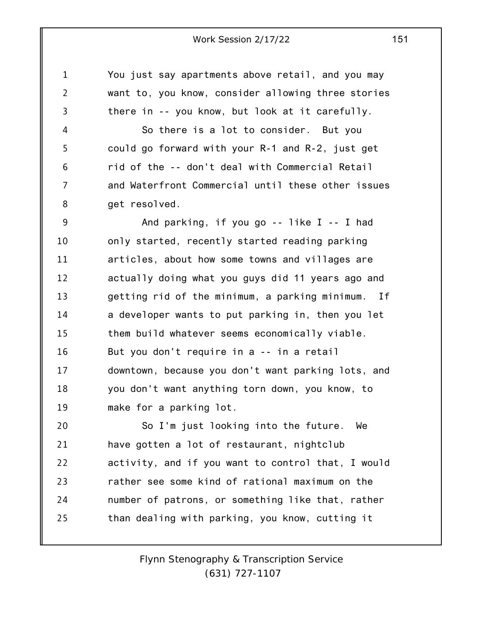You just say apartments above retail, and you may want to, you know, consider allowing three stories there in -- you know, but look at it carefully.

1

2

3

4 5 6 7 8 So there is a lot to consider. But you could go forward with your R-1 and R-2, just get rid of the -- don't deal with Commercial Retail and Waterfront Commercial until these other issues get resolved.

9 10 11 12 13 14 15 16 17 18 19 And parking, if you go -- like I -- I had only started, recently started reading parking articles, about how some towns and villages are actually doing what you guys did 11 years ago and getting rid of the minimum, a parking minimum. If a developer wants to put parking in, then you let them build whatever seems economically viable. But you don't require in a -- in a retail downtown, because you don't want parking lots, and you don't want anything torn down, you know, to make for a parking lot.

20 21 22 23 24 25 So I'm just looking into the future. We have gotten a lot of restaurant, nightclub activity, and if you want to control that, I would rather see some kind of rational maximum on the number of patrons, or something like that, rather than dealing with parking, you know, cutting it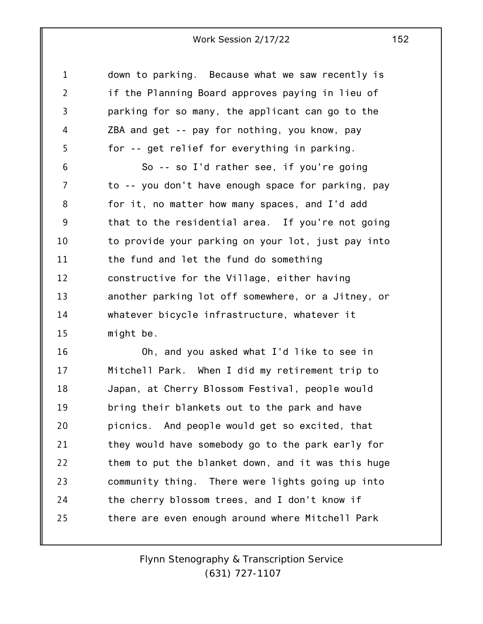1 2 3 4 5 down to parking. Because what we saw recently is if the Planning Board approves paying in lieu of parking for so many, the applicant can go to the ZBA and get -- pay for nothing, you know, pay for -- get relief for everything in parking.

6 7 8 9 10 11 12 13 14 15 So -- so I'd rather see, if you're going to -- you don't have enough space for parking, pay for it, no matter how many spaces, and I'd add that to the residential area. If you're not going to provide your parking on your lot, just pay into the fund and let the fund do something constructive for the Village, either having another parking lot off somewhere, or a Jitney, or whatever bicycle infrastructure, whatever it might be.

16 17 18 19 20 21 22 23 24 25 Oh, and you asked what I'd like to see in Mitchell Park. When I did my retirement trip to Japan, at Cherry Blossom Festival, people would bring their blankets out to the park and have picnics. And people would get so excited, that they would have somebody go to the park early for them to put the blanket down, and it was this huge community thing. There were lights going up into the cherry blossom trees, and I don't know if there are even enough around where Mitchell Park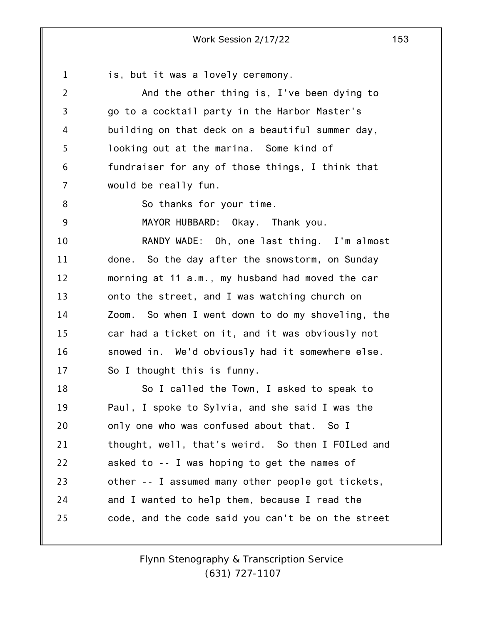1 2 3 4 5 6 7 8 9 10 11 12 13 14 15 16 17 18 19 20 21 22 23 24 25 Work Session 2/17/22 153 is, but it was a lovely ceremony. And the other thing is, I've been dying to go to a cocktail party in the Harbor Master's building on that deck on a beautiful summer day, looking out at the marina. Some kind of fundraiser for any of those things, I think that would be really fun. So thanks for your time. MAYOR HUBBARD: Okay. Thank you. RANDY WADE: Oh, one last thing. I'm almost done. So the day after the snowstorm, on Sunday morning at 11 a.m., my husband had moved the car onto the street, and I was watching church on Zoom. So when I went down to do my shoveling, the car had a ticket on it, and it was obviously not snowed in. We'd obviously had it somewhere else. So I thought this is funny. So I called the Town, I asked to speak to Paul, I spoke to Sylvia, and she said I was the only one who was confused about that. So I thought, well, that's weird. So then I FOILed and asked to -- I was hoping to get the names of other -- I assumed many other people got tickets, and I wanted to help them, because I read the code, and the code said you can't be on the street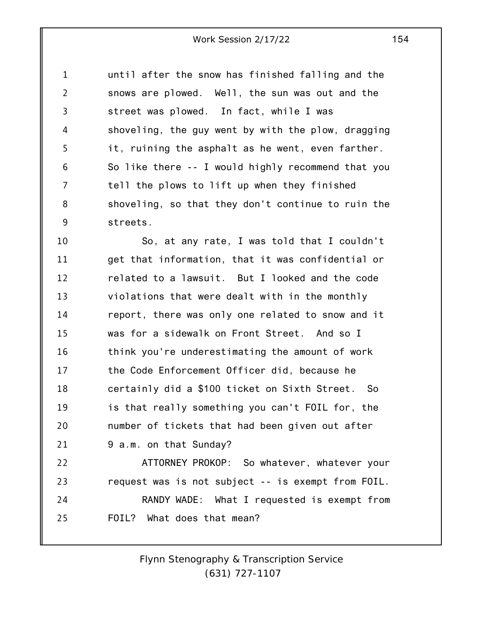1 2 3 4 5 6 7 8 9 until after the snow has finished falling and the snows are plowed. Well, the sun was out and the street was plowed. In fact, while I was shoveling, the guy went by with the plow, dragging it, ruining the asphalt as he went, even farther. So like there -- I would highly recommend that you tell the plows to lift up when they finished shoveling, so that they don't continue to ruin the streets.

10 11 12 13 14 15 16 17 18 19 20 21 22 So, at any rate, I was told that I couldn't get that information, that it was confidential or related to a lawsuit. But I looked and the code violations that were dealt with in the monthly report, there was only one related to snow and it was for a sidewalk on Front Street. And so I think you're underestimating the amount of work the Code Enforcement Officer did, because he certainly did a \$100 ticket on Sixth Street. So is that really something you can't FOIL for, the number of tickets that had been given out after 9 a.m. on that Sunday? ATTORNEY PROKOP: So whatever, whatever your

23 24 25 request was is not subject -- is exempt from FOIL. RANDY WADE: What I requested is exempt from FOIL? What does that mean?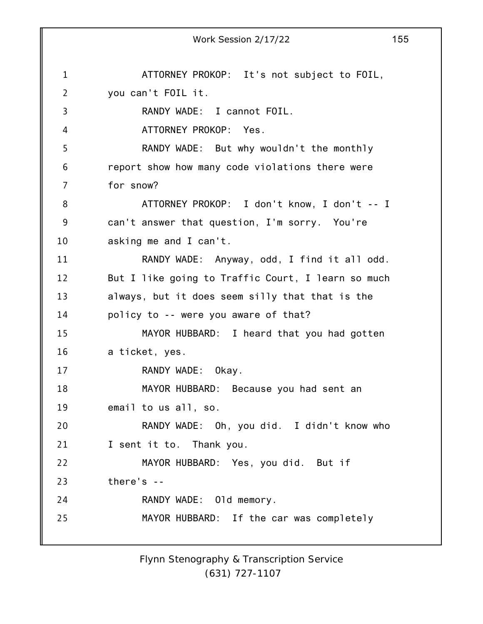1 2 3 4 5 6 7 8 9 10 11 12 13 14 15 16 17 18 19 20 21 22 23 24 25 Work Session 2/17/22 155 ATTORNEY PROKOP: It's not subject to FOIL, you can't FOIL it. RANDY WADE: I cannot FOIL. ATTORNEY PROKOP: Yes. RANDY WADE: But why wouldn't the monthly report show how many code violations there were for snow? ATTORNEY PROKOP: I don't know, I don't -- I can't answer that question, I'm sorry. You're asking me and I can't. RANDY WADE: Anyway, odd, I find it all odd. But I like going to Traffic Court, I learn so much always, but it does seem silly that that is the policy to -- were you aware of that? MAYOR HUBBARD: I heard that you had gotten a ticket, yes. RANDY WADE: Okay. MAYOR HUBBARD: Because you had sent an email to us all, so. RANDY WADE: Oh, you did. I didn't know who I sent it to. Thank you. MAYOR HUBBARD: Yes, you did. But if there's -- RANDY WADE: Old memory. MAYOR HUBBARD: If the car was completely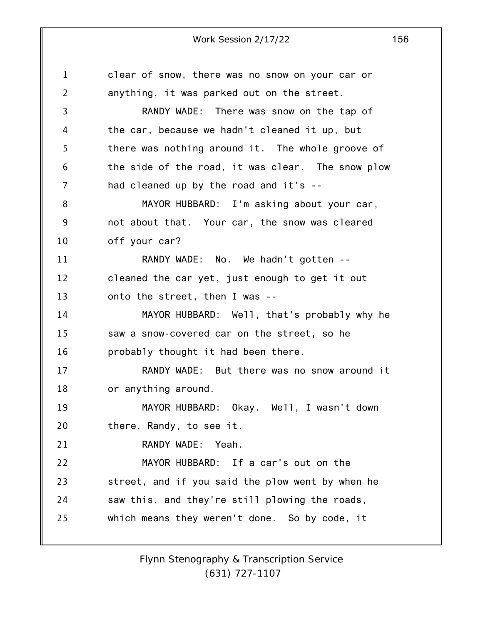1 2 3 4 5 6 7 8 9 10 11 12 13 14 15 16 17 18 19 20 21 22 23 24 25 Work Session 2/17/22 156 clear of snow, there was no snow on your car or anything, it was parked out on the street. RANDY WADE: There was snow on the tap of the car, because we hadn't cleaned it up, but there was nothing around it. The whole groove of the side of the road, it was clear. The snow plow had cleaned up by the road and it's -- MAYOR HUBBARD: I'm asking about your car, not about that. Your car, the snow was cleared off your car? RANDY WADE: No. We hadn't gotten - cleaned the car yet, just enough to get it out onto the street, then I was -- MAYOR HUBBARD: Well, that's probably why he saw a snow-covered car on the street, so he probably thought it had been there. RANDY WADE: But there was no snow around it or anything around. MAYOR HUBBARD: Okay. Well, I wasn't down there, Randy, to see it. RANDY WADE: Yeah. MAYOR HUBBARD: If a car's out on the street, and if you said the plow went by when he saw this, and they're still plowing the roads, which means they weren't done. So by code, it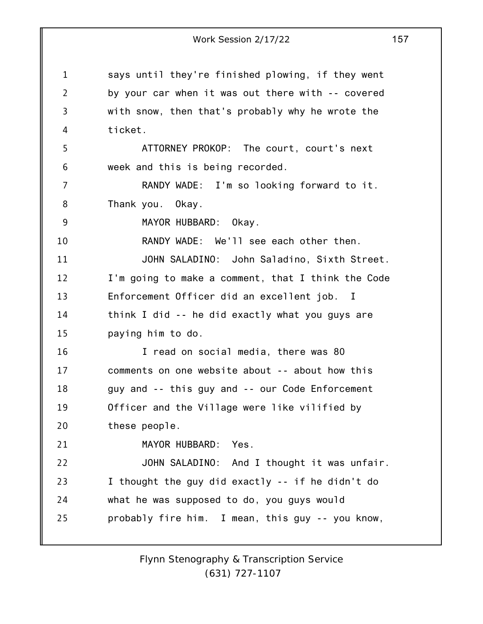1 2 3 4 5 6 7 8 9 10 11 12 13 14 15 16 17 18 19 20 21 22 23 24 25 Work Session 2/17/22 157 says until they're finished plowing, if they went by your car when it was out there with -- covered with snow, then that's probably why he wrote the ticket. ATTORNEY PROKOP: The court, court's next week and this is being recorded. RANDY WADE: I'm so looking forward to it. Thank you. Okay. MAYOR HUBBARD: Okay. RANDY WADE: We'll see each other then. JOHN SALADINO: John Saladino, Sixth Street. I'm going to make a comment, that I think the Code Enforcement Officer did an excellent job. I think I did -- he did exactly what you guys are paying him to do. I read on social media, there was 80 comments on one website about -- about how this guy and -- this guy and -- our Code Enforcement Officer and the Village were like vilified by these people. MAYOR HUBBARD: Yes. JOHN SALADINO: And I thought it was unfair. I thought the guy did exactly -- if he didn't do what he was supposed to do, you guys would probably fire him. I mean, this guy -- you know,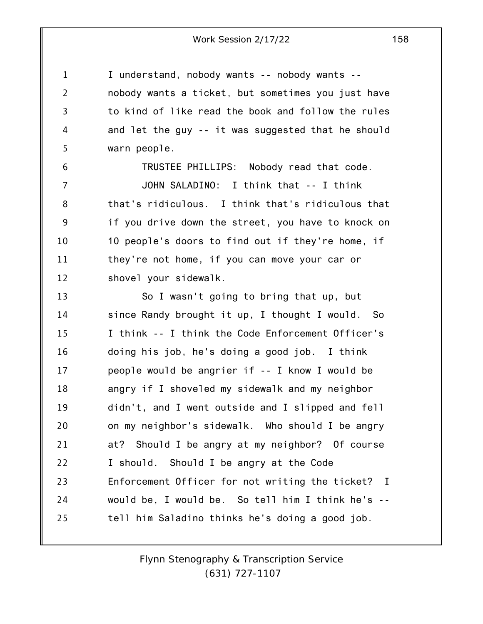I understand, nobody wants -- nobody wants - nobody wants a ticket, but sometimes you just have to kind of like read the book and follow the rules and let the guy -- it was suggested that he should warn people.

1

2

3

4

5

6 7 8 9 10 11 12 TRUSTEE PHILLIPS: Nobody read that code. JOHN SALADINO: I think that -- I think that's ridiculous. I think that's ridiculous that if you drive down the street, you have to knock on 10 people's doors to find out if they're home, if they're not home, if you can move your car or shovel your sidewalk.

13 14 15 16 17 18 19 20 21 22 23 24 25 So I wasn't going to bring that up, but since Randy brought it up, I thought I would. So I think -- I think the Code Enforcement Officer's doing his job, he's doing a good job. I think people would be angrier if -- I know I would be angry if I shoveled my sidewalk and my neighbor didn't, and I went outside and I slipped and fell on my neighbor's sidewalk. Who should I be angry at? Should I be angry at my neighbor? Of course I should. Should I be angry at the Code Enforcement Officer for not writing the ticket? I would be, I would be. So tell him I think he's - tell him Saladino thinks he's doing a good job.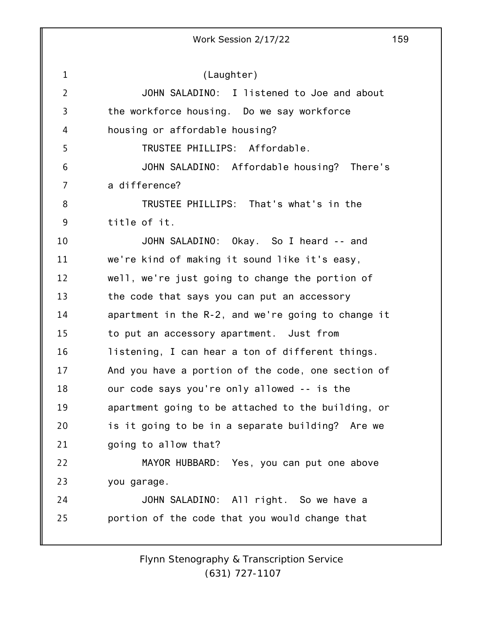1 2 3 4 5 6 7 8 9 10 11 12 13 14 15 16 17 18 19 20 21 22 23 24 25 Work Session 2/17/22 159 (Laughter) JOHN SALADINO: I listened to Joe and about the workforce housing. Do we say workforce housing or affordable housing? TRUSTEE PHILLIPS: Affordable. JOHN SALADINO: Affordable housing? There's a difference? TRUSTEE PHILLIPS: That's what's in the title of it. JOHN SALADINO: Okay. So I heard -- and we're kind of making it sound like it's easy, well, we're just going to change the portion of the code that says you can put an accessory apartment in the R-2, and we're going to change it to put an accessory apartment. Just from listening, I can hear a ton of different things. And you have a portion of the code, one section of our code says you're only allowed -- is the apartment going to be attached to the building, or is it going to be in a separate building? Are we going to allow that? MAYOR HUBBARD: Yes, you can put one above you garage. JOHN SALADINO: All right. So we have a portion of the code that you would change that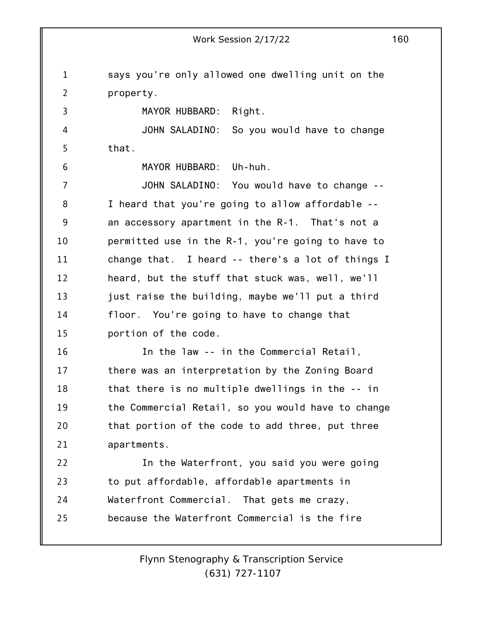1 2 3 4 5 6 7 8 9 10 11 12 13 14 15 16 17 18 19 20 21 22 23 24 25 says you're only allowed one dwelling unit on the property. MAYOR HUBBARD: Right. JOHN SALADINO: So you would have to change that. MAYOR HUBBARD: Uh-huh. JOHN SALADINO: You would have to change -- I heard that you're going to allow affordable - an accessory apartment in the R-1. That's not a permitted use in the R-1, you're going to have to change that. I heard -- there's a lot of things I heard, but the stuff that stuck was, well, we'll just raise the building, maybe we'll put a third floor. You're going to have to change that portion of the code. In the law -- in the Commercial Retail, there was an interpretation by the Zoning Board that there is no multiple dwellings in the -- in the Commercial Retail, so you would have to change that portion of the code to add three, put three apartments. In the Waterfront, you said you were going to put affordable, affordable apartments in Waterfront Commercial. That gets me crazy, because the Waterfront Commercial is the fire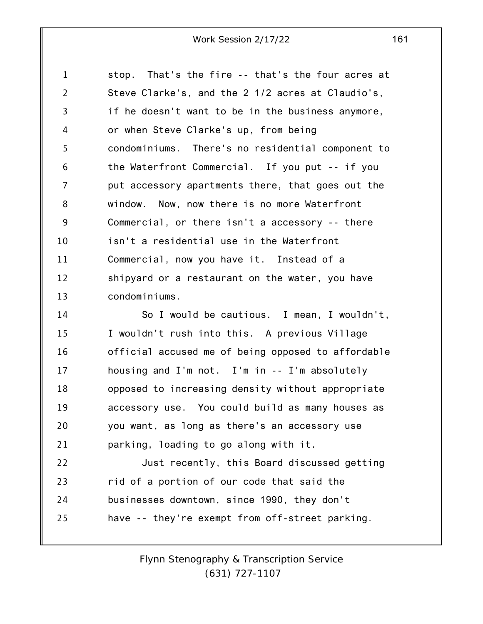1 2 3 4 5 6 7 8 9 10 11 12 13 stop. That's the fire -- that's the four acres at Steve Clarke's, and the 2 1/2 acres at Claudio's, if he doesn't want to be in the business anymore, or when Steve Clarke's up, from being condominiums. There's no residential component to the Waterfront Commercial. If you put -- if you put accessory apartments there, that goes out the window. Now, now there is no more Waterfront Commercial, or there isn't a accessory -- there isn't a residential use in the Waterfront Commercial, now you have it. Instead of a shipyard or a restaurant on the water, you have condominiums.

14 15 16 17 18 19 20 21 So I would be cautious. I mean, I wouldn't, I wouldn't rush into this. A previous Village official accused me of being opposed to affordable housing and I'm not. I'm in -- I'm absolutely opposed to increasing density without appropriate accessory use. You could build as many houses as you want, as long as there's an accessory use parking, loading to go along with it.

22 23 24 25 Just recently, this Board discussed getting rid of a portion of our code that said the businesses downtown, since 1990, they don't have -- they're exempt from off-street parking.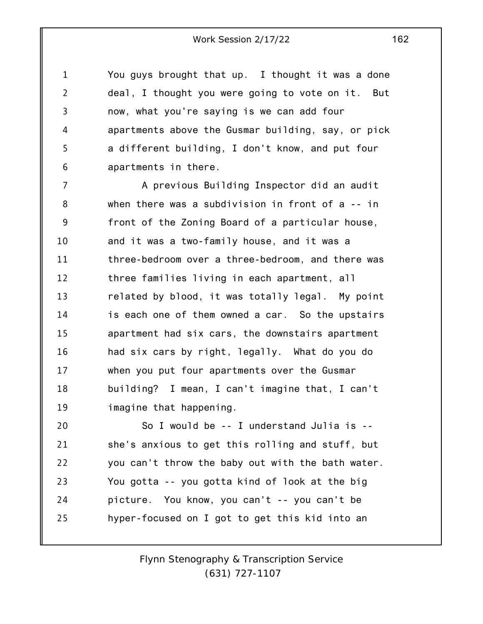1 2 3 4 5 6 You guys brought that up. I thought it was a done deal, I thought you were going to vote on it. But now, what you're saying is we can add four apartments above the Gusmar building, say, or pick a different building, I don't know, and put four apartments in there.

7 8 9 10 11 12 13 14 15 16 17 18 19 A previous Building Inspector did an audit when there was a subdivision in front of a -- in front of the Zoning Board of a particular house, and it was a two-family house, and it was a three-bedroom over a three-bedroom, and there was three families living in each apartment, all related by blood, it was totally legal. My point is each one of them owned a car. So the upstairs apartment had six cars, the downstairs apartment had six cars by right, legally. What do you do when you put four apartments over the Gusmar building? I mean, I can't imagine that, I can't imagine that happening.

20 21 22 23 24 25 So I would be -- I understand Julia is - she's anxious to get this rolling and stuff, but you can't throw the baby out with the bath water. You gotta -- you gotta kind of look at the big picture. You know, you can't -- you can't be hyper-focused on I got to get this kid into an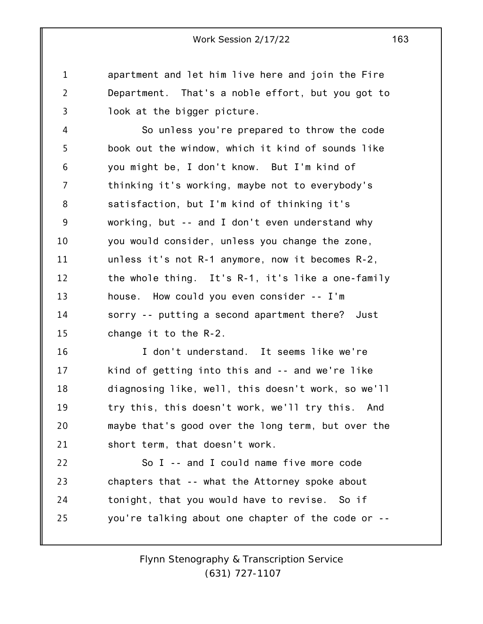apartment and let him live here and join the Fire Department. That's a noble effort, but you got to look at the bigger picture.

1

2

3

4 5 6 7 8 9 10 11 12 13 14 15 So unless you're prepared to throw the code book out the window, which it kind of sounds like you might be, I don't know. But I'm kind of thinking it's working, maybe not to everybody's satisfaction, but I'm kind of thinking it's working, but -- and I don't even understand why you would consider, unless you change the zone, unless it's not R-1 anymore, now it becomes R-2, the whole thing. It's R-1, it's like a one-family house. How could you even consider -- I'm sorry -- putting a second apartment there? Just change it to the R-2.

16 17 18 19 20 21 I don't understand. It seems like we're kind of getting into this and -- and we're like diagnosing like, well, this doesn't work, so we'll try this, this doesn't work, we'll try this. And maybe that's good over the long term, but over the short term, that doesn't work.

22 23 24 25 So I -- and I could name five more code chapters that -- what the Attorney spoke about tonight, that you would have to revise. So if you're talking about one chapter of the code or --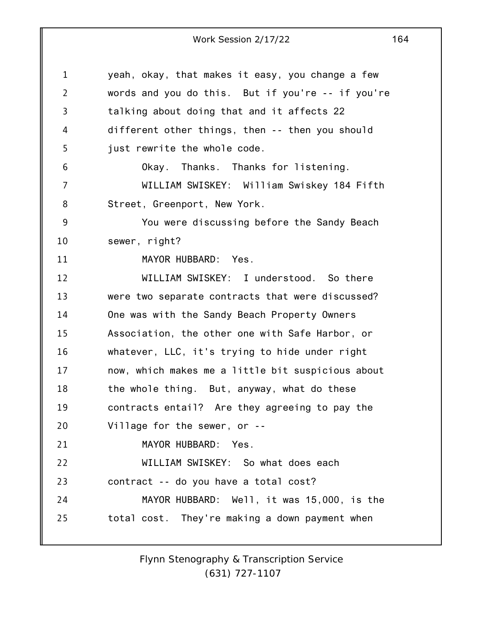1 2 3 4 5 6 7 8 9 10 11 12 13 14 15 16 17 18 19 20 21 22 23 24 25 yeah, okay, that makes it easy, you change a few words and you do this. But if you're -- if you're talking about doing that and it affects 22 different other things, then -- then you should just rewrite the whole code. Okay. Thanks. Thanks for listening. WILLIAM SWISKEY: William Swiskey 184 Fifth Street, Greenport, New York. You were discussing before the Sandy Beach sewer, right? MAYOR HUBBARD: Yes. WILLIAM SWISKEY: I understood. So there were two separate contracts that were discussed? One was with the Sandy Beach Property Owners Association, the other one with Safe Harbor, or whatever, LLC, it's trying to hide under right now, which makes me a little bit suspicious about the whole thing. But, anyway, what do these contracts entail? Are they agreeing to pay the Village for the sewer, or -- MAYOR HUBBARD: Yes. WILLIAM SWISKEY: So what does each contract -- do you have a total cost? MAYOR HUBBARD: Well, it was 15,000, is the total cost. They're making a down payment when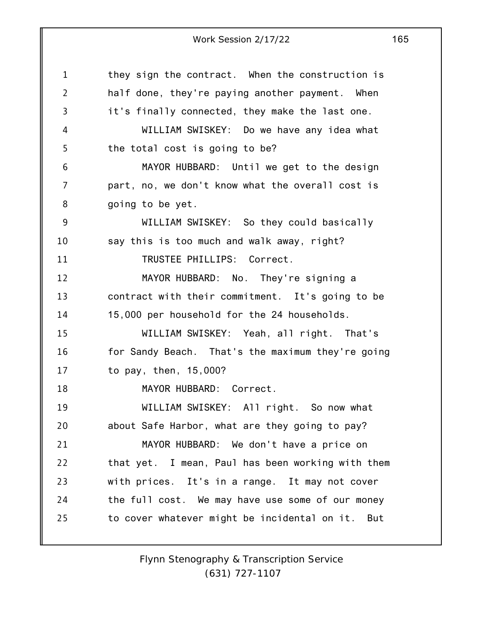| $\mathbf{1}$   | they sign the contract. When the construction is  |
|----------------|---------------------------------------------------|
| $\overline{2}$ | half done, they're paying another payment. When   |
| 3              | it's finally connected, they make the last one.   |
| 4              | WILLIAM SWISKEY: Do we have any idea what         |
| 5              | the total cost is going to be?                    |
| 6              | MAYOR HUBBARD: Until we get to the design         |
| 7              | part, no, we don't know what the overall cost is  |
| 8              | going to be yet.                                  |
| 9              | WILLIAM SWISKEY: So they could basically          |
| 10             | say this is too much and walk away, right?        |
| 11             | TRUSTEE PHILLIPS: Correct.                        |
| 12             | MAYOR HUBBARD: No. They're signing a              |
| 13             | contract with their commitment. It's going to be  |
| 14             | 15,000 per household for the 24 households.       |
| 15             | WILLIAM SWISKEY: Yeah, all right. That's          |
| 16             | for Sandy Beach. That's the maximum they're going |
| 17             | to pay, then, 15,000?                             |
| 18             | MAYOR HUBBARD: Correct.                           |
| 19             | WILLIAM SWISKEY: All right. So now what           |
| 20             | about Safe Harbor, what are they going to pay?    |
| 21             | MAYOR HUBBARD: We don't have a price on           |
| 22             | that yet. I mean, Paul has been working with them |
| 23             | with prices. It's in a range. It may not cover    |
| 24             | the full cost. We may have use some of our money  |
| 25             | to cover whatever might be incidental on it. But  |
|                |                                                   |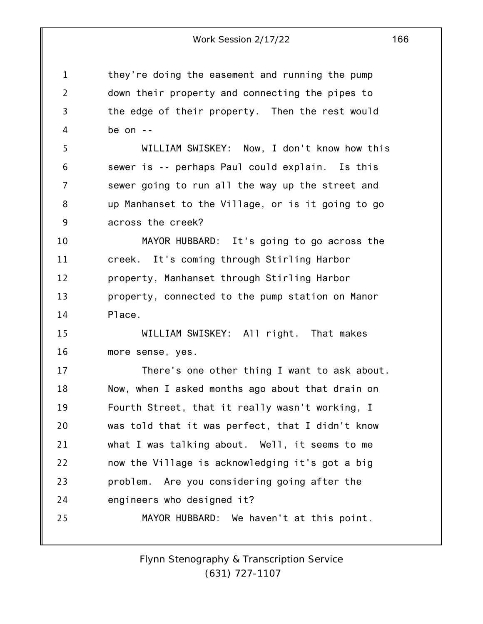they're doing the easement and running the pump down their property and connecting the pipes to the edge of their property. Then the rest would be on --

1

2

3

4

5 6 7 8 9 WILLIAM SWISKEY: Now, I don't know how this sewer is -- perhaps Paul could explain. Is this sewer going to run all the way up the street and up Manhanset to the Village, or is it going to go across the creek?

10 11 12 13 14 MAYOR HUBBARD: It's going to go across the creek. It's coming through Stirling Harbor property, Manhanset through Stirling Harbor property, connected to the pump station on Manor Place.

15 16 WILLIAM SWISKEY: All right. That makes more sense, yes.

17 18 19 20 21 22 23 24 25 There's one other thing I want to ask about. Now, when I asked months ago about that drain on Fourth Street, that it really wasn't working, I was told that it was perfect, that I didn't know what I was talking about. Well, it seems to me now the Village is acknowledging it's got a big problem. Are you considering going after the engineers who designed it? MAYOR HUBBARD: We haven't at this point.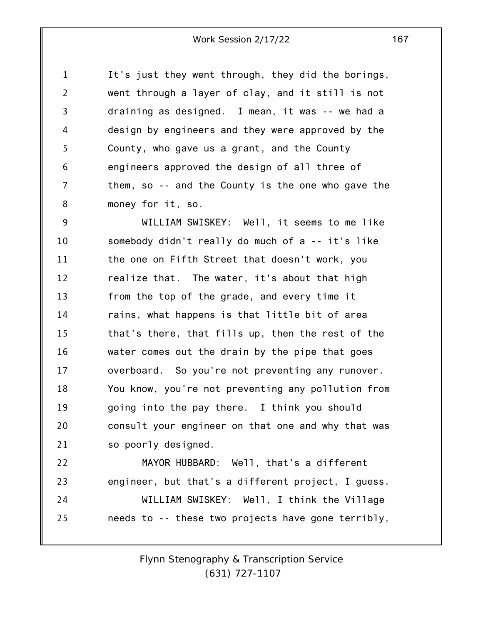1 2 3 4 5 6 7 8 It's just they went through, they did the borings, went through a layer of clay, and it still is not draining as designed. I mean, it was -- we had a design by engineers and they were approved by the County, who gave us a grant, and the County engineers approved the design of all three of them, so -- and the County is the one who gave the money for it, so.

9 10 11 12 13 14 15 16 17 18 19 20 21 WILLIAM SWISKEY: Well, it seems to me like somebody didn't really do much of a -- it's like the one on Fifth Street that doesn't work, you realize that. The water, it's about that high from the top of the grade, and every time it rains, what happens is that little bit of area that's there, that fills up, then the rest of the water comes out the drain by the pipe that goes overboard. So you're not preventing any runover. You know, you're not preventing any pollution from going into the pay there. I think you should consult your engineer on that one and why that was so poorly designed.

22 23 24 25 MAYOR HUBBARD: Well, that's a different engineer, but that's a different project, I guess. WILLIAM SWISKEY: Well, I think the Village needs to -- these two projects have gone terribly,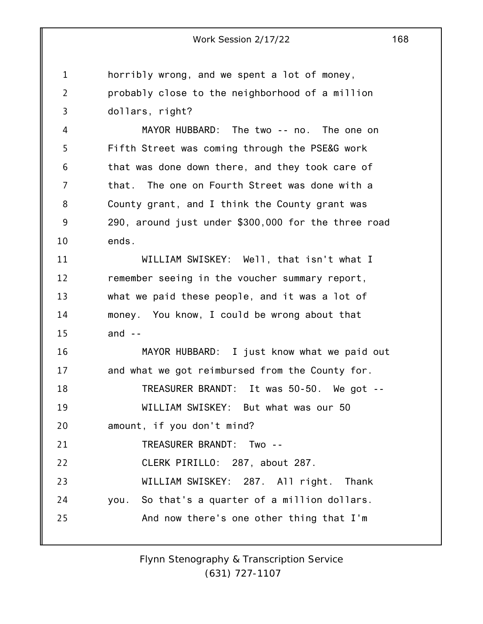1 2 3 4 horribly wrong, and we spent a lot of money, probably close to the neighborhood of a million dollars, right? MAYOR HUBBARD: The two -- no. The one on

5 6 7 8 9 10 Fifth Street was coming through the PSE&G work that was done down there, and they took care of that. The one on Fourth Street was done with a County grant, and I think the County grant was 290, around just under \$300,000 for the three road ends.

11 12 13 14 15 WILLIAM SWISKEY: Well, that isn't what I remember seeing in the voucher summary report, what we paid these people, and it was a lot of money. You know, I could be wrong about that and  $-$ 

16 17 MAYOR HUBBARD: I just know what we paid out and what we got reimbursed from the County for.

18 19 TREASURER BRANDT: It was 50-50. We got -- WILLIAM SWISKEY: But what was our 50

20 amount, if you don't mind?

21 TREASURER BRANDT: Two --

22 CLERK PIRILLO: 287, about 287.

23 24 25 WILLIAM SWISKEY: 287. All right. Thank you. So that's a quarter of a million dollars. And now there's one other thing that I'm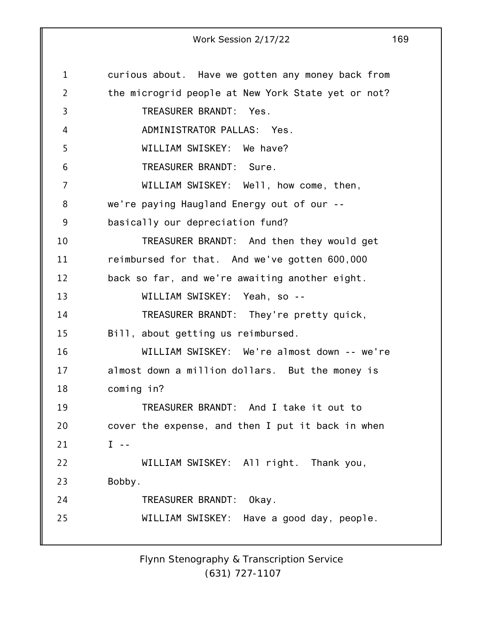1 2 3 4 5 6 7 8 9 10 11 12 13 14 15 16 17 18 19 20 21 22 23 24 25 curious about. Have we gotten any money back from the microgrid people at New York State yet or not? TREASURER BRANDT: Yes. ADMINISTRATOR PALLAS: Yes. WILLIAM SWISKEY: We have? TREASURER BRANDT: Sure. WILLIAM SWISKEY: Well, how come, then, we're paying Haugland Energy out of our - basically our depreciation fund? TREASURER BRANDT: And then they would get reimbursed for that. And we've gotten 600,000 back so far, and we're awaiting another eight. WILLIAM SWISKEY: Yeah, so --TREASURER BRANDT: They're pretty quick, Bill, about getting us reimbursed. WILLIAM SWISKEY: We're almost down -- we're almost down a million dollars. But the money is coming in? TREASURER BRANDT: And I take it out to cover the expense, and then I put it back in when  $I - -$ WILLIAM SWISKEY: All right. Thank you, Bobby. TREASURER BRANDT: Okay. WILLIAM SWISKEY: Have a good day, people.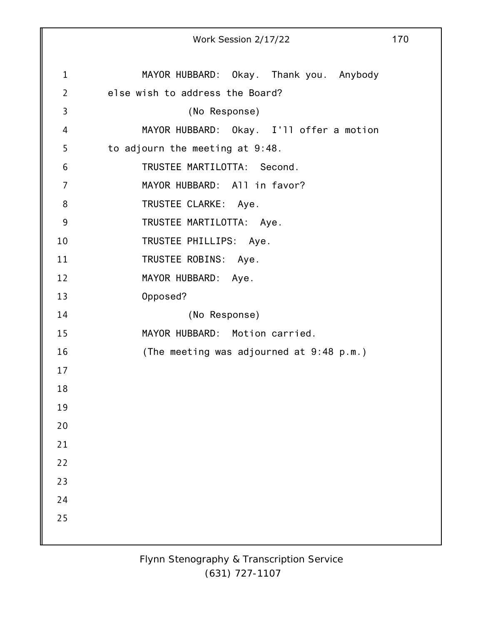|             | Work Session 2/17/22                     | 170 |
|-------------|------------------------------------------|-----|
| $\mathbf 1$ | MAYOR HUBBARD: Okay. Thank you. Anybody  |     |
| 2           | else wish to address the Board?          |     |
| 3           | (No Response)                            |     |
| 4           | MAYOR HUBBARD: Okay. I'll offer a motion |     |
| 5           | to adjourn the meeting at 9:48.          |     |
| 6           | TRUSTEE MARTILOTTA: Second.              |     |
| 7           | MAYOR HUBBARD: All in favor?             |     |
| 8           | TRUSTEE CLARKE: Aye.                     |     |
| 9           | TRUSTEE MARTILOTTA: Aye.                 |     |
| 10          | TRUSTEE PHILLIPS: Aye.                   |     |
| 11          | TRUSTEE ROBINS: Aye.                     |     |
| 12          | MAYOR HUBBARD: Aye.                      |     |
| 13          | Opposed?                                 |     |
| 14          | (No Response)                            |     |
| 15          | MAYOR HUBBARD: Motion carried.           |     |
| 16          | (The meeting was adjourned at 9:48 p.m.) |     |
| 17          |                                          |     |
| 18          |                                          |     |
| 19          |                                          |     |
| 20          |                                          |     |
| 21          |                                          |     |
| 22          |                                          |     |
| 23          |                                          |     |
| 24          |                                          |     |
| 25          |                                          |     |
|             |                                          |     |